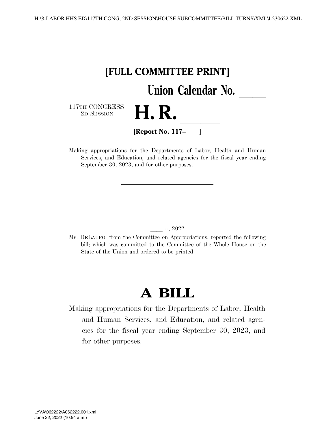

Making appropriations for the Departments of Labor, Health and Human Services, and Education, and related agencies for the fiscal year ending September 30, 2023, and for other purposes.

#### ll --, 2022

Ms. DELAURO, from the Committee on Appropriations, reported the following bill; which was committed to the Committee of the Whole House on the State of the Union and ordered to be printed

# **A BILL**

Making appropriations for the Departments of Labor, Health and Human Services, and Education, and related agencies for the fiscal year ending September 30, 2023, and for other purposes.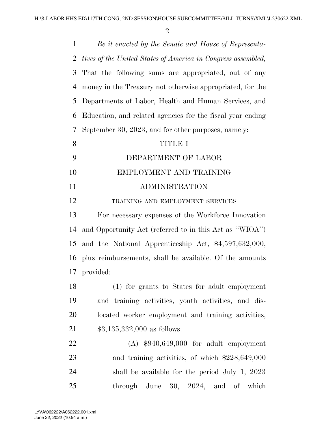| $\mathbf{1}$   | Be it enacted by the Senate and House of Representa-         |
|----------------|--------------------------------------------------------------|
| 2              | tives of the United States of America in Congress assembled, |
| 3              | That the following sums are appropriated, out of any         |
| $\overline{4}$ | money in the Treasury not otherwise appropriated, for the    |
| 5              | Departments of Labor, Health and Human Services, and         |
| 6              | Education, and related agencies for the fiscal year ending   |
| 7              | September 30, 2023, and for other purposes, namely:          |
| 8              | <b>TITLE I</b>                                               |
| 9              | DEPARTMENT OF LABOR                                          |
| 10             | EMPLOYMENT AND TRAINING                                      |
| 11             | ADMINISTRATION                                               |
| 12             | TRAINING AND EMPLOYMENT SERVICES                             |
| 13             | For necessary expenses of the Workforce Innovation           |
| 14             | and Opportunity Act (referred to in this Act as "WIOA")      |
| 15             | and the National Apprenticeship Act, \$4,597,632,000,        |
| 16             | plus reimbursements, shall be available. Of the amounts      |
| 17             | provided:                                                    |
| 18             | (1) for grants to States for adult employment                |
| 19             | and training activities, youth activities, and dis-          |
| 20             | located worker employment and training activities,           |
| 21             | $$3,135,332,000$ as follows:                                 |
| 22             | $(A)$ \$940,649,000 for adult employment                     |
| 23             | and training activities, of which $$228,649,000$             |
| 24             | shall be available for the period July 1, 2023               |
| 25             | through June<br>30, 2024, and<br>of<br>which                 |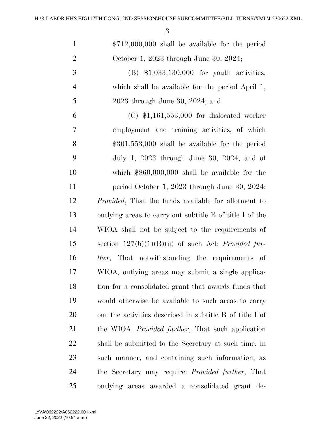| $\mathbf{1}$   | $$712,000,000$ shall be available for the period             |
|----------------|--------------------------------------------------------------|
| $\overline{2}$ | October 1, 2023 through June 30, 2024;                       |
| 3              | $(B)$ \$1,033,130,000 for youth activities,                  |
| $\overline{4}$ | which shall be available for the period April 1,             |
| 5              | $2023$ through June 30, 2024; and                            |
| 6              | $(C)$ \$1,161,553,000 for dislocated worker                  |
| $\overline{7}$ | employment and training activities, of which                 |
| 8              | $$301,553,000$ shall be available for the period             |
| 9              | July 1, 2023 through June 30, 2024, and of                   |
| 10             | which $$860,000,000$ shall be available for the              |
| 11             | period October 1, 2023 through June 30, 2024.                |
| 12             | <i>Provided</i> , That the funds available for allotment to  |
| 13             | outlying areas to carry out subtitle B of title I of the     |
| 14             | WIOA shall not be subject to the requirements of             |
| 15             | section $127(b)(1)(B)(ii)$ of such Act: <i>Provided fur-</i> |
| 16             | <i>ther</i> , That notwithstanding the requirements of       |
| 17             | WIOA, outlying areas may submit a single applica-            |
| 18             | tion for a consolidated grant that awards funds that         |
| 19             | would otherwise be available to such areas to carry          |
| 20             | out the activities described in subtitle B of title I of     |
| 21             | the WIOA: <i>Provided further</i> , That such application    |
| 22             | shall be submitted to the Secretary at such time, in         |
| 23             | such manner, and containing such information, as             |
| 24             | the Secretary may require: <i>Provided further</i> , That    |
| 25             | outlying areas awarded a consolidated grant de-              |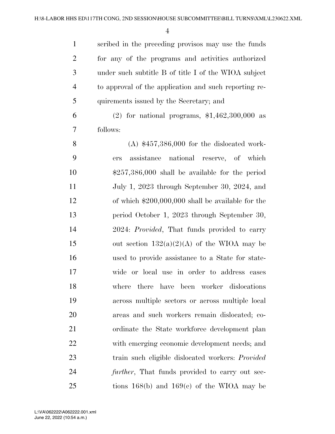scribed in the preceding provisos may use the funds for any of the programs and activities authorized under such subtitle B of title I of the WIOA subject to approval of the application and such reporting re-quirements issued by the Secretary; and

 (2) for national programs, \$1,462,300,000 as follows:

 (A) \$457,386,000 for the dislocated work- ers assistance national reserve, of which \$257,386,000 shall be available for the period July 1, 2023 through September 30, 2024, and of which \$200,000,000 shall be available for the period October 1, 2023 through September 30, 2024: *Provided*, That funds provided to carry 15 out section  $132(a)(2)(A)$  of the WIOA may be used to provide assistance to a State for state- wide or local use in order to address cases where there have been worker dislocations across multiple sectors or across multiple local areas and such workers remain dislocated; co-21 ordinate the State workforce development plan with emerging economic development needs; and train such eligible dislocated workers: *Provided further*, That funds provided to carry out sec-tions 168(b) and 169(c) of the WIOA may be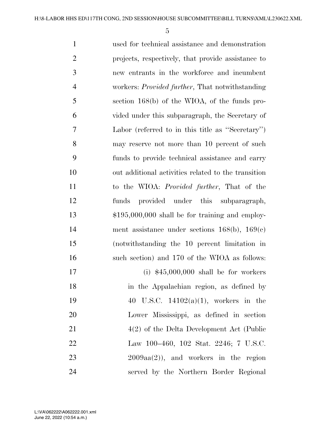used for technical assistance and demonstration projects, respectively, that provide assistance to new entrants in the workforce and incumbent workers: *Provided further*, That notwithstanding section 168(b) of the WIOA, of the funds pro- vided under this subparagraph, the Secretary of Labor (referred to in this title as ''Secretary'') may reserve not more than 10 percent of such funds to provide technical assistance and carry out additional activities related to the transition to the WIOA: *Provided further*, That of the funds provided under this subparagraph, \$195,000,000 shall be for training and employ- ment assistance under sections 168(b), 169(c) (notwithstanding the 10 percent limitation in such section) and 170 of the WIOA as follows: (i) \$45,000,000 shall be for workers in the Appalachian region, as defined by 40 U.S.C. 14102(a)(1), workers in the Lower Mississippi, as defined in section 4(2) of the Delta Development Act (Public Law 100–460, 102 Stat. 2246; 7 U.S.C. 2009aa(2)), and workers in the region served by the Northern Border Regional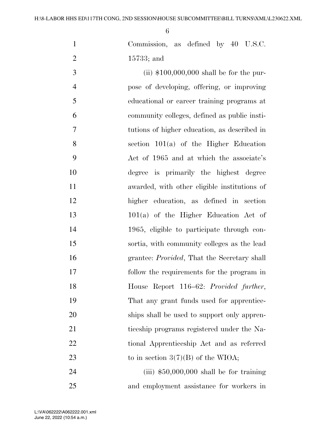| $\mathbf{1}$   | Commission, as defined by 40 U.S.C.                 |
|----------------|-----------------------------------------------------|
| $\overline{2}$ | $15733$ ; and                                       |
| 3              | (ii) $$100,000,000$ shall be for the pur-           |
| $\overline{4}$ | pose of developing, offering, or improving          |
| 5              | educational or career training programs at          |
| 6              | community colleges, defined as public insti-        |
| $\overline{7}$ | tutions of higher education, as described in        |
| 8              | section $101(a)$ of the Higher Education            |
| 9              | Act of 1965 and at which the associate's            |
| 10             | degree is primarily the highest degree              |
| 11             | awarded, with other eligible institutions of        |
| 12             | higher education, as defined in section             |
| 13             | $101(a)$ of the Higher Education Act of             |
| 14             | 1965, eligible to participate through con-          |
| 15             | sortia, with community colleges as the lead         |
| 16             | grantee: <i>Provided</i> , That the Secretary shall |
| 17             | follow the requirements for the program in          |
| 18             | House Report 116–62: Provided further,              |
| 19             | That any grant funds used for apprentice-           |
| 20             | ships shall be used to support only appren-         |
| 21             | ticeship programs registered under the Na-          |
| 22             | tional Apprenticeship Act and as referred           |
| 23             | to in section $3(7)(B)$ of the WIOA;                |
| 24             | $(iii)$ \$50,000,000 shall be for training          |
| 25             | and employment assistance for workers in            |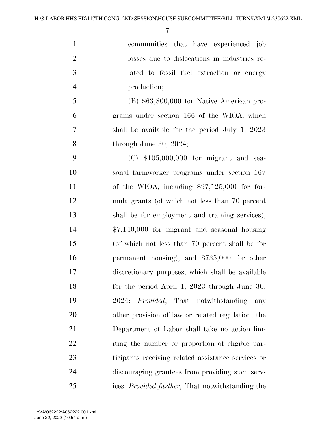communities that have experienced job losses due to dislocations in industries re- lated to fossil fuel extraction or energy production; (B) \$63,800,000 for Native American pro- grams under section 166 of the WIOA, which shall be available for the period July 1, 2023 through June 30, 2024; (C) \$105,000,000 for migrant and sea- sonal farmworker programs under section 167 of the WIOA, including \$97,125,000 for for- mula grants (of which not less than 70 percent shall be for employment and training services), \$7,140,000 for migrant and seasonal housing

 (of which not less than 70 percent shall be for permanent housing), and \$735,000 for other discretionary purposes, which shall be available for the period April 1, 2023 through June 30, 2024: *Provided*, That notwithstanding any other provision of law or related regulation, the Department of Labor shall take no action lim-22 iting the number or proportion of eligible par- ticipants receiving related assistance services or discouraging grantees from providing such serv-ices: *Provided further*, That notwithstanding the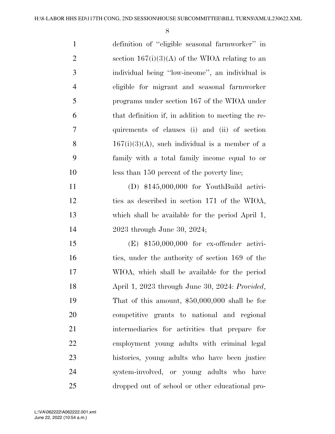definition of ''eligible seasonal farmworker'' in 2 section  $167(i)(3)(A)$  of the WIOA relating to an individual being ''low-income'', an individual is eligible for migrant and seasonal farmworker programs under section 167 of the WIOA under that definition if, in addition to meeting the re- quirements of clauses (i) and (ii) of section 8 167(i)(3)(A), such individual is a member of a family with a total family income equal to or less than 150 percent of the poverty line; (D) \$145,000,000 for YouthBuild activi- ties as described in section 171 of the WIOA, which shall be available for the period April 1, 2023 through June 30, 2024; (E) \$150,000,000 for ex-offender activi-16 ties, under the authority of section 169 of the WIOA, which shall be available for the period April 1, 2023 through June 30, 2024: *Provided*, That of this amount, \$50,000,000 shall be for competitive grants to national and regional intermediaries for activities that prepare for employment young adults with criminal legal histories, young adults who have been justice system-involved, or young adults who have dropped out of school or other educational pro-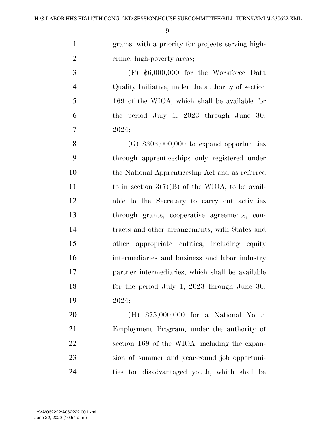grams, with a priority for projects serving high-2 crime, high-poverty areas;

 (F) \$6,000,000 for the Workforce Data Quality Initiative, under the authority of section 169 of the WIOA, which shall be available for the period July 1, 2023 through June 30, 2024;

 $(G)$  \$303,000,000 to expand opportunities through apprenticeships only registered under the National Apprenticeship Act and as referred 11 to in section  $3(7)(B)$  of the WIOA, to be avail- able to the Secretary to carry out activities through grants, cooperative agreements, con- tracts and other arrangements, with States and other appropriate entities, including equity intermediaries and business and labor industry partner intermediaries, which shall be available for the period July 1, 2023 through June 30, 2024;

 (H) \$75,000,000 for a National Youth Employment Program, under the authority of section 169 of the WIOA, including the expan- sion of summer and year-round job opportuni-ties for disadvantaged youth, which shall be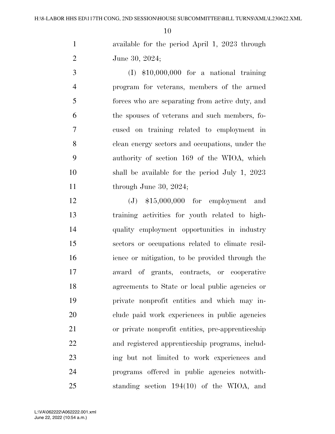available for the period April 1, 2023 through June 30, 2024;

 (I) \$10,000,000 for a national training program for veterans, members of the armed forces who are separating from active duty, and the spouses of veterans and such members, fo- cused on training related to employment in clean energy sectors and occupations, under the authority of section 169 of the WIOA, which shall be available for the period July 1, 2023 11 through June 30, 2024;

 (J) \$15,000,000 for employment and training activities for youth related to high- quality employment opportunities in industry sectors or occupations related to climate resil- ience or mitigation, to be provided through the award of grants, contracts, or cooperative agreements to State or local public agencies or private nonprofit entities and which may in- clude paid work experiences in public agencies or private nonprofit entities, pre-apprenticeship and registered apprenticeship programs, includ- ing but not limited to work experiences and programs offered in public agencies notwith-standing section 194(10) of the WIOA, and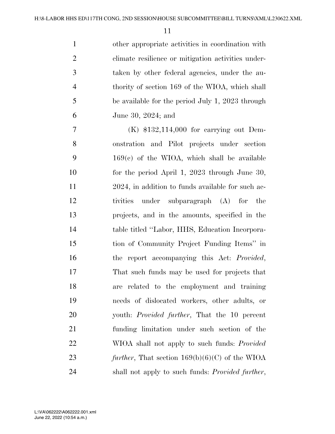| $\mathbf{1}$   | other appropriate activities in coordination with  |
|----------------|----------------------------------------------------|
| 2              | elimate resilience or mitigation activities under- |
| 3              | taken by other federal agencies, under the au-     |
| $\overline{4}$ | thority of section 169 of the WIOA, which shall    |
| 5              | be available for the period July 1, 2023 through   |
| 6              | June 30, 2024; and                                 |
|                |                                                    |

 (K) \$132,114,000 for carrying out Dem- onstration and Pilot projects under section 169(c) of the WIOA, which shall be available for the period April 1, 2023 through June 30, 2024, in addition to funds available for such ac- tivities under subparagraph (A) for the projects, and in the amounts, specified in the table titled ''Labor, HHS, Education Incorpora- tion of Community Project Funding Items'' in the report accompanying this Act: *Provided*, That such funds may be used for projects that are related to the employment and training needs of dislocated workers, other adults, or youth: *Provided further*, That the 10 percent funding limitation under such section of the WIOA shall not apply to such funds: *Provided further*, That section 169(b)(6)(C) of the WIOA shall not apply to such funds: *Provided further*,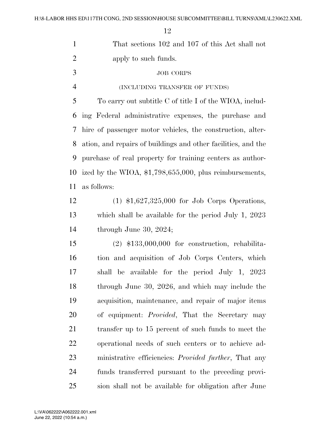| $\mathbf{1}$   | That sections 102 and 107 of this Act shall not               |
|----------------|---------------------------------------------------------------|
| $\overline{2}$ | apply to such funds.                                          |
| 3              | <b>JOB CORPS</b>                                              |
| $\overline{4}$ | (INCLUDING TRANSFER OF FUNDS)                                 |
| 5              | To carry out subtitle C of title I of the WIOA, includ-       |
| 6              | ing Federal administrative expenses, the purchase and         |
| 7              | hire of passenger motor vehicles, the construction, alter-    |
| 8              | ation, and repairs of buildings and other facilities, and the |
| 9              | purchase of real property for training centers as author-     |
| 10             | ized by the WIOA, $$1,798,655,000$ , plus reimbursements,     |
| 11             | as follows:                                                   |
| 12             | $(1)$ \$1,627,325,000 for Job Corps Operations,               |
| 13             | which shall be available for the period July 1, 2023          |
| 14             | through June 30, 2024;                                        |
| 15             | $(2)$ \$133,000,000 for construction, rehabilita-             |
| 16             | tion and acquisition of Job Corps Centers, which              |
| 17             | shall be available for the period July 1, 2023                |
| 18             | through June 30, 2026, and which may include the              |
| 19             | acquisition, maintenance, and repair of major items           |
| 20             | of equipment: <i>Provided</i> , That the Secretary may        |
| 21             | transfer up to 15 percent of such funds to meet the           |
| 22             | operational needs of such centers or to achieve ad-           |
| 23             | ministrative efficiencies: <i>Provided further</i> , That any |
| 24             | funds transferred pursuant to the preceding provi-            |
| 25             | sion shall not be available for obligation after June         |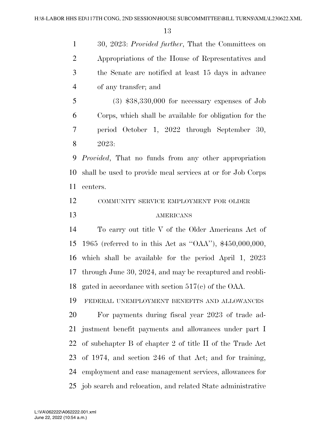30, 2023: *Provided further*, That the Committees on Appropriations of the House of Representatives and the Senate are notified at least 15 days in advance of any transfer; and (3) \$38,330,000 for necessary expenses of Job Corps, which shall be available for obligation for the period October 1, 2022 through September 30, 2023: *Provided*, That no funds from any other appropriation shall be used to provide meal services at or for Job Corps

centers.

 COMMUNITY SERVICE EMPLOYMENT FOR OLDER AMERICANS

 To carry out title V of the Older Americans Act of 1965 (referred to in this Act as ''OAA''), \$450,000,000, which shall be available for the period April 1, 2023 through June 30, 2024, and may be recaptured and reobli-gated in accordance with section 517(c) of the OAA.

 FEDERAL UNEMPLOYMENT BENEFITS AND ALLOWANCES For payments during fiscal year 2023 of trade ad- justment benefit payments and allowances under part I of subchapter B of chapter 2 of title II of the Trade Act of 1974, and section 246 of that Act; and for training, employment and case management services, allowances for job search and relocation, and related State administrative

June 22, 2022 (10:54 a.m.) L:\VA\062222\A062222.001.xml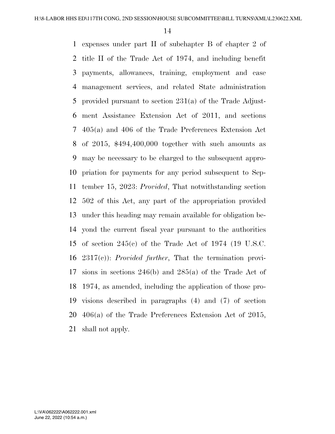expenses under part II of subchapter B of chapter 2 of title II of the Trade Act of 1974, and including benefit payments, allowances, training, employment and case management services, and related State administration provided pursuant to section 231(a) of the Trade Adjust- ment Assistance Extension Act of 2011, and sections 405(a) and 406 of the Trade Preferences Extension Act of 2015, \$494,400,000 together with such amounts as may be necessary to be charged to the subsequent appro- priation for payments for any period subsequent to Sep- tember 15, 2023: *Provided*, That notwithstanding section 502 of this Act, any part of the appropriation provided under this heading may remain available for obligation be- yond the current fiscal year pursuant to the authorities of section 245(c) of the Trade Act of 1974 (19 U.S.C. 2317(c)): *Provided further*, That the termination provi- sions in sections 246(b) and 285(a) of the Trade Act of 1974, as amended, including the application of those pro- visions described in paragraphs (4) and (7) of section 406(a) of the Trade Preferences Extension Act of 2015, shall not apply.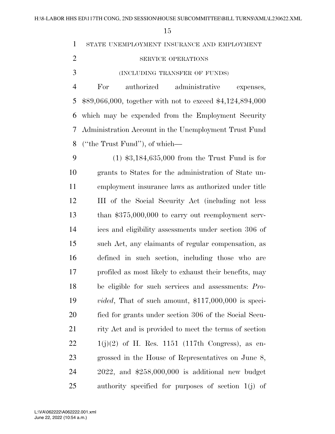STATE UNEMPLOYMENT INSURANCE AND EMPLOYMENT

- 2 SERVICE OPERATIONS
- (INCLUDING TRANSFER OF FUNDS)

 For authorized administrative expenses, \$89,066,000, together with not to exceed \$4,124,894,000 which may be expended from the Employment Security Administration Account in the Unemployment Trust Fund (''the Trust Fund''), of which—

 (1) \$3,184,635,000 from the Trust Fund is for grants to States for the administration of State un- employment insurance laws as authorized under title III of the Social Security Act (including not less than \$375,000,000 to carry out reemployment serv- ices and eligibility assessments under section 306 of such Act, any claimants of regular compensation, as defined in such section, including those who are profiled as most likely to exhaust their benefits, may be eligible for such services and assessments: *Pro- vided*, That of such amount, \$117,000,000 is speci- fied for grants under section 306 of the Social Secu-21 rity Act and is provided to meet the terms of section  $22 \t1(j)(2)$  of H. Res. 1151 (117th Congress), as en- grossed in the House of Representatives on June 8, 2022, and \$258,000,000 is additional new budget authority specified for purposes of section 1(j) of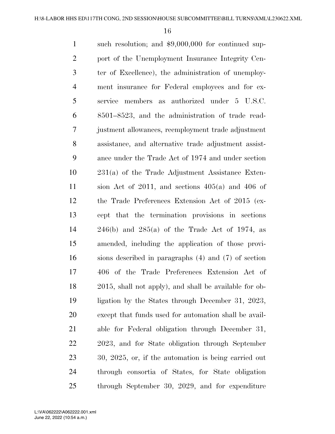| $\mathbf{1}$   | such resolution; and \$9,000,000 for continued sup-            |
|----------------|----------------------------------------------------------------|
| $\overline{2}$ | port of the Unemployment Insurance Integrity Cen-              |
| 3              | ter of Excellence), the administration of unemploy-            |
| $\overline{4}$ | ment insurance for Federal employees and for ex-               |
| 5              | service members as authorized under 5 U.S.C.                   |
| 6              | 8501–8523, and the administration of trade read-               |
| 7              | justment allowances, reemployment trade adjustment             |
| 8              | assistance, and alternative trade adjustment assist-           |
| 9              | ance under the Trade Act of 1974 and under section             |
| 10             | $231(a)$ of the Trade Adjustment Assistance Exten-             |
| 11             | sion Act of 2011, and sections $405(a)$ and $406$ of           |
| 12             | the Trade Preferences Extension Act of 2015 (ex-               |
| 13             | cept that the termination provisions in sections               |
| 14             | $246(b)$ and $285(a)$ of the Trade Act of 1974, as             |
| 15             | amended, including the application of those provi-             |
| 16             | sions described in paragraphs $(4)$ and $(7)$ of section       |
| 17             | 406 of the Trade Preferences Extension Act of                  |
| 18             | 2015, shall not apply), and shall be available for ob-         |
| 19             | ligation by the States through December 31, 2023,              |
| 20             | except that funds used for automation shall be avail-          |
| 21             | able for Federal obligation through December 31,               |
| 22             | 2023, and for State obligation through September               |
| 23             | $30, 2025, \text{ or, if the automation is being carried out}$ |
| 24             | through consortia of States, for State obligation              |
| 25             | through September 30, 2029, and for expenditure                |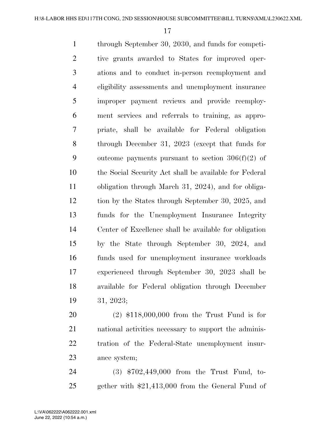through September 30, 2030, and funds for competi- tive grants awarded to States for improved oper- ations and to conduct in-person reemployment and eligibility assessments and unemployment insurance improper payment reviews and provide reemploy- ment services and referrals to training, as appro- priate, shall be available for Federal obligation through December 31, 2023 (except that funds for 9 outcome payments pursuant to section  $306(f)(2)$  of the Social Security Act shall be available for Federal obligation through March 31, 2024), and for obliga- tion by the States through September 30, 2025, and funds for the Unemployment Insurance Integrity Center of Excellence shall be available for obligation by the State through September 30, 2024, and funds used for unemployment insurance workloads experienced through September 30, 2023 shall be available for Federal obligation through December 31, 2023;

 (2) \$118,000,000 from the Trust Fund is for national activities necessary to support the adminis- tration of the Federal-State unemployment insur-ance system;

 (3) \$702,449,000 from the Trust Fund, to-gether with \$21,413,000 from the General Fund of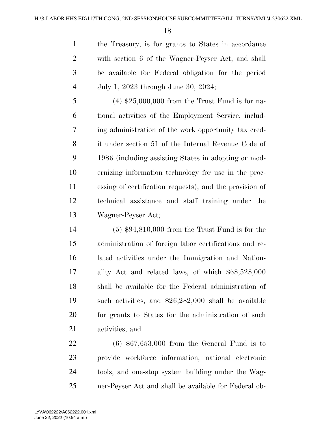the Treasury, is for grants to States in accordance with section 6 of the Wagner-Peyser Act, and shall be available for Federal obligation for the period July 1, 2023 through June 30, 2024;

 (4) \$25,000,000 from the Trust Fund is for na- tional activities of the Employment Service, includ- ing administration of the work opportunity tax cred- it under section 51 of the Internal Revenue Code of 1986 (including assisting States in adopting or mod- ernizing information technology for use in the proc- essing of certification requests), and the provision of technical assistance and staff training under the Wagner-Peyser Act;

 (5) \$94,810,000 from the Trust Fund is for the administration of foreign labor certifications and re- lated activities under the Immigration and Nation- ality Act and related laws, of which \$68,528,000 shall be available for the Federal administration of such activities, and \$26,282,000 shall be available 20 for grants to States for the administration of such activities; and

 (6) \$67,653,000 from the General Fund is to provide workforce information, national electronic tools, and one-stop system building under the Wag-ner-Peyser Act and shall be available for Federal ob-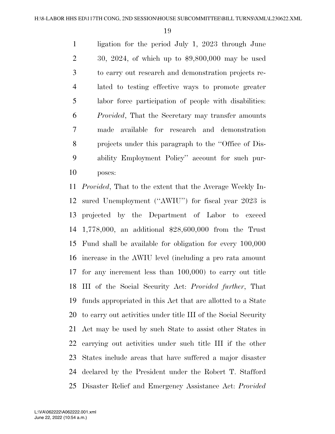ligation for the period July 1, 2023 through June 30, 2024, of which up to \$9,800,000 may be used to carry out research and demonstration projects re- lated to testing effective ways to promote greater labor force participation of people with disabilities: *Provided*, That the Secretary may transfer amounts made available for research and demonstration projects under this paragraph to the ''Office of Dis- ability Employment Policy'' account for such pur-poses:

 *Provided*, That to the extent that the Average Weekly In- sured Unemployment (''AWIU'') for fiscal year 2023 is projected by the Department of Labor to exceed 1,778,000, an additional \$28,600,000 from the Trust Fund shall be available for obligation for every 100,000 increase in the AWIU level (including a pro rata amount for any increment less than 100,000) to carry out title III of the Social Security Act: *Provided further*, That funds appropriated in this Act that are allotted to a State to carry out activities under title III of the Social Security Act may be used by such State to assist other States in carrying out activities under such title III if the other States include areas that have suffered a major disaster declared by the President under the Robert T. Stafford Disaster Relief and Emergency Assistance Act: *Provided*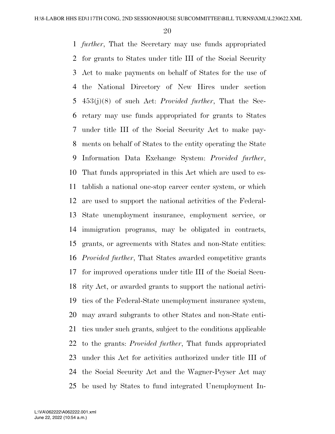*further*, That the Secretary may use funds appropriated for grants to States under title III of the Social Security Act to make payments on behalf of States for the use of the National Directory of New Hires under section 453(j)(8) of such Act: *Provided further*, That the Sec- retary may use funds appropriated for grants to States under title III of the Social Security Act to make pay- ments on behalf of States to the entity operating the State Information Data Exchange System: *Provided further*, That funds appropriated in this Act which are used to es- tablish a national one-stop career center system, or which are used to support the national activities of the Federal- State unemployment insurance, employment service, or immigration programs, may be obligated in contracts, grants, or agreements with States and non-State entities: *Provided further*, That States awarded competitive grants for improved operations under title III of the Social Secu- rity Act, or awarded grants to support the national activi- ties of the Federal-State unemployment insurance system, may award subgrants to other States and non-State enti- ties under such grants, subject to the conditions applicable to the grants: *Provided further*, That funds appropriated under this Act for activities authorized under title III of the Social Security Act and the Wagner-Peyser Act may be used by States to fund integrated Unemployment In-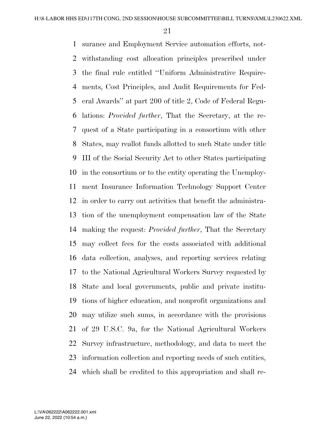surance and Employment Service automation efforts, not- withstanding cost allocation principles prescribed under the final rule entitled ''Uniform Administrative Require- ments, Cost Principles, and Audit Requirements for Fed- eral Awards'' at part 200 of title 2, Code of Federal Regu- lations: *Provided further*, That the Secretary, at the re- quest of a State participating in a consortium with other States, may reallot funds allotted to such State under title III of the Social Security Act to other States participating in the consortium or to the entity operating the Unemploy- ment Insurance Information Technology Support Center in order to carry out activities that benefit the administra- tion of the unemployment compensation law of the State making the request: *Provided further*, That the Secretary may collect fees for the costs associated with additional data collection, analyses, and reporting services relating to the National Agricultural Workers Survey requested by State and local governments, public and private institu- tions of higher education, and nonprofit organizations and may utilize such sums, in accordance with the provisions of 29 U.S.C. 9a, for the National Agricultural Workers Survey infrastructure, methodology, and data to meet the information collection and reporting needs of such entities, which shall be credited to this appropriation and shall re-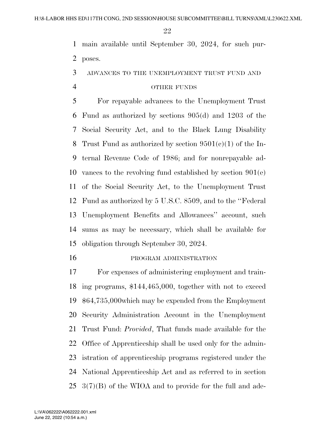main available until September 30, 2024, for such pur-poses.

ADVANCES TO THE UNEMPLOYMENT TRUST FUND AND

#### OTHER FUNDS

 For repayable advances to the Unemployment Trust Fund as authorized by sections 905(d) and 1203 of the Social Security Act, and to the Black Lung Disability 8 Trust Fund as authorized by section  $9501(e)(1)$  of the In- ternal Revenue Code of 1986; and for nonrepayable ad- vances to the revolving fund established by section 901(e) of the Social Security Act, to the Unemployment Trust Fund as authorized by 5 U.S.C. 8509, and to the ''Federal Unemployment Benefits and Allowances'' account, such sums as may be necessary, which shall be available for obligation through September 30, 2024.

16 PROGRAM ADMINISTRATION

 For expenses of administering employment and train- ing programs, \$144,465,000, together with not to exceed \$64,735,000which may be expended from the Employment Security Administration Account in the Unemployment Trust Fund: *Provided*, That funds made available for the Office of Apprenticeship shall be used only for the admin- istration of apprenticeship programs registered under the National Apprenticeship Act and as referred to in section 3(7)(B) of the WIOA and to provide for the full and ade-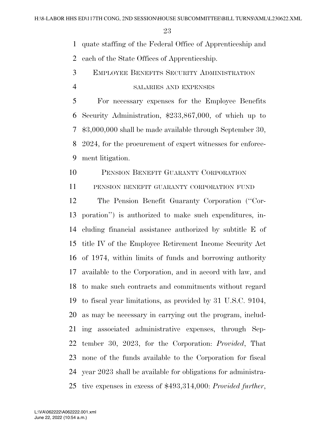quate staffing of the Federal Office of Apprenticeship and

each of the State Offices of Apprenticeship.

- EMPLOYEE BENEFITS SECURITY ADMINISTRATION
- SALARIES AND EXPENSES

 For necessary expenses for the Employee Benefits Security Administration, \$233,867,000, of which up to \$3,000,000 shall be made available through September 30, 2024, for the procurement of expert witnesses for enforce-ment litigation.

PENSION BENEFIT GUARANTY CORPORATION

PENSION BENEFIT GUARANTY CORPORATION FUND

 The Pension Benefit Guaranty Corporation (''Cor- poration'') is authorized to make such expenditures, in- cluding financial assistance authorized by subtitle E of title IV of the Employee Retirement Income Security Act of 1974, within limits of funds and borrowing authority available to the Corporation, and in accord with law, and to make such contracts and commitments without regard to fiscal year limitations, as provided by 31 U.S.C. 9104, as may be necessary in carrying out the program, includ- ing associated administrative expenses, through Sep- tember 30, 2023, for the Corporation: *Provided*, That none of the funds available to the Corporation for fiscal year 2023 shall be available for obligations for administra-tive expenses in excess of \$493,314,000: *Provided further*,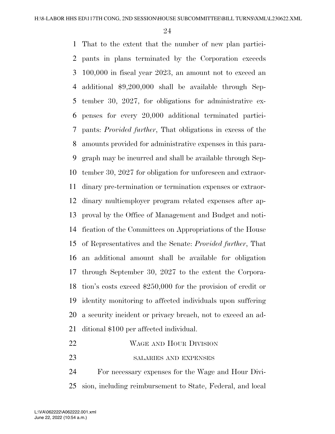That to the extent that the number of new plan partici- pants in plans terminated by the Corporation exceeds 100,000 in fiscal year 2023, an amount not to exceed an additional \$9,200,000 shall be available through Sep- tember 30, 2027, for obligations for administrative ex- penses for every 20,000 additional terminated partici- pants: *Provided further*, That obligations in excess of the amounts provided for administrative expenses in this para- graph may be incurred and shall be available through Sep- tember 30, 2027 for obligation for unforeseen and extraor- dinary pre-termination or termination expenses or extraor- dinary multiemployer program related expenses after ap- proval by the Office of Management and Budget and noti- fication of the Committees on Appropriations of the House of Representatives and the Senate: *Provided further*, That an additional amount shall be available for obligation through September 30, 2027 to the extent the Corpora- tion's costs exceed \$250,000 for the provision of credit or identity monitoring to affected individuals upon suffering a security incident or privacy breach, not to exceed an ad-ditional \$100 per affected individual.

22 WAGE AND HOUR DIVISION 23 SALARIES AND EXPENSES

 For necessary expenses for the Wage and Hour Divi-sion, including reimbursement to State, Federal, and local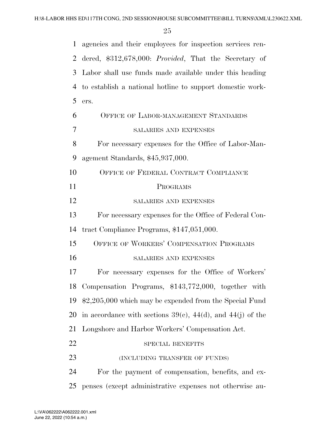| 1              | agencies and their employees for inspection services ren-          |
|----------------|--------------------------------------------------------------------|
| 2              | dered, \$312,678,000: Provided, That the Secretary of              |
| 3              | Labor shall use funds made available under this heading            |
| $\overline{4}$ | to establish a national hotline to support domestic work-          |
| 5              | ers.                                                               |
| 6              | OFFICE OF LABOR-MANAGEMENT STANDARDS                               |
| 7              | <b>SALARIES AND EXPENSES</b>                                       |
| 8              | For necessary expenses for the Office of Labor-Man-                |
| 9              | agement Standards, \$45,937,000.                                   |
| 10             | OFFICE OF FEDERAL CONTRACT COMPLIANCE                              |
| 11             | PROGRAMS                                                           |
| 12             | <b>SALARIES AND EXPENSES</b>                                       |
| 13             | For necessary expenses for the Office of Federal Con-              |
| 14             | tract Compliance Programs, \$147,051,000.                          |
| 15             | OFFICE OF WORKERS' COMPENSATION PROGRAMS                           |
| 16             | <b>SALARIES AND EXPENSES</b>                                       |
| 17             | For necessary expenses for the Office of Workers'                  |
| 18             | Compensation Programs, \$143,772,000, together with                |
| 19             | $$2,205,000$ which may be expended from the Special Fund           |
| 20             | in accordance with sections $39(e)$ , $44(d)$ , and $44(j)$ of the |
| 21             | Longshore and Harbor Workers' Compensation Act.                    |
| 22             | SPECIAL BENEFITS                                                   |
| 23             | (INCLUDING TRANSFER OF FUNDS)                                      |
| 24             | For the payment of compensation, benefits, and ex-                 |
| 25             | penses (except administrative expenses not otherwise au-           |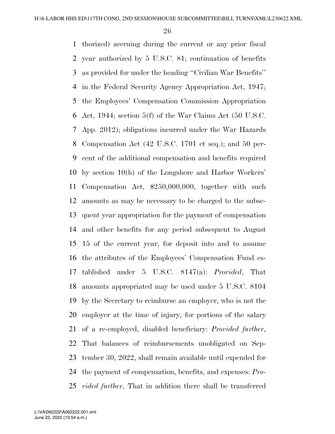thorized) accruing during the current or any prior fiscal year authorized by 5 U.S.C. 81; continuation of benefits as provided for under the heading ''Civilian War Benefits'' in the Federal Security Agency Appropriation Act, 1947; the Employees' Compensation Commission Appropriation Act, 1944; section 5(f) of the War Claims Act (50 U.S.C. App. 2012); obligations incurred under the War Hazards Compensation Act (42 U.S.C. 1701 et seq.); and 50 per- cent of the additional compensation and benefits required by section 10(h) of the Longshore and Harbor Workers' Compensation Act, \$250,000,000, together with such amounts as may be necessary to be charged to the subse- quent year appropriation for the payment of compensation and other benefits for any period subsequent to August 15 of the current year, for deposit into and to assume the attributes of the Employees' Compensation Fund es- tablished under 5 U.S.C. 8147(a): *Provided*, That amounts appropriated may be used under 5 U.S.C. 8104 by the Secretary to reimburse an employer, who is not the employer at the time of injury, for portions of the salary of a re-employed, disabled beneficiary: *Provided further*, That balances of reimbursements unobligated on Sep- tember 30, 2022, shall remain available until expended for the payment of compensation, benefits, and expenses: *Pro-vided further*, That in addition there shall be transferred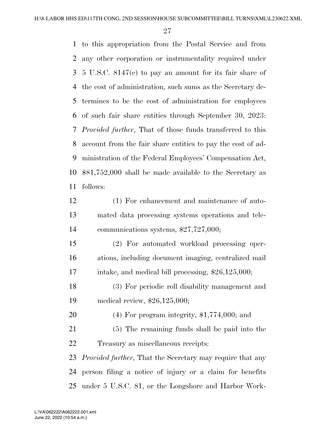to this appropriation from the Postal Service and from any other corporation or instrumentality required under 5 U.S.C. 8147(c) to pay an amount for its fair share of the cost of administration, such sums as the Secretary de- termines to be the cost of administration for employees of such fair share entities through September 30, 2023: *Provided further*, That of those funds transferred to this account from the fair share entities to pay the cost of ad- ministration of the Federal Employees' Compensation Act, \$81,752,000 shall be made available to the Secretary as follows:

 (1) For enhancement and maintenance of auto- mated data processing systems operations and tele-communications systems, \$27,727,000;

 (2) For automated workload processing oper- ations, including document imaging, centralized mail 17 intake, and medical bill processing, \$26,125,000;

 (3) For periodic roll disability management and medical review, \$26,125,000;

(4) For program integrity, \$1,774,000; and

 (5) The remaining funds shall be paid into the Treasury as miscellaneous receipts:

 *Provided further*, That the Secretary may require that any person filing a notice of injury or a claim for benefits under 5 U.S.C. 81, or the Longshore and Harbor Work-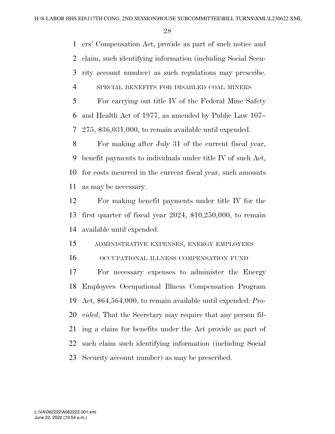ers' Compensation Act, provide as part of such notice and claim, such identifying information (including Social Secu- rity account number) as such regulations may prescribe. SPECIAL BENEFITS FOR DISABLED COAL MINERS

 For carrying out title IV of the Federal Mine Safety and Health Act of 1977, as amended by Public Law 107– 275, \$36,031,000, to remain available until expended.

 For making after July 31 of the current fiscal year, benefit payments to individuals under title IV of such Act, for costs incurred in the current fiscal year, such amounts as may be necessary.

 For making benefit payments under title IV for the first quarter of fiscal year 2024, \$10,250,000, to remain available until expended.

ADMINISTRATIVE EXPENSES, ENERGY EMPLOYEES

OCCUPATIONAL ILLNESS COMPENSATION FUND

 For necessary expenses to administer the Energy Employees Occupational Illness Compensation Program Act, \$64,564,000, to remain available until expended: *Pro- vided*, That the Secretary may require that any person fil- ing a claim for benefits under the Act provide as part of such claim such identifying information (including Social Security account number) as may be prescribed.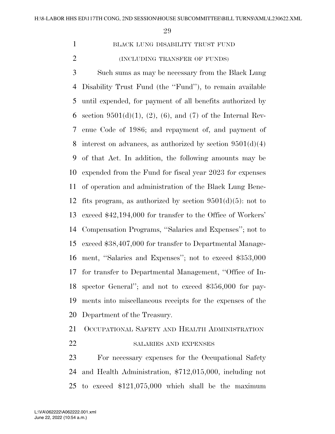BLACK LUNG DISABILITY TRUST FUND (INCLUDING TRANSFER OF FUNDS)

 Such sums as may be necessary from the Black Lung Disability Trust Fund (the ''Fund''), to remain available until expended, for payment of all benefits authorized by 6 section  $9501(d)(1)$ ,  $(2)$ ,  $(6)$ , and  $(7)$  of the Internal Rev- enue Code of 1986; and repayment of, and payment of 8 interest on advances, as authorized by section  $9501(d)(4)$  of that Act. In addition, the following amounts may be expended from the Fund for fiscal year 2023 for expenses of operation and administration of the Black Lung Bene-12 fits program, as authorized by section  $9501(d)(5)$ : not to exceed \$42,194,000 for transfer to the Office of Workers' Compensation Programs, ''Salaries and Expenses''; not to exceed \$38,407,000 for transfer to Departmental Manage- ment, ''Salaries and Expenses''; not to exceed \$353,000 for transfer to Departmental Management, ''Office of In- spector General''; and not to exceed \$356,000 for pay- ments into miscellaneous receipts for the expenses of the Department of the Treasury.

OCCUPATIONAL SAFETY AND HEALTH ADMINISTRATION

22 SALARIES AND EXPENSES

 For necessary expenses for the Occupational Safety and Health Administration, \$712,015,000, including not to exceed \$121,075,000 which shall be the maximum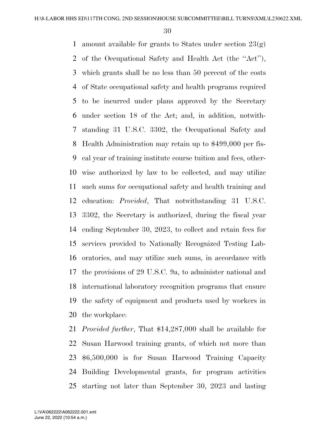1 amount available for grants to States under section  $23(g)$  of the Occupational Safety and Health Act (the ''Act''), which grants shall be no less than 50 percent of the costs of State occupational safety and health programs required to be incurred under plans approved by the Secretary under section 18 of the Act; and, in addition, notwith- standing 31 U.S.C. 3302, the Occupational Safety and Health Administration may retain up to \$499,000 per fis- cal year of training institute course tuition and fees, other- wise authorized by law to be collected, and may utilize such sums for occupational safety and health training and education: *Provided*, That notwithstanding 31 U.S.C. 3302, the Secretary is authorized, during the fiscal year ending September 30, 2023, to collect and retain fees for services provided to Nationally Recognized Testing Lab- oratories, and may utilize such sums, in accordance with the provisions of 29 U.S.C. 9a, to administer national and international laboratory recognition programs that ensure the safety of equipment and products used by workers in the workplace:

 *Provided further*, That \$14,287,000 shall be available for Susan Harwood training grants, of which not more than \$6,500,000 is for Susan Harwood Training Capacity Building Developmental grants, for program activities starting not later than September 30, 2023 and lasting

June 22, 2022 (10:54 a.m.) L:\VA\062222\A062222.001.xml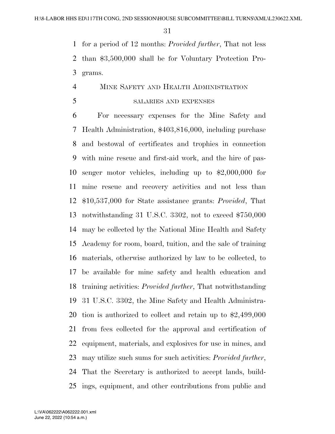for a period of 12 months: *Provided further*, That not less than \$3,500,000 shall be for Voluntary Protection Pro-grams.

## MINE SAFETY AND HEALTH ADMINISTRATION

### SALARIES AND EXPENSES

 For necessary expenses for the Mine Safety and Health Administration, \$403,816,000, including purchase and bestowal of certificates and trophies in connection with mine rescue and first-aid work, and the hire of pas- senger motor vehicles, including up to \$2,000,000 for mine rescue and recovery activities and not less than \$10,537,000 for State assistance grants: *Provided*, That notwithstanding 31 U.S.C. 3302, not to exceed \$750,000 may be collected by the National Mine Health and Safety Academy for room, board, tuition, and the sale of training materials, otherwise authorized by law to be collected, to be available for mine safety and health education and training activities: *Provided further*, That notwithstanding 31 U.S.C. 3302, the Mine Safety and Health Administra- tion is authorized to collect and retain up to \$2,499,000 from fees collected for the approval and certification of equipment, materials, and explosives for use in mines, and may utilize such sums for such activities: *Provided further*, That the Secretary is authorized to accept lands, build-ings, equipment, and other contributions from public and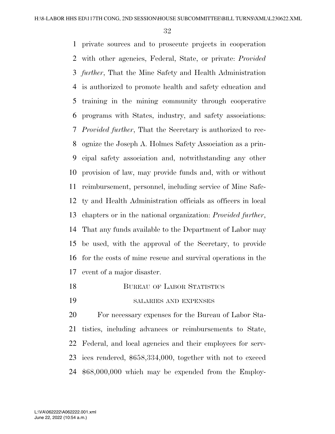private sources and to prosecute projects in cooperation with other agencies, Federal, State, or private: *Provided further*, That the Mine Safety and Health Administration is authorized to promote health and safety education and training in the mining community through cooperative programs with States, industry, and safety associations: *Provided further*, That the Secretary is authorized to rec- ognize the Joseph A. Holmes Safety Association as a prin- cipal safety association and, notwithstanding any other provision of law, may provide funds and, with or without reimbursement, personnel, including service of Mine Safe- ty and Health Administration officials as officers in local chapters or in the national organization: *Provided further*, That any funds available to the Department of Labor may be used, with the approval of the Secretary, to provide for the costs of mine rescue and survival operations in the event of a major disaster.

- 18 BUREAU OF LABOR STATISTICS
- SALARIES AND EXPENSES

 For necessary expenses for the Bureau of Labor Sta- tistics, including advances or reimbursements to State, Federal, and local agencies and their employees for serv- ices rendered, \$658,334,000, together with not to exceed \$68,000,000 which may be expended from the Employ-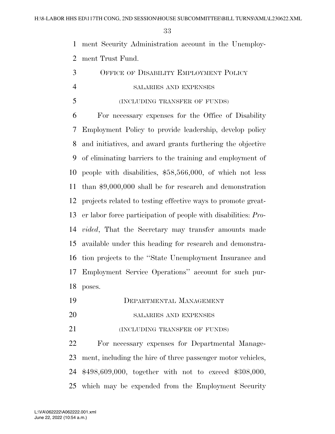ment Security Administration account in the Unemploy-ment Trust Fund.

 OFFICE OF DISABILITY EMPLOYMENT POLICY SALARIES AND EXPENSES

### (INCLUDING TRANSFER OF FUNDS)

 For necessary expenses for the Office of Disability Employment Policy to provide leadership, develop policy and initiatives, and award grants furthering the objective of eliminating barriers to the training and employment of people with disabilities, \$58,566,000, of which not less than \$9,000,000 shall be for research and demonstration projects related to testing effective ways to promote great- er labor force participation of people with disabilities: *Pro- vided*, That the Secretary may transfer amounts made available under this heading for research and demonstra- tion projects to the ''State Unemployment Insurance and Employment Service Operations'' account for such pur-poses.

- DEPARTMENTAL MANAGEMENT
- SALARIES AND EXPENSES

**(INCLUDING TRANSFER OF FUNDS)** 

 For necessary expenses for Departmental Manage- ment, including the hire of three passenger motor vehicles, \$498,609,000, together with not to exceed \$308,000, which may be expended from the Employment Security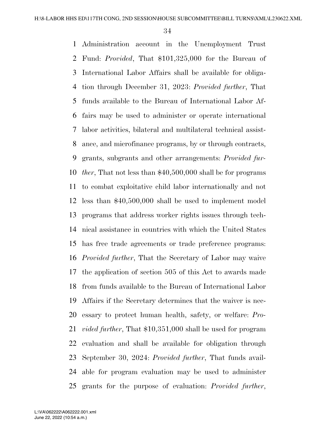Administration account in the Unemployment Trust Fund: *Provided*, That \$101,325,000 for the Bureau of International Labor Affairs shall be available for obliga- tion through December 31, 2023: *Provided further*, That funds available to the Bureau of International Labor Af- fairs may be used to administer or operate international labor activities, bilateral and multilateral technical assist- ance, and microfinance programs, by or through contracts, grants, subgrants and other arrangements: *Provided fur- ther*, That not less than \$40,500,000 shall be for programs to combat exploitative child labor internationally and not less than \$40,500,000 shall be used to implement model programs that address worker rights issues through tech- nical assistance in countries with which the United States has free trade agreements or trade preference programs: *Provided further*, That the Secretary of Labor may waive the application of section 505 of this Act to awards made from funds available to the Bureau of International Labor Affairs if the Secretary determines that the waiver is nec- essary to protect human health, safety, or welfare: *Pro- vided further*, That \$10,351,000 shall be used for program evaluation and shall be available for obligation through September 30, 2024: *Provided further*, That funds avail- able for program evaluation may be used to administer grants for the purpose of evaluation: *Provided further*,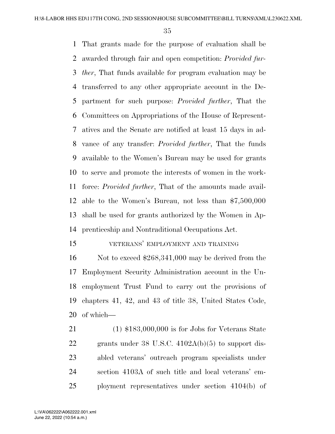That grants made for the purpose of evaluation shall be awarded through fair and open competition: *Provided fur- ther*, That funds available for program evaluation may be transferred to any other appropriate account in the De- partment for such purpose: *Provided further*, That the Committees on Appropriations of the House of Represent- atives and the Senate are notified at least 15 days in ad- vance of any transfer: *Provided further*, That the funds available to the Women's Bureau may be used for grants to serve and promote the interests of women in the work- force: *Provided further*, That of the amounts made avail- able to the Women's Bureau, not less than \$7,500,000 shall be used for grants authorized by the Women in Ap-prenticeship and Nontraditional Occupations Act.

VETERANS' EMPLOYMENT AND TRAINING

 Not to exceed \$268,341,000 may be derived from the Employment Security Administration account in the Un- employment Trust Fund to carry out the provisions of chapters 41, 42, and 43 of title 38, United States Code, of which—

 (1) \$183,000,000 is for Jobs for Veterans State grants under 38 U.S.C. 4102A(b)(5) to support dis- abled veterans' outreach program specialists under section 4103A of such title and local veterans' em-ployment representatives under section 4104(b) of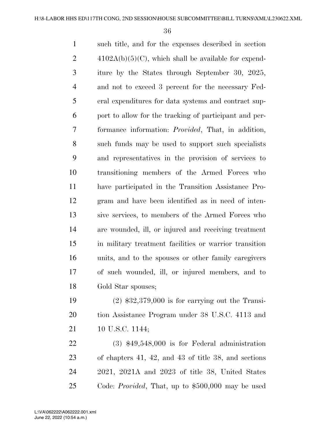such title, and for the expenses described in section  $4102A(b)(5)(C)$ , which shall be available for expend- iture by the States through September 30, 2025, and not to exceed 3 percent for the necessary Fed- eral expenditures for data systems and contract sup- port to allow for the tracking of participant and per- formance information: *Provided*, That, in addition, such funds may be used to support such specialists and representatives in the provision of services to transitioning members of the Armed Forces who have participated in the Transition Assistance Pro- gram and have been identified as in need of inten- sive services, to members of the Armed Forces who are wounded, ill, or injured and receiving treatment in military treatment facilities or warrior transition units, and to the spouses or other family caregivers of such wounded, ill, or injured members, and to Gold Star spouses;

 (2) \$32,379,000 is for carrying out the Transi- tion Assistance Program under 38 U.S.C. 4113 and 21 10 U.S.C. 1144;

 (3) \$49,548,000 is for Federal administration of chapters 41, 42, and 43 of title 38, and sections 2021, 2021A and 2023 of title 38, United States Code: *Provided*, That, up to \$500,000 may be used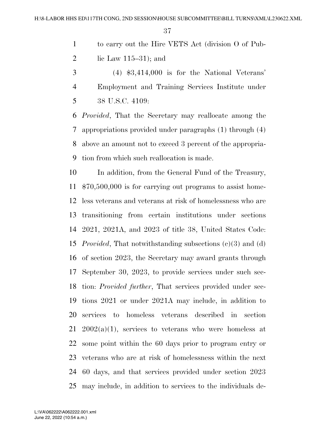- to carry out the Hire VETS Act (division O of Pub-
- 2 lie Law  $115-31$ ; and
- (4) \$3,414,000 is for the National Veterans' Employment and Training Services Institute under 38 U.S.C. 4109:

 *Provided*, That the Secretary may reallocate among the appropriations provided under paragraphs (1) through (4) above an amount not to exceed 3 percent of the appropria-tion from which such reallocation is made.

 In addition, from the General Fund of the Treasury, \$70,500,000 is for carrying out programs to assist home- less veterans and veterans at risk of homelessness who are transitioning from certain institutions under sections 2021, 2021A, and 2023 of title 38, United States Code: *Provided*, That notwithstanding subsections (c)(3) and (d) of section 2023, the Secretary may award grants through September 30, 2023, to provide services under such sec- tion: *Provided further*, That services provided under sec- tions 2021 or under 2021A may include, in addition to services to homeless veterans described in section  $21\quad2002(a)(1)$ , services to veterans who were homeless at some point within the 60 days prior to program entry or veterans who are at risk of homelessness within the next 60 days, and that services provided under section 2023 may include, in addition to services to the individuals de-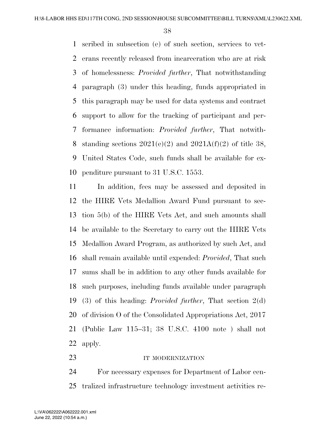scribed in subsection (e) of such section, services to vet- erans recently released from incarceration who are at risk of homelessness: *Provided further*, That notwithstanding paragraph (3) under this heading, funds appropriated in this paragraph may be used for data systems and contract support to allow for the tracking of participant and per- formance information: *Provided further*, That notwith-8 standing sections  $2021(e)(2)$  and  $2021A(f)(2)$  of title 38, United States Code, such funds shall be available for ex-penditure pursuant to 31 U.S.C. 1553.

 In addition, fees may be assessed and deposited in the HIRE Vets Medallion Award Fund pursuant to sec- tion 5(b) of the HIRE Vets Act, and such amounts shall be available to the Secretary to carry out the HIRE Vets Medallion Award Program, as authorized by such Act, and shall remain available until expended: *Provided*, That such sums shall be in addition to any other funds available for such purposes, including funds available under paragraph (3) of this heading: *Provided further*, That section 2(d) of division O of the Consolidated Appropriations Act, 2017 (Public Law 115–31; 38 U.S.C. 4100 note ) shall not apply.

#### 23 IT MODERNIZATION

 For necessary expenses for Department of Labor cen-tralized infrastructure technology investment activities re-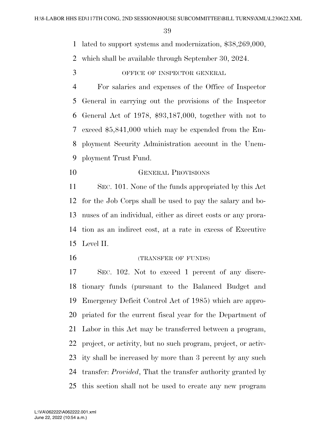lated to support systems and modernization, \$38,269,000,

which shall be available through September 30, 2024.

OFFICE OF INSPECTOR GENERAL

 For salaries and expenses of the Office of Inspector General in carrying out the provisions of the Inspector General Act of 1978, \$93,187,000, together with not to exceed \$5,841,000 which may be expended from the Em- ployment Security Administration account in the Unem-ployment Trust Fund.

GENERAL PROVISIONS

 SEC. 101. None of the funds appropriated by this Act for the Job Corps shall be used to pay the salary and bo- nuses of an individual, either as direct costs or any prora- tion as an indirect cost, at a rate in excess of Executive Level II.

16 (TRANSFER OF FUNDS)

 SEC. 102. Not to exceed 1 percent of any discre- tionary funds (pursuant to the Balanced Budget and Emergency Deficit Control Act of 1985) which are appro- priated for the current fiscal year for the Department of Labor in this Act may be transferred between a program, project, or activity, but no such program, project, or activ- ity shall be increased by more than 3 percent by any such transfer: *Provided*, That the transfer authority granted by this section shall not be used to create any new program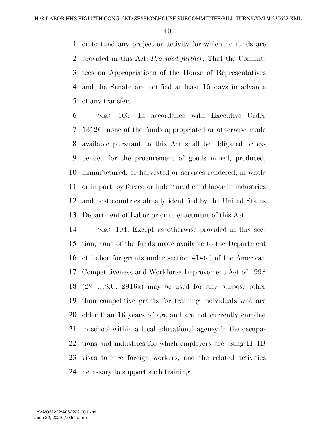or to fund any project or activity for which no funds are provided in this Act: *Provided further*, That the Commit- tees on Appropriations of the House of Representatives and the Senate are notified at least 15 days in advance of any transfer.

 SEC. 103. In accordance with Executive Order 13126, none of the funds appropriated or otherwise made available pursuant to this Act shall be obligated or ex- pended for the procurement of goods mined, produced, manufactured, or harvested or services rendered, in whole or in part, by forced or indentured child labor in industries and host countries already identified by the United States Department of Labor prior to enactment of this Act.

 SEC. 104. Except as otherwise provided in this sec- tion, none of the funds made available to the Department of Labor for grants under section 414(c) of the American Competitiveness and Workforce Improvement Act of 1998 (29 U.S.C. 2916a) may be used for any purpose other than competitive grants for training individuals who are older than 16 years of age and are not currently enrolled in school within a local educational agency in the occupa- tions and industries for which employers are using H–1B visas to hire foreign workers, and the related activities necessary to support such training.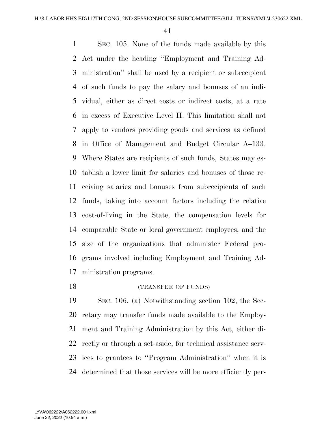SEC. 105. None of the funds made available by this Act under the heading ''Employment and Training Ad- ministration'' shall be used by a recipient or subrecipient of such funds to pay the salary and bonuses of an indi- vidual, either as direct costs or indirect costs, at a rate in excess of Executive Level II. This limitation shall not apply to vendors providing goods and services as defined in Office of Management and Budget Circular A–133. Where States are recipients of such funds, States may es- tablish a lower limit for salaries and bonuses of those re- ceiving salaries and bonuses from subrecipients of such funds, taking into account factors including the relative cost-of-living in the State, the compensation levels for comparable State or local government employees, and the size of the organizations that administer Federal pro- grams involved including Employment and Training Ad-ministration programs.

# 18 (TRANSFER OF FUNDS)

 SEC. 106. (a) Notwithstanding section 102, the Sec- retary may transfer funds made available to the Employ- ment and Training Administration by this Act, either di- rectly or through a set-aside, for technical assistance serv- ices to grantees to ''Program Administration'' when it is determined that those services will be more efficiently per-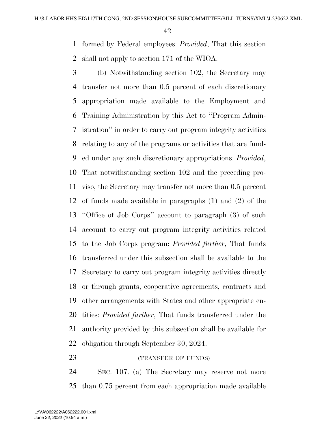formed by Federal employees: *Provided*, That this section shall not apply to section 171 of the WIOA.

- (b) Notwithstanding section 102, the Secretary may transfer not more than 0.5 percent of each discretionary appropriation made available to the Employment and Training Administration by this Act to ''Program Admin- istration'' in order to carry out program integrity activities relating to any of the programs or activities that are fund- ed under any such discretionary appropriations: *Provided*, That notwithstanding section 102 and the preceding pro- viso, the Secretary may transfer not more than 0.5 percent of funds made available in paragraphs (1) and (2) of the ''Office of Job Corps'' account to paragraph (3) of such account to carry out program integrity activities related to the Job Corps program: *Provided further*, That funds transferred under this subsection shall be available to the Secretary to carry out program integrity activities directly or through grants, cooperative agreements, contracts and other arrangements with States and other appropriate en- tities: *Provided further*, That funds transferred under the authority provided by this subsection shall be available for obligation through September 30, 2024.
- 

23 (TRANSFER OF FUNDS)

 SEC. 107. (a) The Secretary may reserve not more than 0.75 percent from each appropriation made available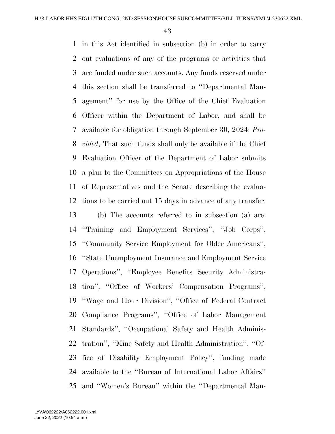in this Act identified in subsection (b) in order to carry out evaluations of any of the programs or activities that are funded under such accounts. Any funds reserved under this section shall be transferred to ''Departmental Man- agement'' for use by the Office of the Chief Evaluation Officer within the Department of Labor, and shall be available for obligation through September 30, 2024: *Pro- vided*, That such funds shall only be available if the Chief Evaluation Officer of the Department of Labor submits a plan to the Committees on Appropriations of the House of Representatives and the Senate describing the evalua- tions to be carried out 15 days in advance of any transfer. (b) The accounts referred to in subsection (a) are: ''Training and Employment Services'', ''Job Corps'', ''Community Service Employment for Older Americans'', ''State Unemployment Insurance and Employment Service Operations'', ''Employee Benefits Security Administra- tion'', ''Office of Workers' Compensation Programs'', ''Wage and Hour Division'', ''Office of Federal Contract Compliance Programs'', ''Office of Labor Management Standards'', ''Occupational Safety and Health Adminis- tration'', ''Mine Safety and Health Administration'', ''Of- fice of Disability Employment Policy'', funding made available to the ''Bureau of International Labor Affairs'' and ''Women's Bureau'' within the ''Departmental Man-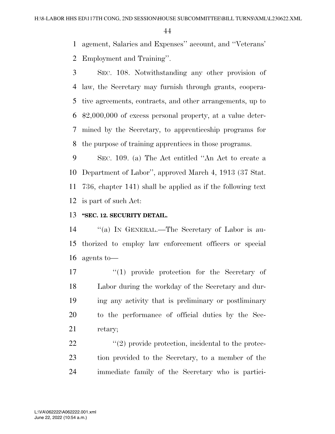agement, Salaries and Expenses'' account, and ''Veterans'

Employment and Training''.

 SEC. 108. Notwithstanding any other provision of law, the Secretary may furnish through grants, coopera- tive agreements, contracts, and other arrangements, up to \$2,000,000 of excess personal property, at a value deter- mined by the Secretary, to apprenticeship programs for the purpose of training apprentices in those programs.

 SEC. 109. (a) The Act entitled ''An Act to create a Department of Labor'', approved March 4, 1913 (37 Stat. 736, chapter 141) shall be applied as if the following text is part of such Act:

# **''SEC. 12. SECURITY DETAIL.**

 ''(a) IN GENERAL.—The Secretary of Labor is au- thorized to employ law enforcement officers or special agents to—

 $\langle (1) \rangle$  provide protection for the Secretary of Labor during the workday of the Secretary and dur- ing any activity that is preliminary or postliminary to the performance of official duties by the Sec-retary;

22  $\langle \langle 2 \rangle$  provide protection, incidental to the protec- tion provided to the Secretary, to a member of the immediate family of the Secretary who is partici-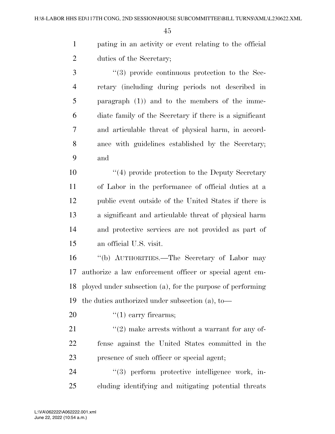pating in an activity or event relating to the official duties of the Secretary;

 ''(3) provide continuous protection to the Sec- retary (including during periods not described in paragraph (1)) and to the members of the imme- diate family of the Secretary if there is a significant and articulable threat of physical harm, in accord- ance with guidelines established by the Secretary; and

10 ''(4) provide protection to the Deputy Secretary of Labor in the performance of official duties at a public event outside of the United States if there is a significant and articulable threat of physical harm and protective services are not provided as part of an official U.S. visit.

 ''(b) AUTHORITIES.—The Secretary of Labor may authorize a law enforcement officer or special agent em- ployed under subsection (a), for the purpose of performing the duties authorized under subsection (a), to—

20  $\frac{((1) \text{ carry firearms})}{(1) \text{ carry firearms}}$ 

21  $\frac{u(2)}{2}$  make arrests without a warrant for any of- fense against the United States committed in the presence of such officer or special agent;

24  $(3)$  perform protective intelligence work, in-cluding identifying and mitigating potential threats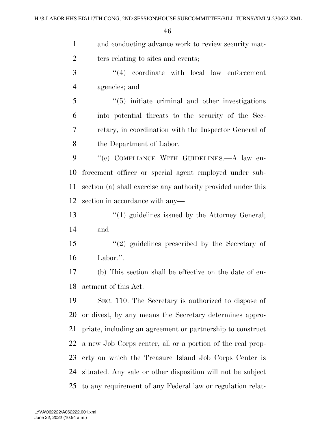| $\mathbf{1}$   | and conducting advance work to review security mat-          |
|----------------|--------------------------------------------------------------|
| $\overline{2}$ | ters relating to sites and events;                           |
| 3              | $(4)$ coordinate with local law enforcement                  |
| $\overline{4}$ | agencies; and                                                |
| 5              | $\cdot\cdot$ (5) initiate criminal and other investigations  |
| 6              | into potential threats to the security of the Sec-           |
| 7              | retary, in coordination with the Inspector General of        |
| 8              | the Department of Labor.                                     |
| 9              | "(c) COMPLIANCE WITH GUIDELINES.—A law en-                   |
| 10             | forcement officer or special agent employed under sub-       |
| 11             | section (a) shall exercise any authority provided under this |
| 12             | section in accordance with any-                              |
| 13             | $\lq(1)$ guidelines issued by the Attorney General;          |
| 14             | and                                                          |
| 15             | $"(2)$ guidelines prescribed by the Secretary of             |
| 16             | Labor.".                                                     |
| 17             | (b) This section shall be effective on the date of en-       |
| 18             | actment of this Act.                                         |
| 19             | SEC. 110. The Secretary is authorized to dispose of          |
| 20             | or divest, by any means the Secretary determines appro-      |
| 21             | priate, including an agreement or partnership to construct   |
| 22             | a new Job Corps center, all or a portion of the real prop-   |
| 23             | erty on which the Treasure Island Job Corps Center is        |
| 24             | situated. Any sale or other disposition will not be subject  |
| 25             | to any requirement of any Federal law or regulation relat-   |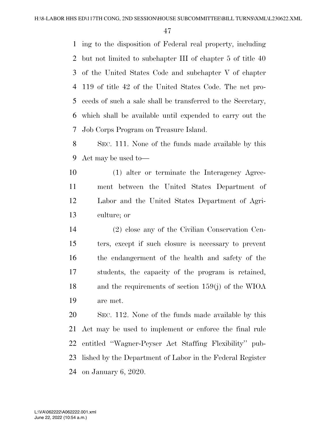ing to the disposition of Federal real property, including but not limited to subchapter III of chapter 5 of title 40 of the United States Code and subchapter V of chapter 119 of title 42 of the United States Code. The net pro- ceeds of such a sale shall be transferred to the Secretary, which shall be available until expended to carry out the Job Corps Program on Treasure Island.

 SEC. 111. None of the funds made available by this Act may be used to—

 (1) alter or terminate the Interagency Agree- ment between the United States Department of Labor and the United States Department of Agri-culture; or

 (2) close any of the Civilian Conservation Cen- ters, except if such closure is necessary to prevent the endangerment of the health and safety of the students, the capacity of the program is retained, and the requirements of section 159(j) of the WIOA are met.

 SEC. 112. None of the funds made available by this Act may be used to implement or enforce the final rule entitled ''Wagner-Peyser Act Staffing Flexibility'' pub- lished by the Department of Labor in the Federal Register on January 6, 2020.

June 22, 2022 (10:54 a.m.) L:\VA\062222\A062222.001.xml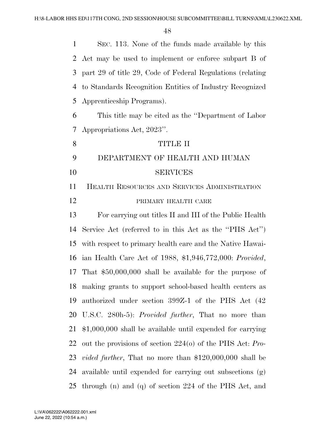| $\mathbf{1}$   | SEC. 113. None of the funds made available by this               |
|----------------|------------------------------------------------------------------|
| 2              | Act may be used to implement or enforce subpart B of             |
| 3              | part 29 of title 29, Code of Federal Regulations (relating       |
| $\overline{4}$ | to Standards Recognition Entities of Industry Recognized         |
| 5              | Apprenticeship Programs).                                        |
| 6              | This title may be cited as the "Department of Labor"             |
| 7              | Appropriations Act, 2023".                                       |
| 8              | TITLE II                                                         |
| 9              | DEPARTMENT OF HEALTH AND HUMAN                                   |
| 10             | <b>SERVICES</b>                                                  |
| 11             | <b>HEALTH RESOURCES AND SERVICES ADMINISTRATION</b>              |
| 12             | PRIMARY HEALTH CARE                                              |
| 13             | For carrying out titles II and III of the Public Health          |
| 14             | Service Act (referred to in this Act as the "PHS Act")           |
| 15             | with respect to primary health care and the Native Hawai-        |
| 16             | ian Health Care Act of 1988, \$1,946,772,000: Provided,          |
| 17             | That $$50,000,000$ shall be available for the purpose of         |
| 18             | making grants to support school-based health centers as          |
| 19             | authorized under section 399Z-1 of the PHS Act (42               |
| 20             | U.S.C. 280h-5): <i>Provided further</i> , That no more than      |
| 21             | $$1,000,000$ shall be available until expended for carrying      |
| 22             | out the provisions of section $2240$ of the PHS Act: Pro-        |
| 23             | <i>vided further</i> , That no more than $$120,000,000$ shall be |
| 24             | available until expended for carrying out subsections (g)        |
| 25             | through $(n)$ and $(q)$ of section 224 of the PHS Act, and       |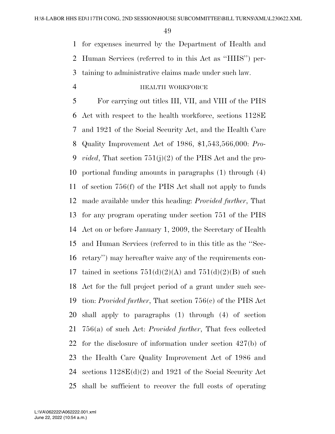for expenses incurred by the Department of Health and

Human Services (referred to in this Act as ''HHS'') per-

taining to administrative claims made under such law.

### HEALTH WORKFORCE

 For carrying out titles III, VII, and VIII of the PHS Act with respect to the health workforce, sections 1128E and 1921 of the Social Security Act, and the Health Care Quality Improvement Act of 1986, \$1,543,566,000: *Pro- vided*, That section 751(j)(2) of the PHS Act and the pro- portional funding amounts in paragraphs (1) through (4) of section 756(f) of the PHS Act shall not apply to funds made available under this heading: *Provided further*, That for any program operating under section 751 of the PHS Act on or before January 1, 2009, the Secretary of Health and Human Services (referred to in this title as the ''Sec- retary'') may hereafter waive any of the requirements con-17 tained in sections  $751(d)(2)(A)$  and  $751(d)(2)(B)$  of such Act for the full project period of a grant under such sec- tion: *Provided further*, That section 756(c) of the PHS Act shall apply to paragraphs (1) through (4) of section 756(a) of such Act: *Provided further*, That fees collected for the disclosure of information under section 427(b) of the Health Care Quality Improvement Act of 1986 and sections 1128E(d)(2) and 1921 of the Social Security Act shall be sufficient to recover the full costs of operating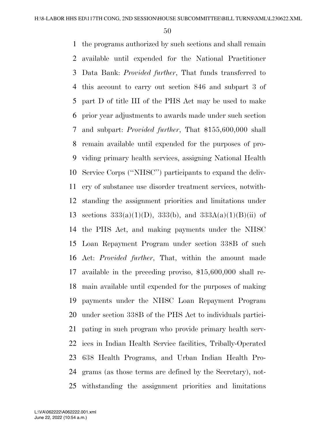the programs authorized by such sections and shall remain available until expended for the National Practitioner Data Bank: *Provided further*, That funds transferred to this account to carry out section 846 and subpart 3 of part D of title III of the PHS Act may be used to make prior year adjustments to awards made under such section and subpart: *Provided further*, That \$155,600,000 shall remain available until expended for the purposes of pro- viding primary health services, assigning National Health Service Corps (''NHSC'') participants to expand the deliv- ery of substance use disorder treatment services, notwith- standing the assignment priorities and limitations under 13 sections  $333(a)(1)(D)$ ,  $333(b)$ , and  $333A(a)(1)(B)(ii)$  of the PHS Act, and making payments under the NHSC Loan Repayment Program under section 338B of such Act: *Provided further*, That, within the amount made available in the preceding proviso, \$15,600,000 shall re- main available until expended for the purposes of making payments under the NHSC Loan Repayment Program under section 338B of the PHS Act to individuals partici- pating in such program who provide primary health serv- ices in Indian Health Service facilities, Tribally-Operated 638 Health Programs, and Urban Indian Health Pro- grams (as those terms are defined by the Secretary), not-withstanding the assignment priorities and limitations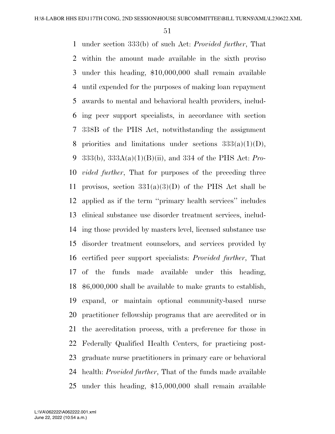under section 333(b) of such Act: *Provided further*, That within the amount made available in the sixth proviso under this heading, \$10,000,000 shall remain available until expended for the purposes of making loan repayment awards to mental and behavioral health providers, includ- ing peer support specialists, in accordance with section 338B of the PHS Act, notwithstanding the assignment 8 priorities and limitations under sections  $333(a)(1)(D)$ , 333(b), 333A(a)(1)(B)(ii), and 334 of the PHS Act: *Pro- vided further*, That for purposes of the preceding three 11 provisos, section  $331(a)(3)(D)$  of the PHS Act shall be applied as if the term ''primary health services'' includes clinical substance use disorder treatment services, includ- ing those provided by masters level, licensed substance use disorder treatment counselors, and services provided by certified peer support specialists: *Provided further*, That of the funds made available under this heading, \$6,000,000 shall be available to make grants to establish, expand, or maintain optional community-based nurse practitioner fellowship programs that are accredited or in the accreditation process, with a preference for those in Federally Qualified Health Centers, for practicing post- graduate nurse practitioners in primary care or behavioral health: *Provided further*, That of the funds made available under this heading, \$15,000,000 shall remain available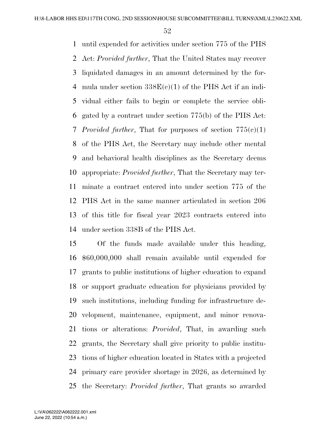until expended for activities under section 775 of the PHS Act: *Provided further*, That the United States may recover liquidated damages in an amount determined by the for-4 mula under section  $338E(c)(1)$  of the PHS Act if an indi- vidual either fails to begin or complete the service obli- gated by a contract under section 775(b) of the PHS Act: *Provided further*, That for purposes of section 775(c)(1) of the PHS Act, the Secretary may include other mental and behavioral health disciplines as the Secretary deems appropriate: *Provided further*, That the Secretary may ter- minate a contract entered into under section 775 of the PHS Act in the same manner articulated in section 206 of this title for fiscal year 2023 contracts entered into under section 338B of the PHS Act.

 Of the funds made available under this heading, \$60,000,000 shall remain available until expended for grants to public institutions of higher education to expand or support graduate education for physicians provided by such institutions, including funding for infrastructure de- velopment, maintenance, equipment, and minor renova- tions or alterations: *Provided*, That, in awarding such grants, the Secretary shall give priority to public institu- tions of higher education located in States with a projected primary care provider shortage in 2026, as determined by the Secretary: *Provided further*, That grants so awarded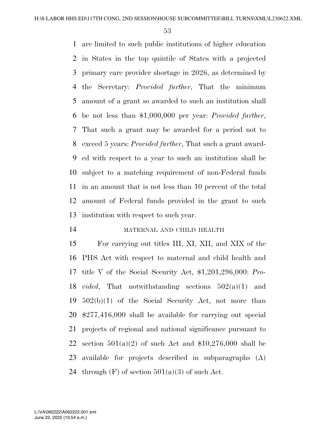are limited to such public institutions of higher education in States in the top quintile of States with a projected primary care provider shortage in 2026, as determined by the Secretary: *Provided further*, That the minimum amount of a grant so awarded to such an institution shall be not less than \$1,000,000 per year: *Provided further*, That such a grant may be awarded for a period not to exceed 5 years: *Provided further*, That such a grant award- ed with respect to a year to such an institution shall be subject to a matching requirement of non-Federal funds in an amount that is not less than 10 percent of the total amount of Federal funds provided in the grant to such institution with respect to such year.

# MATERNAL AND CHILD HEALTH

 For carrying out titles III, XI, XII, and XIX of the PHS Act with respect to maternal and child health and title V of the Social Security Act, \$1,201,296,000: *Pro- vided*, That notwithstanding sections 502(a)(1) and 502(b)(1) of the Social Security Act, not more than \$277,416,000 shall be available for carrying out special projects of regional and national significance pursuant to 22 section  $501(a)(2)$  of such Act and \$10,276,000 shall be available for projects described in subparagraphs (A) 24 through  $(F)$  of section  $501(a)(3)$  of such Act.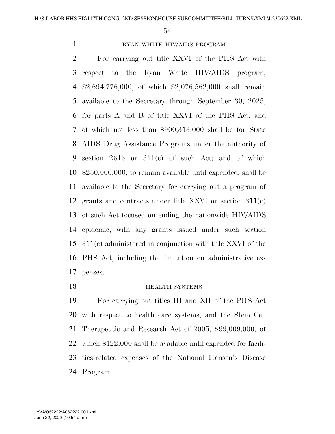# 1 RYAN WHITE HIV/AIDS PROGRAM

 For carrying out title XXVI of the PHS Act with respect to the Ryan White HIV/AIDS program, \$2,694,776,000, of which \$2,076,562,000 shall remain available to the Secretary through September 30, 2025, for parts A and B of title XXVI of the PHS Act, and of which not less than \$900,313,000 shall be for State AIDS Drug Assistance Programs under the authority of section 2616 or 311(c) of such Act; and of which \$250,000,000, to remain available until expended, shall be available to the Secretary for carrying out a program of grants and contracts under title XXVI or section 311(c) of such Act focused on ending the nationwide HIV/AIDS epidemic, with any grants issued under such section 311(c) administered in conjunction with title XXVI of the PHS Act, including the limitation on administrative ex-penses.

#### **HEALTH SYSTEMS**

 For carrying out titles III and XII of the PHS Act with respect to health care systems, and the Stem Cell Therapeutic and Research Act of 2005, \$99,009,000, of which \$122,000 shall be available until expended for facili- ties-related expenses of the National Hansen's Disease Program.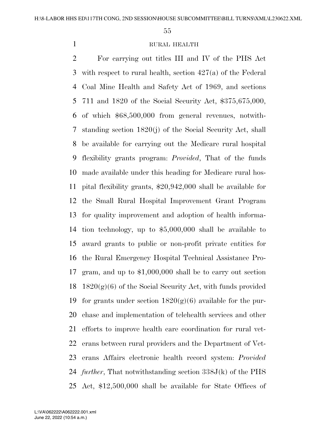# RURAL HEALTH

 For carrying out titles III and IV of the PHS Act with respect to rural health, section 427(a) of the Federal Coal Mine Health and Safety Act of 1969, and sections 711 and 1820 of the Social Security Act, \$375,675,000, of which \$68,500,000 from general revenues, notwith- standing section 1820(j) of the Social Security Act, shall be available for carrying out the Medicare rural hospital flexibility grants program: *Provided*, That of the funds made available under this heading for Medicare rural hos- pital flexibility grants, \$20,942,000 shall be available for the Small Rural Hospital Improvement Grant Program for quality improvement and adoption of health informa- tion technology, up to \$5,000,000 shall be available to award grants to public or non-profit private entities for the Rural Emergency Hospital Technical Assistance Pro- gram, and up to \$1,000,000 shall be to carry out section  $1820(g)(6)$  of the Social Security Act, with funds provided 19 for grants under section  $1820(g)(6)$  available for the pur- chase and implementation of telehealth services and other efforts to improve health care coordination for rural vet- erans between rural providers and the Department of Vet- erans Affairs electronic health record system: *Provided further*, That notwithstanding section 338J(k) of the PHS Act, \$12,500,000 shall be available for State Offices of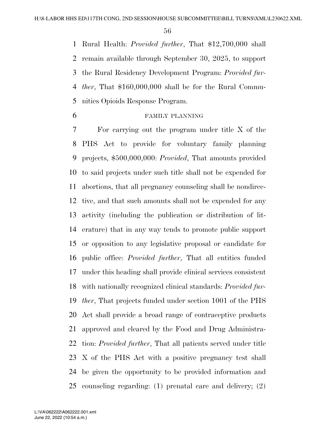Rural Health: *Provided further*, That \$12,700,000 shall remain available through September 30, 2025, to support the Rural Residency Development Program: *Provided fur- ther*, That \$160,000,000 shall be for the Rural Commu-nities Opioids Response Program.

## FAMILY PLANNING

 For carrying out the program under title X of the PHS Act to provide for voluntary family planning projects, \$500,000,000: *Provided*, That amounts provided to said projects under such title shall not be expended for abortions, that all pregnancy counseling shall be nondirec- tive, and that such amounts shall not be expended for any activity (including the publication or distribution of lit- erature) that in any way tends to promote public support or opposition to any legislative proposal or candidate for public office: *Provided further*, That all entities funded under this heading shall provide clinical services consistent with nationally recognized clinical standards: *Provided fur- ther*, That projects funded under section 1001 of the PHS Act shall provide a broad range of contraceptive products approved and cleared by the Food and Drug Administra- tion: *Provided further*, That all patients served under title X of the PHS Act with a positive pregnancy test shall be given the opportunity to be provided information and counseling regarding: (1) prenatal care and delivery; (2)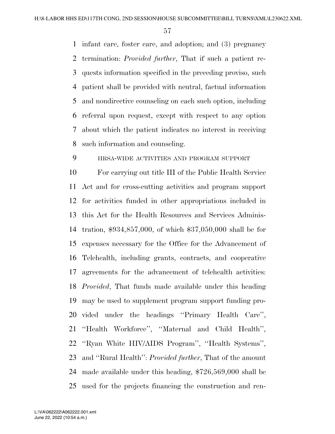infant care, foster care, and adoption; and (3) pregnancy termination: *Provided further*, That if such a patient re- quests information specified in the preceding proviso, such patient shall be provided with neutral, factual information and nondirective counseling on each such option, including referral upon request, except with respect to any option about which the patient indicates no interest in receiving such information and counseling.

# HRSA-WIDE ACTIVITIES AND PROGRAM SUPPORT

 For carrying out title III of the Public Health Service Act and for cross-cutting activities and program support for activities funded in other appropriations included in this Act for the Health Resources and Services Adminis- tration, \$934,857,000, of which \$37,050,000 shall be for expenses necessary for the Office for the Advancement of Telehealth, including grants, contracts, and cooperative agreements for the advancement of telehealth activities: *Provided*, That funds made available under this heading may be used to supplement program support funding pro- vided under the headings ''Primary Health Care'', ''Health Workforce'', ''Maternal and Child Health'', ''Ryan White HIV/AIDS Program'', ''Health Systems'', and ''Rural Health'': *Provided further*, That of the amount made available under this heading, \$726,569,000 shall be used for the projects financing the construction and ren-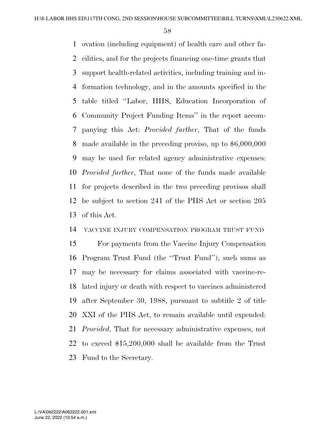ovation (including equipment) of health care and other fa- cilities, and for the projects financing one-time grants that support health-related activities, including training and in- formation technology, and in the amounts specified in the table titled ''Labor, HHS, Education Incorporation of Community Project Funding Items'' in the report accom- panying this Act: *Provided further*, That of the funds made available in the preceding proviso, up to \$6,000,000 may be used for related agency administrative expenses: *Provided further*, That none of the funds made available for projects described in the two preceding provisos shall be subject to section 241 of the PHS Act or section 205 of this Act.

## VACCINE INJURY COMPENSATION PROGRAM TRUST FUND

 For payments from the Vaccine Injury Compensation Program Trust Fund (the ''Trust Fund''), such sums as may be necessary for claims associated with vaccine-re- lated injury or death with respect to vaccines administered after September 30, 1988, pursuant to subtitle 2 of title XXI of the PHS Act, to remain available until expended: *Provided*, That for necessary administrative expenses, not to exceed \$15,200,000 shall be available from the Trust Fund to the Secretary.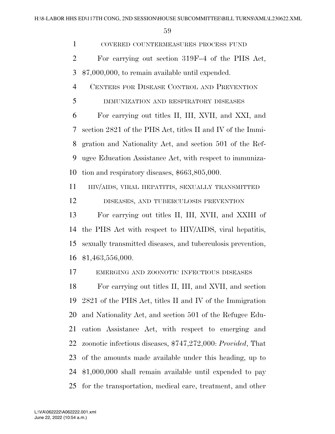COVERED COUNTERMEASURES PROCESS FUND For carrying out section 319F–4 of the PHS Act, \$7,000,000, to remain available until expended. CENTERS FOR DISEASE CONTROL AND PREVENTION IMMUNIZATION AND RESPIRATORY DISEASES For carrying out titles II, III, XVII, and XXI, and section 2821 of the PHS Act, titles II and IV of the Immi- gration and Nationality Act, and section 501 of the Ref- ugee Education Assistance Act, with respect to immuniza- tion and respiratory diseases, \$663,805,000. HIV/AIDS, VIRAL HEPATITIS, SEXUALLY TRANSMITTED DISEASES, AND TUBERCULOSIS PREVENTION For carrying out titles II, III, XVII, and XXIII of the PHS Act with respect to HIV/AIDS, viral hepatitis, sexually transmitted diseases, and tuberculosis prevention, \$1,463,556,000. EMERGING AND ZOONOTIC INFECTIOUS DISEASES For carrying out titles II, III, and XVII, and section 2821 of the PHS Act, titles II and IV of the Immigration and Nationality Act, and section 501 of the Refugee Edu- cation Assistance Act, with respect to emerging and zoonotic infectious diseases, \$747,272,000: *Provided*, That of the amounts made available under this heading, up to \$1,000,000 shall remain available until expended to pay

for the transportation, medical care, treatment, and other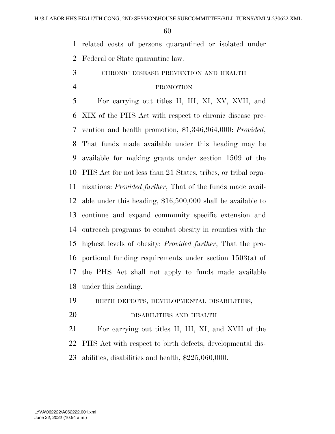related costs of persons quarantined or isolated under

Federal or State quarantine law.

CHRONIC DISEASE PREVENTION AND HEALTH

#### PROMOTION

 For carrying out titles II, III, XI, XV, XVII, and XIX of the PHS Act with respect to chronic disease pre- vention and health promotion, \$1,346,964,000: *Provided*, That funds made available under this heading may be available for making grants under section 1509 of the PHS Act for not less than 21 States, tribes, or tribal orga- nizations: *Provided further*, That of the funds made avail- able under this heading, \$16,500,000 shall be available to continue and expand community specific extension and outreach programs to combat obesity in counties with the highest levels of obesity: *Provided further*, That the pro- portional funding requirements under section 1503(a) of the PHS Act shall not apply to funds made available under this heading.

BIRTH DEFECTS, DEVELOPMENTAL DISABILITIES,

DISABILITIES AND HEALTH

 For carrying out titles II, III, XI, and XVII of the PHS Act with respect to birth defects, developmental dis-abilities, disabilities and health, \$225,060,000.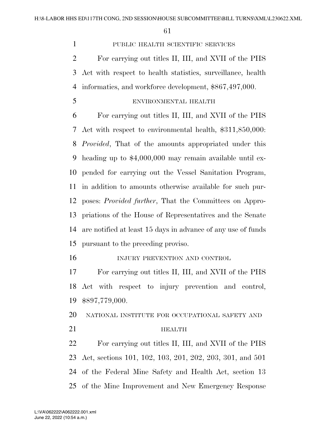# PUBLIC HEALTH SCIENTIFIC SERVICES

 For carrying out titles II, III, and XVII of the PHS Act with respect to health statistics, surveillance, health informatics, and workforce development, \$867,497,000.

# ENVIRONMENTAL HEALTH

 For carrying out titles II, III, and XVII of the PHS Act with respect to environmental health, \$311,850,000: *Provided*, That of the amounts appropriated under this heading up to \$4,000,000 may remain available until ex- pended for carrying out the Vessel Sanitation Program, in addition to amounts otherwise available for such pur- poses: *Provided further*, That the Committees on Appro- priations of the House of Representatives and the Senate are notified at least 15 days in advance of any use of funds pursuant to the preceding proviso.

16 INJURY PREVENTION AND CONTROL

 For carrying out titles II, III, and XVII of the PHS Act with respect to injury prevention and control, \$897,779,000.

NATIONAL INSTITUTE FOR OCCUPATIONAL SAFETY AND

#### 21 HEALTH

 For carrying out titles II, III, and XVII of the PHS Act, sections 101, 102, 103, 201, 202, 203, 301, and 501 of the Federal Mine Safety and Health Act, section 13 of the Mine Improvement and New Emergency Response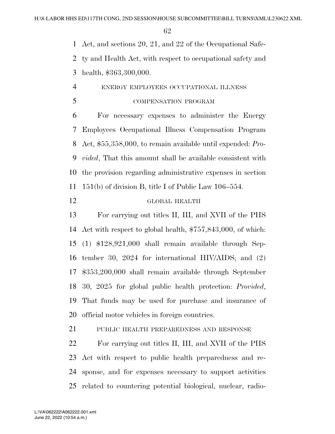Act, and sections 20, 21, and 22 of the Occupational Safe-

 ty and Health Act, with respect to occupational safety and health, \$363,300,000.

# ENERGY EMPLOYEES OCCUPATIONAL ILLNESS

COMPENSATION PROGRAM

 For necessary expenses to administer the Energy Employees Occupational Illness Compensation Program Act, \$55,358,000, to remain available until expended: *Pro- vided*, That this amount shall be available consistent with the provision regarding administrative expenses in section 151(b) of division B, title I of Public Law 106–554.

# GLOBAL HEALTH

 For carrying out titles II, III, and XVII of the PHS Act with respect to global health, \$757,843,000, of which: (1) \$128,921,000 shall remain available through Sep- tember 30, 2024 for international HIV/AIDS; and (2) \$353,200,000 shall remain available through September 30, 2025 for global public health protection: *Provided*, That funds may be used for purchase and insurance of official motor vehicles in foreign countries.

PUBLIC HEALTH PREPAREDNESS AND RESPONSE

 For carrying out titles II, III, and XVII of the PHS Act with respect to public health preparedness and re- sponse, and for expenses necessary to support activities related to countering potential biological, nuclear, radio-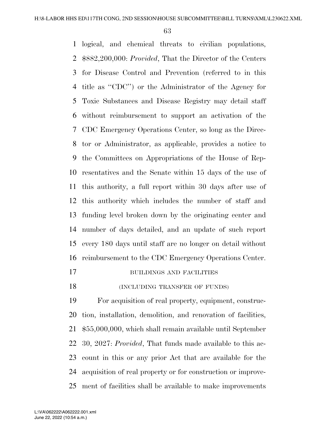logical, and chemical threats to civilian populations, \$882,200,000: *Provided*, That the Director of the Centers for Disease Control and Prevention (referred to in this title as ''CDC'') or the Administrator of the Agency for Toxic Substances and Disease Registry may detail staff without reimbursement to support an activation of the CDC Emergency Operations Center, so long as the Direc- tor or Administrator, as applicable, provides a notice to the Committees on Appropriations of the House of Rep- resentatives and the Senate within 15 days of the use of this authority, a full report within 30 days after use of this authority which includes the number of staff and funding level broken down by the originating center and number of days detailed, and an update of such report every 180 days until staff are no longer on detail without reimbursement to the CDC Emergency Operations Center.

- 17 BUILDINGS AND FACILITIES
- 18 (INCLUDING TRANSFER OF FUNDS)

 For acquisition of real property, equipment, construc- tion, installation, demolition, and renovation of facilities, \$55,000,000, which shall remain available until September 30, 2027: *Provided*, That funds made available to this ac- count in this or any prior Act that are available for the acquisition of real property or for construction or improve-ment of facilities shall be available to make improvements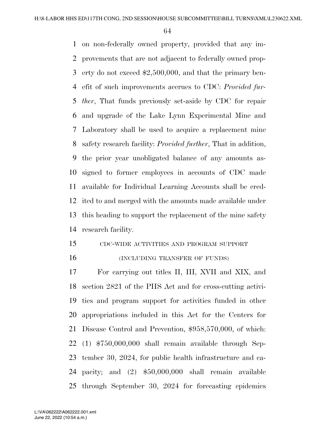on non-federally owned property, provided that any im- provements that are not adjacent to federally owned prop- erty do not exceed \$2,500,000, and that the primary ben- efit of such improvements accrues to CDC: *Provided fur- ther*, That funds previously set-aside by CDC for repair and upgrade of the Lake Lynn Experimental Mine and Laboratory shall be used to acquire a replacement mine safety research facility: *Provided further*, That in addition, the prior year unobligated balance of any amounts as- signed to former employees in accounts of CDC made available for Individual Learning Accounts shall be cred- ited to and merged with the amounts made available under this heading to support the replacement of the mine safety research facility.

# CDC-WIDE ACTIVITIES AND PROGRAM SUPPORT

#### 16 (INCLUDING TRANSFER OF FUNDS)

 For carrying out titles II, III, XVII and XIX, and section 2821 of the PHS Act and for cross-cutting activi- ties and program support for activities funded in other appropriations included in this Act for the Centers for Disease Control and Prevention, \$958,570,000, of which: (1) \$750,000,000 shall remain available through Sep- tember 30, 2024, for public health infrastructure and ca- pacity; and (2) \$50,000,000 shall remain available through September 30, 2024 for forecasting epidemics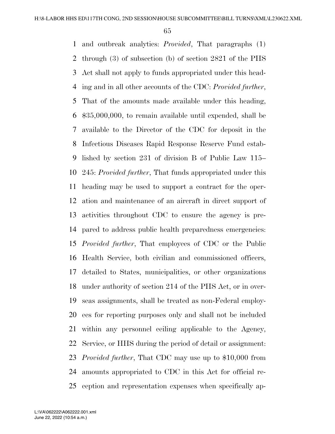and outbreak analytics: *Provided*, That paragraphs (1) through (3) of subsection (b) of section 2821 of the PHS Act shall not apply to funds appropriated under this head- ing and in all other accounts of the CDC: *Provided further*, That of the amounts made available under this heading, \$35,000,000, to remain available until expended, shall be available to the Director of the CDC for deposit in the Infectious Diseases Rapid Response Reserve Fund estab- lished by section 231 of division B of Public Law 115– 245: *Provided further*, That funds appropriated under this heading may be used to support a contract for the oper- ation and maintenance of an aircraft in direct support of activities throughout CDC to ensure the agency is pre- pared to address public health preparedness emergencies: *Provided further*, That employees of CDC or the Public Health Service, both civilian and commissioned officers, detailed to States, municipalities, or other organizations under authority of section 214 of the PHS Act, or in over- seas assignments, shall be treated as non-Federal employ- ees for reporting purposes only and shall not be included within any personnel ceiling applicable to the Agency, Service, or HHS during the period of detail or assignment: *Provided further*, That CDC may use up to \$10,000 from amounts appropriated to CDC in this Act for official re-ception and representation expenses when specifically ap-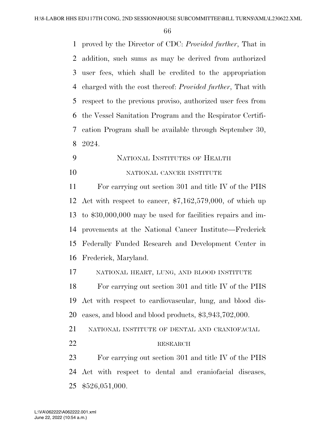proved by the Director of CDC: *Provided further*, That in addition, such sums as may be derived from authorized user fees, which shall be credited to the appropriation charged with the cost thereof: *Provided further*, That with respect to the previous proviso, authorized user fees from the Vessel Sanitation Program and the Respirator Certifi- cation Program shall be available through September 30, 2024.

 NATIONAL INSTITUTES OF HEALTH 10 NATIONAL CANCER INSTITUTE

 For carrying out section 301 and title IV of the PHS Act with respect to cancer, \$7,162,579,000, of which up to \$30,000,000 may be used for facilities repairs and im- provements at the National Cancer Institute—Frederick Federally Funded Research and Development Center in Frederick, Maryland.

NATIONAL HEART, LUNG, AND BLOOD INSTITUTE

 For carrying out section 301 and title IV of the PHS Act with respect to cardiovascular, lung, and blood dis-eases, and blood and blood products, \$3,943,702,000.

NATIONAL INSTITUTE OF DENTAL AND CRANIOFACIAL

#### 22 RESEARCH

 For carrying out section 301 and title IV of the PHS Act with respect to dental and craniofacial diseases, \$526,051,000.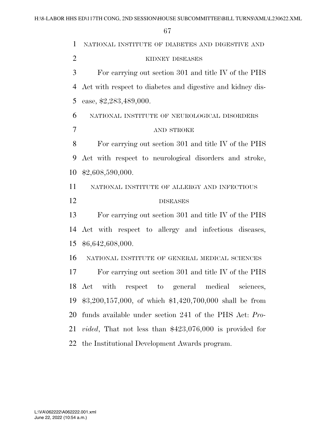NATIONAL INSTITUTE OF DIABETES AND DIGESTIVE AND KIDNEY DISEASES For carrying out section 301 and title IV of the PHS Act with respect to diabetes and digestive and kidney dis- ease, \$2,283,489,000. NATIONAL INSTITUTE OF NEUROLOGICAL DISORDERS AND STROKE For carrying out section 301 and title IV of the PHS Act with respect to neurological disorders and stroke, \$2,608,590,000. NATIONAL INSTITUTE OF ALLERGY AND INFECTIOUS DISEASES For carrying out section 301 and title IV of the PHS Act with respect to allergy and infectious diseases, \$6,642,608,000. NATIONAL INSTITUTE OF GENERAL MEDICAL SCIENCES For carrying out section 301 and title IV of the PHS Act with respect to general medical sciences, \$3,200,157,000, of which \$1,420,700,000 shall be from funds available under section 241 of the PHS Act: *Pro- vided*, That not less than \$423,076,000 is provided for the Institutional Development Awards program.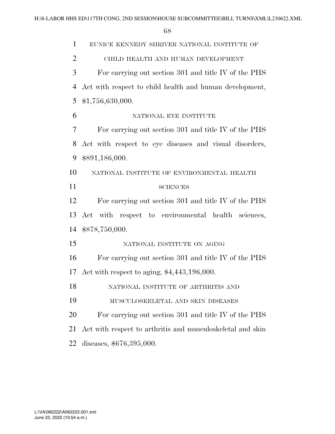| $\mathbf{1}$   | EUNICE KENNEDY SHRIVER NATIONAL INSTITUTE OF               |
|----------------|------------------------------------------------------------|
| $\overline{2}$ | CHILD HEALTH AND HUMAN DEVELOPMENT                         |
| 3              | For carrying out section 301 and title IV of the PHS       |
| $\overline{4}$ | Act with respect to child health and human development,    |
| 5              | \$1,756,630,000.                                           |
| 6              | NATIONAL EYE INSTITUTE                                     |
| 7              | For carrying out section 301 and title IV of the PHS       |
| 8              | Act with respect to eye diseases and visual disorders,     |
| 9              | \$891,186,000.                                             |
| 10             | NATIONAL INSTITUTE OF ENVIRONMENTAL HEALTH                 |
| 11             | <b>SCIENCES</b>                                            |
| 12             | For carrying out section 301 and title IV of the PHS       |
| 13             | Act with respect to environmental health sciences,         |
| 14             | \$878,750,000.                                             |
| 15             | NATIONAL INSTITUTE ON AGING                                |
| 16             | For carrying out section 301 and title IV of the PHS       |
| 17             | Act with respect to aging, $$4,443,196,000$ .              |
| 18             | NATIONAL INSTITUTE OF ARTHRITIS AND                        |
| 19             | MUSCULOSKELETAL AND SKIN DISEASES                          |
| 20             | For carrying out section 301 and title IV of the PHS       |
| 21             | Act with respect to arthritis and musculoskeletal and skin |
| 22             | diseases, \$676,395,000.                                   |
|                |                                                            |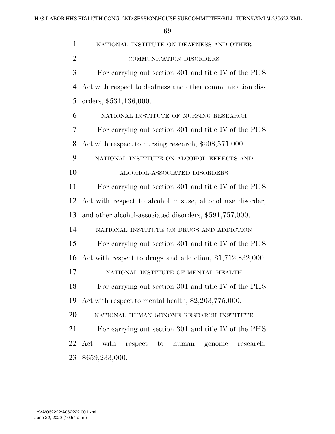| 1              | NATIONAL INSTITUTE ON DEAFNESS AND OTHER                                |
|----------------|-------------------------------------------------------------------------|
| $\overline{2}$ | COMMUNICATION DISORDERS                                                 |
| 3              | For carrying out section 301 and title IV of the PHS                    |
| 4              | Act with respect to deafness and other communication dis-               |
| 5              | orders, \$531,136,000.                                                  |
| 6              | NATIONAL INSTITUTE OF NURSING RESEARCH                                  |
| 7              | For carrying out section 301 and title IV of the PHS                    |
| 8              | Act with respect to nursing research, \$208,571,000.                    |
| 9              | NATIONAL INSTITUTE ON ALCOHOL EFFECTS AND                               |
| 10             | ALCOHOL-ASSOCIATED DISORDERS                                            |
| 11             | For carrying out section 301 and title IV of the PHS                    |
| 12             | Act with respect to alcohol misuse, alcohol use disorder,               |
| 13             | and other alcohol-associated disorders, \$591,757,000.                  |
| 14             | NATIONAL INSTITUTE ON DRUGS AND ADDICTION                               |
| 15             | For carrying out section 301 and title IV of the PHS                    |
| 16             | Act with respect to drugs and addiction, \$1,712,832,000.               |
| 17             | NATIONAL INSTITUTE OF MENTAL HEALTH                                     |
| 18             | For carrying out section 301 and title IV of the PHS                    |
| 19             | Act with respect to mental health, $\text{$2,203,775,000}$ .            |
| 20             | NATIONAL HUMAN GENOME RESEARCH INSTITUTE                                |
| 21             | For carrying out section 301 and title IV of the PHS                    |
|                | 22 Act with<br>respect<br>human<br>genome<br>$\mathrm{to}$<br>research, |
| 23             | \$659,233,000.                                                          |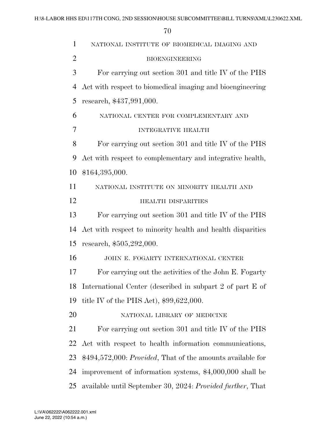| $\mathbf{1}$   | NATIONAL INSTITUTE OF BIOMEDICAL IMAGING AND                       |
|----------------|--------------------------------------------------------------------|
| $\overline{2}$ | <b>BIOENGINEERING</b>                                              |
| 3              | For carrying out section 301 and title IV of the PHS               |
| $\overline{4}$ | Act with respect to biomedical imaging and bioengineering          |
| 5              | research, \$437,991,000.                                           |
| 6              | NATIONAL CENTER FOR COMPLEMENTARY AND                              |
| 7              | <b>INTEGRATIVE HEALTH</b>                                          |
| 8              | For carrying out section 301 and title IV of the PHS               |
| 9              | Act with respect to complementary and integrative health,          |
| 10             | \$164,395,000.                                                     |
| 11             | NATIONAL INSTITUTE ON MINORITY HEALTH AND                          |
| 12             | <b>HEALTH DISPARITIES</b>                                          |
| 13             | For carrying out section 301 and title IV of the PHS               |
| 14             | Act with respect to minority health and health disparities         |
| 15             | research, \$505,292,000.                                           |
| 16             | JOHN E. FOGARTY INTERNATIONAL CENTER                               |
| 17             | For carrying out the activities of the John E. Fogarty             |
| 18             | International Center (described in subpart 2 of part E of          |
| 19             | title IV of the PHS Act), $$99,622,000$ .                          |
| 20             | NATIONAL LIBRARY OF MEDICINE                                       |
| 21             | For carrying out section 301 and title IV of the PHS               |
| 22             | Act with respect to health information communications,             |
| 23             | \$494,572,000: <i>Provided</i> , That of the amounts available for |
| 24             | improvement of information systems, \$4,000,000 shall be           |
| 25             | available until September 30, 2024: Provided further, That         |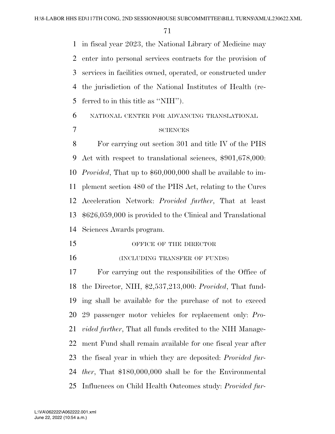in fiscal year 2023, the National Library of Medicine may enter into personal services contracts for the provision of services in facilities owned, operated, or constructed under the jurisdiction of the National Institutes of Health (re-ferred to in this title as ''NIH'').

# NATIONAL CENTER FOR ADVANCING TRANSLATIONAL 7 SCIENCES

 For carrying out section 301 and title IV of the PHS Act with respect to translational sciences, \$901,678,000: *Provided*, That up to \$60,000,000 shall be available to im- plement section 480 of the PHS Act, relating to the Cures Acceleration Network: *Provided further*, That at least \$626,059,000 is provided to the Clinical and Translational Sciences Awards program.

- 15 OFFICE OF THE DIRECTOR
- 16 (INCLUDING TRANSFER OF FUNDS)

 For carrying out the responsibilities of the Office of the Director, NIH, \$2,537,213,000: *Provided*, That fund- ing shall be available for the purchase of not to exceed 29 passenger motor vehicles for replacement only: *Pro- vided further*, That all funds credited to the NIH Manage- ment Fund shall remain available for one fiscal year after the fiscal year in which they are deposited: *Provided fur- ther*, That \$180,000,000 shall be for the Environmental Influences on Child Health Outcomes study: *Provided fur-*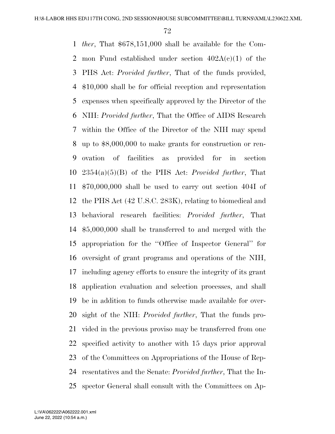*ther*, That \$678,151,000 shall be available for the Com-2 mon Fund established under section  $402A(c)(1)$  of the PHS Act: *Provided further*, That of the funds provided, \$10,000 shall be for official reception and representation expenses when specifically approved by the Director of the NIH: *Provided further*, That the Office of AIDS Research within the Office of the Director of the NIH may spend up to \$8,000,000 to make grants for construction or ren- ovation of facilities as provided for in section 2354(a)(5)(B) of the PHS Act: *Provided further*, That \$70,000,000 shall be used to carry out section 404I of the PHS Act (42 U.S.C. 283K), relating to biomedical and behavioral research facilities: *Provided further*, That \$5,000,000 shall be transferred to and merged with the appropriation for the ''Office of Inspector General'' for oversight of grant programs and operations of the NIH, including agency efforts to ensure the integrity of its grant application evaluation and selection processes, and shall be in addition to funds otherwise made available for over- sight of the NIH: *Provided further*, That the funds pro- vided in the previous proviso may be transferred from one specified activity to another with 15 days prior approval of the Committees on Appropriations of the House of Rep- resentatives and the Senate: *Provided further*, That the In-spector General shall consult with the Committees on Ap-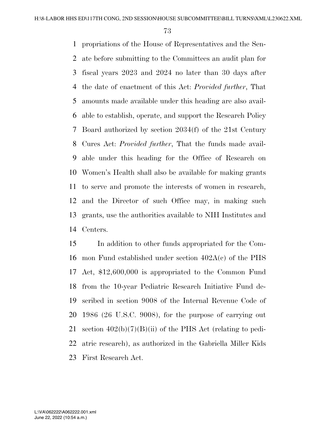propriations of the House of Representatives and the Sen- ate before submitting to the Committees an audit plan for fiscal years 2023 and 2024 no later than 30 days after the date of enactment of this Act: *Provided further*, That amounts made available under this heading are also avail- able to establish, operate, and support the Research Policy Board authorized by section 2034(f) of the 21st Century Cures Act: *Provided further*, That the funds made avail- able under this heading for the Office of Research on Women's Health shall also be available for making grants to serve and promote the interests of women in research, and the Director of such Office may, in making such grants, use the authorities available to NIH Institutes and Centers.

 In addition to other funds appropriated for the Com- mon Fund established under section 402A(c) of the PHS Act, \$12,600,000 is appropriated to the Common Fund from the 10-year Pediatric Research Initiative Fund de- scribed in section 9008 of the Internal Revenue Code of 1986 (26 U.S.C. 9008), for the purpose of carrying out 21 section  $402(b)(7)(B)(ii)$  of the PHS Act (relating to pedi- atric research), as authorized in the Gabriella Miller Kids First Research Act.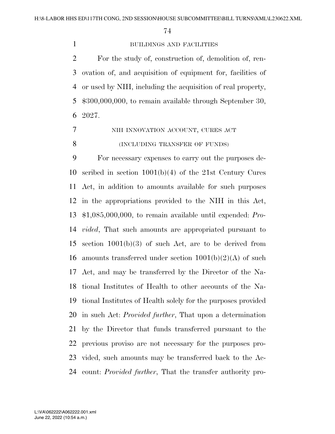## BUILDINGS AND FACILITIES

 For the study of, construction of, demolition of, ren- ovation of, and acquisition of equipment for, facilities of or used by NIH, including the acquisition of real property, \$300,000,000, to remain available through September 30, 2027.

7 NIH INNOVATION ACCOUNT, CURES ACT 8 (INCLUDING TRANSFER OF FUNDS)

 For necessary expenses to carry out the purposes de- scribed in section 1001(b)(4) of the 21st Century Cures Act, in addition to amounts available for such purposes in the appropriations provided to the NIH in this Act, \$1,085,000,000, to remain available until expended: *Pro- vided*, That such amounts are appropriated pursuant to section 1001(b)(3) of such Act, are to be derived from 16 amounts transferred under section  $1001(b)(2)(A)$  of such Act, and may be transferred by the Director of the Na- tional Institutes of Health to other accounts of the Na- tional Institutes of Health solely for the purposes provided in such Act: *Provided further*, That upon a determination by the Director that funds transferred pursuant to the previous proviso are not necessary for the purposes pro- vided, such amounts may be transferred back to the Ac-count: *Provided further*, That the transfer authority pro-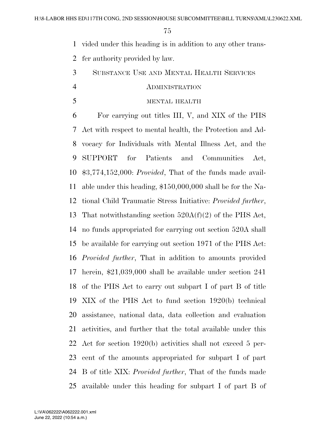vided under this heading is in addition to any other trans-

fer authority provided by law.

SUBSTANCE USE AND MENTAL HEALTH SERVICES

### ADMINISTRATION

## MENTAL HEALTH

 For carrying out titles III, V, and XIX of the PHS Act with respect to mental health, the Protection and Ad- vocacy for Individuals with Mental Illness Act, and the SUPPORT for Patients and Communities Act, \$3,774,152,000: *Provided*, That of the funds made avail- able under this heading, \$150,000,000 shall be for the Na- tional Child Traumatic Stress Initiative: *Provided further*, That notwithstanding section 520A(f)(2) of the PHS Act, no funds appropriated for carrying out section 520A shall be available for carrying out section 1971 of the PHS Act: *Provided further*, That in addition to amounts provided herein, \$21,039,000 shall be available under section 241 of the PHS Act to carry out subpart I of part B of title XIX of the PHS Act to fund section 1920(b) technical assistance, national data, data collection and evaluation activities, and further that the total available under this Act for section 1920(b) activities shall not exceed 5 per- cent of the amounts appropriated for subpart I of part B of title XIX: *Provided further*, That of the funds made available under this heading for subpart I of part B of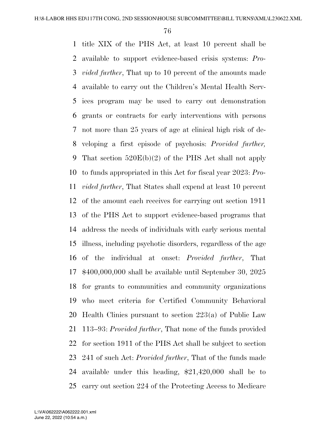title XIX of the PHS Act, at least 10 percent shall be available to support evidence-based crisis systems: *Pro- vided further*, That up to 10 percent of the amounts made available to carry out the Children's Mental Health Serv- ices program may be used to carry out demonstration grants or contracts for early interventions with persons not more than 25 years of age at clinical high risk of de- veloping a first episode of psychosis: *Provided further,*  That section 520E(b)(2) of the PHS Act shall not apply to funds appropriated in this Act for fiscal year 2023: *Pro- vided further*, That States shall expend at least 10 percent of the amount each receives for carrying out section 1911 of the PHS Act to support evidence-based programs that address the needs of individuals with early serious mental illness, including psychotic disorders, regardless of the age of the individual at onset: *Provided further*, That \$400,000,000 shall be available until September 30, 2025 for grants to communities and community organizations who meet criteria for Certified Community Behavioral Health Clinics pursuant to section 223(a) of Public Law 113–93: *Provided further*, That none of the funds provided for section 1911 of the PHS Act shall be subject to section 241 of such Act: *Provided further*, That of the funds made available under this heading, \$21,420,000 shall be to carry out section 224 of the Protecting Access to Medicare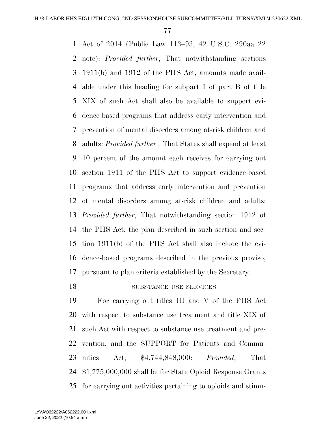Act of 2014 (Public Law 113–93; 42 U.S.C. 290aa 22 note): *Provided further*, That notwithstanding sections 1911(b) and 1912 of the PHS Act, amounts made avail- able under this heading for subpart I of part B of title XIX of such Act shall also be available to support evi- dence-based programs that address early intervention and prevention of mental disorders among at-risk children and adults: *Provided further ,* That States shall expend at least 10 percent of the amount each receives for carrying out section 1911 of the PHS Act to support evidence-based programs that address early intervention and prevention of mental disorders among at-risk children and adults: *Provided further*, That notwithstanding section 1912 of the PHS Act, the plan described in such section and sec- tion 1911(b) of the PHS Act shall also include the evi- dence-based programs described in the previous proviso, pursuant to plan criteria established by the Secretary.

# 18 SUBSTANCE USE SERVICES

 For carrying out titles III and V of the PHS Act with respect to substance use treatment and title XIX of such Act with respect to substance use treatment and pre- vention, and the SUPPORT for Patients and Commu- nities Act, \$4,744,848,000: *Provided*, That \$1,775,000,000 shall be for State Opioid Response Grants for carrying out activities pertaining to opioids and stimu-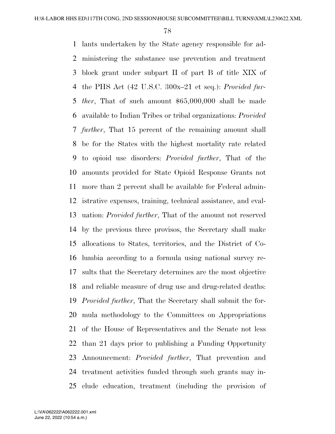lants undertaken by the State agency responsible for ad- ministering the substance use prevention and treatment block grant under subpart II of part B of title XIX of the PHS Act (42 U.S.C. 300x–21 et seq.): *Provided fur- ther*, That of such amount \$65,000,000 shall be made available to Indian Tribes or tribal organizations: *Provided further*, That 15 percent of the remaining amount shall be for the States with the highest mortality rate related to opioid use disorders: *Provided further*, That of the amounts provided for State Opioid Response Grants not more than 2 percent shall be available for Federal admin- istrative expenses, training, technical assistance, and eval- uation: *Provided further*, That of the amount not reserved by the previous three provisos, the Secretary shall make allocations to States, territories, and the District of Co- lumbia according to a formula using national survey re- sults that the Secretary determines are the most objective and reliable measure of drug use and drug-related deaths: *Provided further*, That the Secretary shall submit the for- mula methodology to the Committees on Appropriations of the House of Representatives and the Senate not less than 21 days prior to publishing a Funding Opportunity Announcement: *Provided further*, That prevention and treatment activities funded through such grants may in-clude education, treatment (including the provision of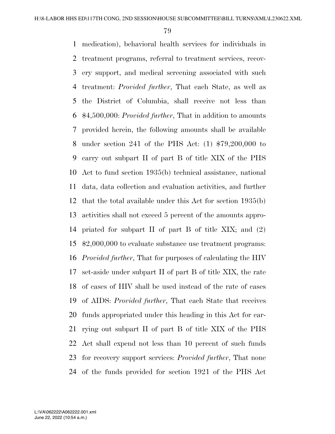medication), behavioral health services for individuals in treatment programs, referral to treatment services, recov- ery support, and medical screening associated with such treatment: *Provided further*, That each State, as well as the District of Columbia, shall receive not less than \$4,500,000: *Provided further*, That in addition to amounts provided herein, the following amounts shall be available under section 241 of the PHS Act: (1) \$79,200,000 to carry out subpart II of part B of title XIX of the PHS Act to fund section 1935(b) technical assistance, national data, data collection and evaluation activities, and further that the total available under this Act for section 1935(b) activities shall not exceed 5 percent of the amounts appro- priated for subpart II of part B of title XIX; and (2) \$2,000,000 to evaluate substance use treatment programs: *Provided further*, That for purposes of calculating the HIV set-aside under subpart II of part B of title XIX, the rate of cases of HIV shall be used instead of the rate of cases of AIDS: *Provided further*, That each State that receives funds appropriated under this heading in this Act for car- rying out subpart II of part B of title XIX of the PHS Act shall expend not less than 10 percent of such funds for recovery support services: *Provided further*, That none of the funds provided for section 1921 of the PHS Act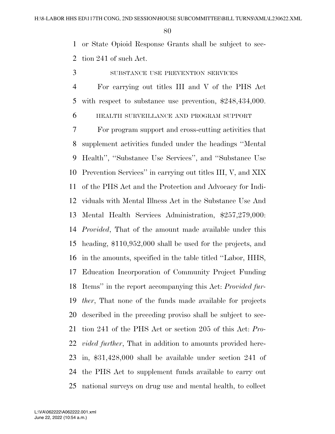or State Opioid Response Grants shall be subject to sec-tion 241 of such Act.

- 3 SUBSTANCE USE PREVENTION SERVICES
- For carrying out titles III and V of the PHS Act with respect to substance use prevention, \$248,434,000.
- HEALTH SURVEILLANCE AND PROGRAM SUPPORT

 For program support and cross-cutting activities that supplement activities funded under the headings ''Mental Health'', ''Substance Use Services'', and ''Substance Use Prevention Services'' in carrying out titles III, V, and XIX of the PHS Act and the Protection and Advocacy for Indi- viduals with Mental Illness Act in the Substance Use And Mental Health Services Administration, \$257,279,000: *Provided*, That of the amount made available under this heading, \$110,952,000 shall be used for the projects, and in the amounts, specified in the table titled ''Labor, HHS, Education Incorporation of Community Project Funding Items'' in the report accompanying this Act: *Provided fur- ther*, That none of the funds made available for projects described in the preceding proviso shall be subject to sec- tion 241 of the PHS Act or section 205 of this Act: *Pro- vided further*, That in addition to amounts provided here- in, \$31,428,000 shall be available under section 241 of the PHS Act to supplement funds available to carry out national surveys on drug use and mental health, to collect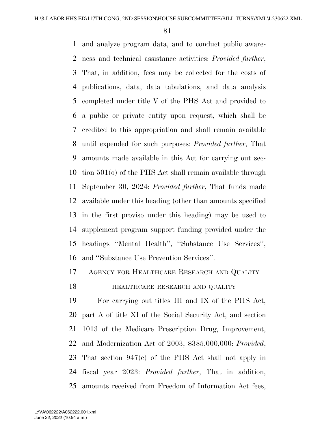and analyze program data, and to conduct public aware- ness and technical assistance activities: *Provided further*, That, in addition, fees may be collected for the costs of publications, data, data tabulations, and data analysis completed under title V of the PHS Act and provided to a public or private entity upon request, which shall be credited to this appropriation and shall remain available until expended for such purposes: *Provided further*, That amounts made available in this Act for carrying out sec- tion 501(o) of the PHS Act shall remain available through September 30, 2024: *Provided further*, That funds made available under this heading (other than amounts specified in the first proviso under this heading) may be used to supplement program support funding provided under the headings ''Mental Health'', ''Substance Use Services'', and ''Substance Use Prevention Services''.

AGENCY FOR HEALTHCARE RESEARCH AND QUALITY

# **HEALTHCARE RESEARCH AND QUALITY**

 For carrying out titles III and IX of the PHS Act, part A of title XI of the Social Security Act, and section 1013 of the Medicare Prescription Drug, Improvement, and Modernization Act of 2003, \$385,000,000: *Provided*, That section 947(c) of the PHS Act shall not apply in fiscal year 2023: *Provided further*, That in addition, amounts received from Freedom of Information Act fees,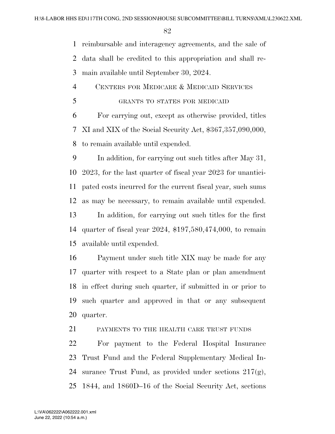reimbursable and interagency agreements, and the sale of data shall be credited to this appropriation and shall re-main available until September 30, 2024.

 CENTERS FOR MEDICARE & MEDICAID SERVICES GRANTS TO STATES FOR MEDICAID

 For carrying out, except as otherwise provided, titles XI and XIX of the Social Security Act, \$367,357,090,000, to remain available until expended.

 In addition, for carrying out such titles after May 31, 2023, for the last quarter of fiscal year 2023 for unantici- pated costs incurred for the current fiscal year, such sums as may be necessary, to remain available until expended. In addition, for carrying out such titles for the first quarter of fiscal year 2024, \$197,580,474,000, to remain available until expended.

 Payment under such title XIX may be made for any quarter with respect to a State plan or plan amendment in effect during such quarter, if submitted in or prior to such quarter and approved in that or any subsequent quarter.

PAYMENTS TO THE HEALTH CARE TRUST FUNDS

 For payment to the Federal Hospital Insurance Trust Fund and the Federal Supplementary Medical In- surance Trust Fund, as provided under sections 217(g), 1844, and 1860D–16 of the Social Security Act, sections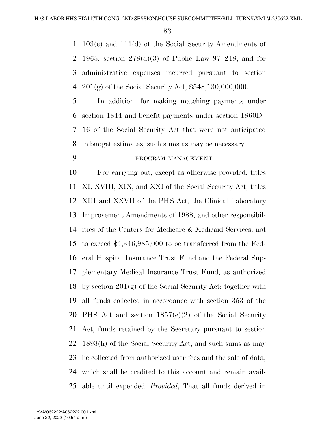103(c) and 111(d) of the Social Security Amendments of 1965, section 278(d)(3) of Public Law 97–248, and for administrative expenses incurred pursuant to section 201(g) of the Social Security Act, \$548,130,000,000.

 In addition, for making matching payments under section 1844 and benefit payments under section 1860D– 16 of the Social Security Act that were not anticipated in budget estimates, such sums as may be necessary.

# PROGRAM MANAGEMENT

 For carrying out, except as otherwise provided, titles XI, XVIII, XIX, and XXI of the Social Security Act, titles XIII and XXVII of the PHS Act, the Clinical Laboratory Improvement Amendments of 1988, and other responsibil- ities of the Centers for Medicare & Medicaid Services, not to exceed \$4,346,985,000 to be transferred from the Fed- eral Hospital Insurance Trust Fund and the Federal Sup- plementary Medical Insurance Trust Fund, as authorized by section 201(g) of the Social Security Act; together with all funds collected in accordance with section 353 of the PHS Act and section 1857(e)(2) of the Social Security Act, funds retained by the Secretary pursuant to section 1893(h) of the Social Security Act, and such sums as may be collected from authorized user fees and the sale of data, which shall be credited to this account and remain avail-able until expended: *Provided*, That all funds derived in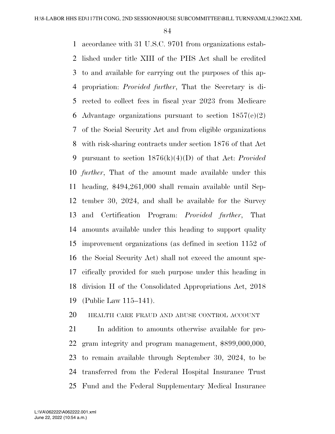accordance with 31 U.S.C. 9701 from organizations estab- lished under title XIII of the PHS Act shall be credited to and available for carrying out the purposes of this ap- propriation: *Provided further*, That the Secretary is di- rected to collect fees in fiscal year 2023 from Medicare 6 Advantage organizations pursuant to section  $1857(e)(2)$  of the Social Security Act and from eligible organizations with risk-sharing contracts under section 1876 of that Act pursuant to section 1876(k)(4)(D) of that Act: *Provided further*, That of the amount made available under this heading, \$494,261,000 shall remain available until Sep- tember 30, 2024, and shall be available for the Survey and Certification Program: *Provided further*, That amounts available under this heading to support quality improvement organizations (as defined in section 1152 of the Social Security Act) shall not exceed the amount spe- cifically provided for such purpose under this heading in division H of the Consolidated Appropriations Act, 2018 (Public Law 115–141).

# HEALTH CARE FRAUD AND ABUSE CONTROL ACCOUNT

 In addition to amounts otherwise available for pro- gram integrity and program management, \$899,000,000, to remain available through September 30, 2024, to be transferred from the Federal Hospital Insurance Trust Fund and the Federal Supplementary Medical Insurance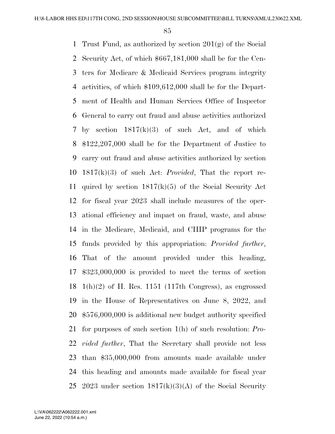Trust Fund, as authorized by section 201(g) of the Social Security Act, of which \$667,181,000 shall be for the Cen- ters for Medicare & Medicaid Services program integrity activities, of which \$109,612,000 shall be for the Depart- ment of Health and Human Services Office of Inspector General to carry out fraud and abuse activities authorized by section 1817(k)(3) of such Act, and of which \$122,207,000 shall be for the Department of Justice to carry out fraud and abuse activities authorized by section 1817(k)(3) of such Act: *Provided*, That the report re- quired by section 1817(k)(5) of the Social Security Act for fiscal year 2023 shall include measures of the oper- ational efficiency and impact on fraud, waste, and abuse in the Medicare, Medicaid, and CHIP programs for the funds provided by this appropriation: *Provided further*, That of the amount provided under this heading, \$323,000,000 is provided to meet the terms of section 18 1(h)(2) of H. Res. 1151 (117th Congress), as engrossed in the House of Representatives on June 8, 2022, and \$576,000,000 is additional new budget authority specified for purposes of such section 1(h) of such resolution: *Pro- vided further*, That the Secretary shall provide not less than \$35,000,000 from amounts made available under this heading and amounts made available for fiscal year 25 2023 under section  $1817(k)(3)(A)$  of the Social Security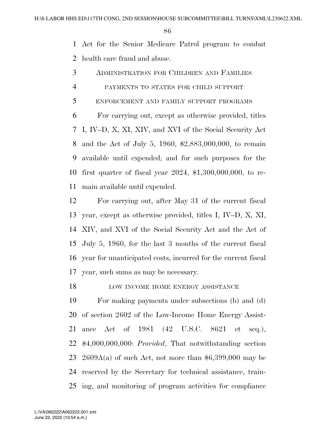Act for the Senior Medicare Patrol program to combat health care fraud and abuse.

- ADMINISTRATION FOR CHILDREN AND FAMILIES
- PAYMENTS TO STATES FOR CHILD SUPPORT
- ENFORCEMENT AND FAMILY SUPPORT PROGRAMS

 For carrying out, except as otherwise provided, titles I, IV–D, X, XI, XIV, and XVI of the Social Security Act and the Act of July 5, 1960, \$2,883,000,000, to remain available until expended; and for such purposes for the first quarter of fiscal year 2024, \$1,300,000,000, to re-main available until expended.

 For carrying out, after May 31 of the current fiscal year, except as otherwise provided, titles I, IV–D, X, XI, XIV, and XVI of the Social Security Act and the Act of July 5, 1960, for the last 3 months of the current fiscal year for unanticipated costs, incurred for the current fiscal year, such sums as may be necessary.

18 LOW INCOME HOME ENERGY ASSISTANCE

 For making payments under subsections (b) and (d) of section 2602 of the Low-Income Home Energy Assist- ance Act of 1981 (42 U.S.C. 8621 et seq.), \$4,000,000,000: *Provided*, That notwithstanding section 23 2609A(a) of such Act, not more than  $$6,399,000$  may be reserved by the Secretary for technical assistance, train-ing, and monitoring of program activities for compliance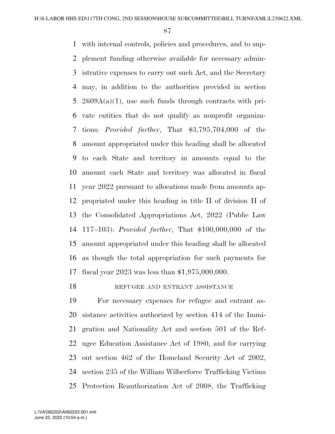with internal controls, policies and procedures, and to sup- plement funding otherwise available for necessary admin- istrative expenses to carry out such Act, and the Secretary may, in addition to the authorities provided in section  $2609A(a)(1)$ , use such funds through contracts with pri- vate entities that do not qualify as nonprofit organiza- tions: *Provided further*, That \$3,795,704,000 of the amount appropriated under this heading shall be allocated to each State and territory in amounts equal to the amount each State and territory was allocated in fiscal year 2022 pursuant to allocations made from amounts ap- propriated under this heading in title II of division H of the Consolidated Appropriations Act, 2022 (Public Law 117–103): *Provided further*, That \$100,000,000 of the amount appropriated under this heading shall be allocated as though the total appropriation for such payments for fiscal year 2023 was less than \$1,975,000,000.

18 REFUGEE AND ENTRANT ASSISTANCE

 For necessary expenses for refugee and entrant as- sistance activities authorized by section 414 of the Immi- gration and Nationality Act and section 501 of the Ref- ugee Education Assistance Act of 1980, and for carrying out section 462 of the Homeland Security Act of 2002, section 235 of the William Wilberforce Trafficking Victims Protection Reauthorization Act of 2008, the Trafficking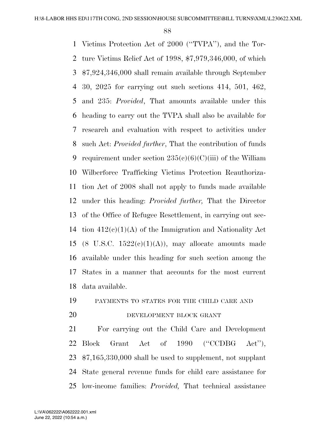Victims Protection Act of 2000 (''TVPA''), and the Tor- ture Victims Relief Act of 1998, \$7,979,346,000, of which \$7,924,346,000 shall remain available through September 30, 2025 for carrying out such sections 414, 501, 462, and 235: *Provided*, That amounts available under this heading to carry out the TVPA shall also be available for research and evaluation with respect to activities under such Act: *Provided further*, That the contribution of funds 9 requirement under section  $235(e)(6)(C)(iii)$  of the William Wilberforce Trafficking Victims Protection Reauthoriza- tion Act of 2008 shall not apply to funds made available under this heading: *Provided further,* That the Director of the Office of Refugee Resettlement, in carrying out sec- tion 412(c)(1)(A) of the Immigration and Nationality Act 15 (8 U.S.C.  $1522(e)(1)(A)$ ), may allocate amounts made available under this heading for such section among the States in a manner that accounts for the most current data available.

PAYMENTS TO STATES FOR THE CHILD CARE AND

#### 20 DEVELOPMENT BLOCK GRANT

 For carrying out the Child Care and Development 22 Block Grant Act of 1990 ("CCDBG Act"), \$7,165,330,000 shall be used to supplement, not supplant State general revenue funds for child care assistance for low-income families: *Provided,* That technical assistance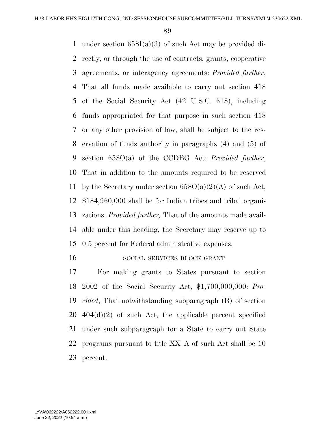under section 658I(a)(3) of such Act may be provided di- rectly, or through the use of contracts, grants, cooperative agreements, or interagency agreements: *Provided further*, That all funds made available to carry out section 418 of the Social Security Act (42 U.S.C. 618), including funds appropriated for that purpose in such section 418 or any other provision of law, shall be subject to the res- ervation of funds authority in paragraphs (4) and (5) of section 658O(a) of the CCDBG Act: *Provided further*, That in addition to the amounts required to be reserved 11 by the Secretary under section  $658O(a)(2)(A)$  of such Act, \$184,960,000 shall be for Indian tribes and tribal organi- zations: *Provided further,* That of the amounts made avail- able under this heading, the Secretary may reserve up to 0.5 percent for Federal administrative expenses.

16 SOCIAL SERVICES BLOCK GRANT

 For making grants to States pursuant to section 2002 of the Social Security Act, \$1,700,000,000: *Pro- vided*, That notwithstanding subparagraph (B) of section  $20\quad 404(d)(2)$  of such Act, the applicable percent specified under such subparagraph for a State to carry out State programs pursuant to title XX–A of such Act shall be 10 percent.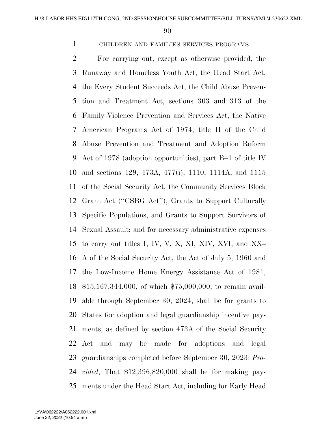# CHILDREN AND FAMILIES SERVICES PROGRAMS

 For carrying out, except as otherwise provided, the Runaway and Homeless Youth Act, the Head Start Act, the Every Student Succeeds Act, the Child Abuse Preven- tion and Treatment Act, sections 303 and 313 of the Family Violence Prevention and Services Act, the Native American Programs Act of 1974, title II of the Child Abuse Prevention and Treatment and Adoption Reform Act of 1978 (adoption opportunities), part B–1 of title IV and sections 429, 473A, 477(i), 1110, 1114A, and 1115 of the Social Security Act, the Community Services Block Grant Act (''CSBG Act''), Grants to Support Culturally Specific Populations, and Grants to Support Survivors of Sexual Assault; and for necessary administrative expenses to carry out titles I, IV, V, X, XI, XIV, XVI, and XX– A of the Social Security Act, the Act of July 5, 1960 and the Low-Income Home Energy Assistance Act of 1981, \$15,167,344,000, of which \$75,000,000, to remain avail- able through September 30, 2024, shall be for grants to States for adoption and legal guardianship incentive pay- ments, as defined by section 473A of the Social Security Act and may be made for adoptions and legal guardianships completed before September 30, 2023: *Pro- vided*, That \$12,396,820,000 shall be for making pay-ments under the Head Start Act, including for Early Head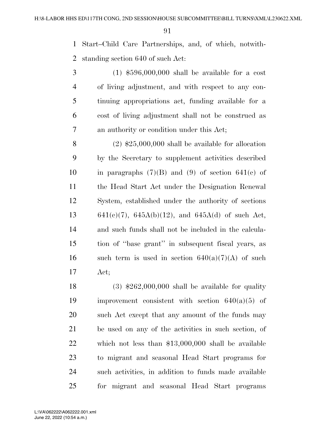Start–Child Care Partnerships, and, of which, notwith-standing section 640 of such Act:

 (1) \$596,000,000 shall be available for a cost of living adjustment, and with respect to any con- tinuing appropriations act, funding available for a cost of living adjustment shall not be construed as an authority or condition under this Act;

 (2) \$25,000,000 shall be available for allocation by the Secretary to supplement activities described 10 in paragraphs  $(7)(B)$  and  $(9)$  of section 641(c) of the Head Start Act under the Designation Renewal System, established under the authority of sections 13 641(e)(7),  $645A(b)(12)$ , and  $645A(d)$  of such Act, and such funds shall not be included in the calcula- tion of ''base grant'' in subsequent fiscal years, as 16 such term is used in section  $640(a)(7)(A)$  of such Act;

 $(3)$  \$262,000,000 shall be available for quality 19 improvement consistent with section  $640(a)(5)$  of such Act except that any amount of the funds may be used on any of the activities in such section, of which not less than \$13,000,000 shall be available to migrant and seasonal Head Start programs for such activities, in addition to funds made available for migrant and seasonal Head Start programs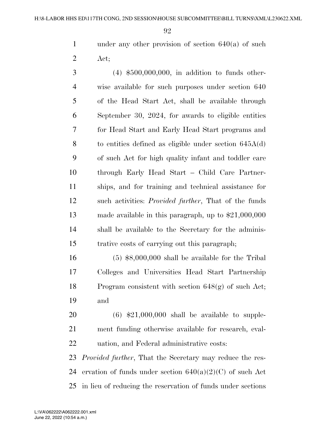under any other provision of section 640(a) of such Act;

 (4) \$500,000,000, in addition to funds other- wise available for such purposes under section 640 of the Head Start Act, shall be available through September 30, 2024, for awards to eligible entities for Head Start and Early Head Start programs and to entities defined as eligible under section 645A(d) of such Act for high quality infant and toddler care through Early Head Start – Child Care Partner- ships, and for training and technical assistance for such activities: *Provided further*, That of the funds made available in this paragraph, up to \$21,000,000 shall be available to the Secretary for the adminis-trative costs of carrying out this paragraph;

 (5) \$8,000,000 shall be available for the Tribal Colleges and Universities Head Start Partnership Program consistent with section 648(g) of such Act; and

 (6) \$21,000,000 shall be available to supple- ment funding otherwise available for research, eval-uation, and Federal administrative costs:

 *Provided further*, That the Secretary may reduce the res-24 ervation of funds under section  $640(a)(2)(C)$  of such Act in lieu of reducing the reservation of funds under sections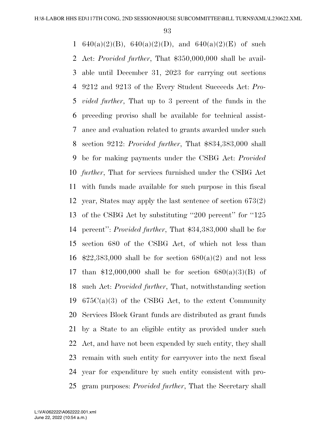1 640(a)(2)(B), 640(a)(2)(D), and 640(a)(2)(E) of such Act: *Provided further*, That \$350,000,000 shall be avail- able until December 31, 2023 for carrying out sections 9212 and 9213 of the Every Student Succeeds Act: *Pro- vided further*, That up to 3 percent of the funds in the preceding proviso shall be available for technical assist- ance and evaluation related to grants awarded under such section 9212: *Provided further*, That \$834,383,000 shall be for making payments under the CSBG Act: *Provided further*, That for services furnished under the CSBG Act with funds made available for such purpose in this fiscal year, States may apply the last sentence of section 673(2) of the CSBG Act by substituting ''200 percent'' for ''125 percent'': *Provided further*, That \$34,383,000 shall be for section 680 of the CSBG Act, of which not less than  $$22,383,000$  shall be for section  $680(a)(2)$  and not less 17 than \$12,000,000 shall be for section  $680(a)(3)(B)$  of such Act: *Provided further*, That, notwithstanding section  $675C(a)(3)$  of the CSBG Act, to the extent Community Services Block Grant funds are distributed as grant funds by a State to an eligible entity as provided under such Act, and have not been expended by such entity, they shall remain with such entity for carryover into the next fiscal year for expenditure by such entity consistent with pro-gram purposes: *Provided further*, That the Secretary shall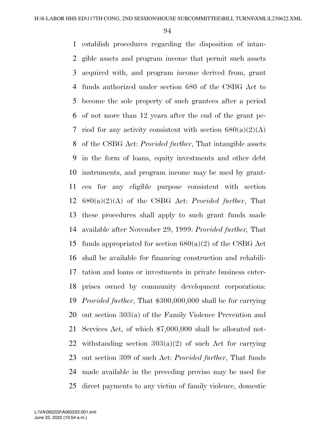establish procedures regarding the disposition of intan- gible assets and program income that permit such assets acquired with, and program income derived from, grant funds authorized under section 680 of the CSBG Act to become the sole property of such grantees after a period of not more than 12 years after the end of the grant pe-7 riod for any activity consistent with section  $680(a)(2)(A)$  of the CSBG Act: *Provided further*, That intangible assets in the form of loans, equity investments and other debt instruments, and program income may be used by grant- ees for any eligible purpose consistent with section 680(a)(2)(A) of the CSBG Act: *Provided further*, That these procedures shall apply to such grant funds made available after November 29, 1999: *Provided further,* That 15 funds appropriated for section  $680(a)(2)$  of the CSBG Act shall be available for financing construction and rehabili- tation and loans or investments in private business enter- prises owned by community development corporations: *Provided further*, That \$300,000,000 shall be for carrying out section 303(a) of the Family Violence Prevention and Services Act, of which \$7,000,000 shall be allocated not-22 withstanding section  $303(a)(2)$  of such Act for carrying out section 309 of such Act: *Provided further*, That funds made available in the preceding proviso may be used for direct payments to any victim of family violence, domestic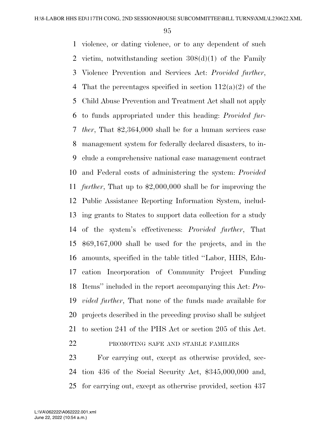violence, or dating violence, or to any dependent of such victim, notwithstanding section 308(d)(1) of the Family Violence Prevention and Services Act: *Provided further*, 4 That the percentages specified in section  $112(a)(2)$  of the Child Abuse Prevention and Treatment Act shall not apply to funds appropriated under this heading: *Provided fur- ther*, That \$2,364,000 shall be for a human services case management system for federally declared disasters, to in- clude a comprehensive national case management contract and Federal costs of administering the system: *Provided further*, That up to \$2,000,000 shall be for improving the Public Assistance Reporting Information System, includ- ing grants to States to support data collection for a study of the system's effectiveness: *Provided further*, That \$69,167,000 shall be used for the projects, and in the amounts, specified in the table titled ''Labor, HHS, Edu- cation Incorporation of Community Project Funding Items'' included in the report accompanying this Act: *Pro- vided further*, That none of the funds made available for projects described in the preceding proviso shall be subject to section 241 of the PHS Act or section 205 of this Act. PROMOTING SAFE AND STABLE FAMILIES

 For carrying out, except as otherwise provided, sec- tion 436 of the Social Security Act, \$345,000,000 and, for carrying out, except as otherwise provided, section 437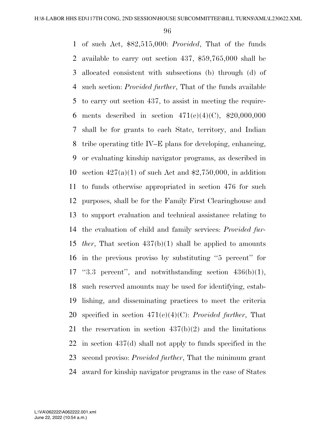of such Act, \$82,515,000: *Provided*, That of the funds available to carry out section 437, \$59,765,000 shall be allocated consistent with subsections (b) through (d) of such section: *Provided further*, That of the funds available to carry out section 437, to assist in meeting the require-6 ments described in section  $471(e)(4)(C)$ , \$20,000,000 shall be for grants to each State, territory, and Indian tribe operating title IV–E plans for developing, enhancing, or evaluating kinship navigator programs, as described in 10 section  $427(a)(1)$  of such Act and \$2,750,000, in addition to funds otherwise appropriated in section 476 for such purposes, shall be for the Family First Clearinghouse and to support evaluation and technical assistance relating to the evaluation of child and family services: *Provided fur- ther*, That section 437(b)(1) shall be applied to amounts in the previous proviso by substituting ''5 percent'' for 17 "3.3 percent", and notwithstanding section  $436(b)(1)$ , such reserved amounts may be used for identifying, estab- lishing, and disseminating practices to meet the criteria specified in section 471(e)(4)(C): *Provided further*, That the reservation in section 437(b)(2) and the limitations in section 437(d) shall not apply to funds specified in the second proviso: *Provided further*, That the minimum grant award for kinship navigator programs in the case of States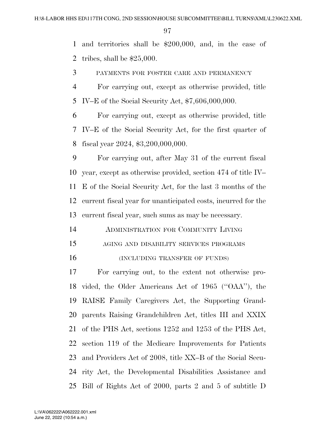and territories shall be \$200,000, and, in the case of tribes, shall be \$25,000.

PAYMENTS FOR FOSTER CARE AND PERMANENCY

 For carrying out, except as otherwise provided, title IV–E of the Social Security Act, \$7,606,000,000.

 For carrying out, except as otherwise provided, title IV–E of the Social Security Act, for the first quarter of fiscal year 2024, \$3,200,000,000.

 For carrying out, after May 31 of the current fiscal year, except as otherwise provided, section 474 of title IV– E of the Social Security Act, for the last 3 months of the current fiscal year for unanticipated costs, incurred for the current fiscal year, such sums as may be necessary.

ADMINISTRATION FOR COMMUNITY LIVING

- AGING AND DISABILITY SERVICES PROGRAMS
- 

16 (INCLUDING TRANSFER OF FUNDS)

 For carrying out, to the extent not otherwise pro- vided, the Older Americans Act of 1965 (''OAA''), the RAISE Family Caregivers Act, the Supporting Grand- parents Raising Grandchildren Act, titles III and XXIX of the PHS Act, sections 1252 and 1253 of the PHS Act, section 119 of the Medicare Improvements for Patients and Providers Act of 2008, title XX–B of the Social Secu- rity Act, the Developmental Disabilities Assistance and Bill of Rights Act of 2000, parts 2 and 5 of subtitle D

June 22, 2022 (10:54 a.m.) L:\VA\062222\A062222.001.xml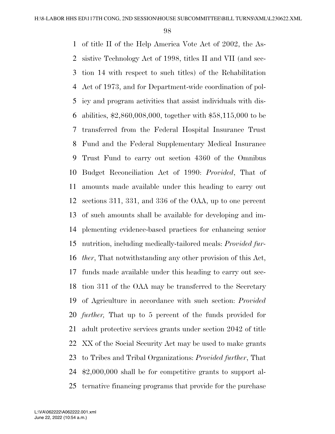of title II of the Help America Vote Act of 2002, the As- sistive Technology Act of 1998, titles II and VII (and sec- tion 14 with respect to such titles) of the Rehabilitation Act of 1973, and for Department-wide coordination of pol- icy and program activities that assist individuals with dis- abilities, \$2,860,008,000, together with \$58,115,000 to be transferred from the Federal Hospital Insurance Trust Fund and the Federal Supplementary Medical Insurance Trust Fund to carry out section 4360 of the Omnibus Budget Reconciliation Act of 1990: *Provided*, That of amounts made available under this heading to carry out sections 311, 331, and 336 of the OAA, up to one percent of such amounts shall be available for developing and im- plementing evidence-based practices for enhancing senior nutrition, including medically-tailored meals: *Provided fur- ther*, That notwithstanding any other provision of this Act, funds made available under this heading to carry out sec- tion 311 of the OAA may be transferred to the Secretary of Agriculture in accordance with such section: *Provided further,* That up to 5 percent of the funds provided for adult protective services grants under section 2042 of title XX of the Social Security Act may be used to make grants to Tribes and Tribal Organizations: *Provided further*, That \$2,000,000 shall be for competitive grants to support al-ternative financing programs that provide for the purchase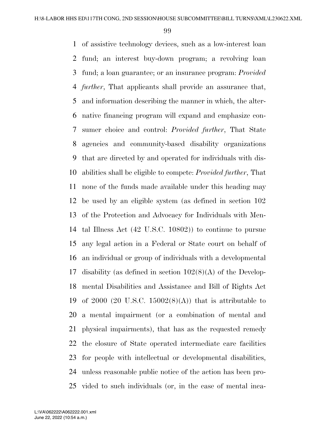of assistive technology devices, such as a low-interest loan fund; an interest buy-down program; a revolving loan fund; a loan guarantee; or an insurance program: *Provided further*, That applicants shall provide an assurance that, and information describing the manner in which, the alter- native financing program will expand and emphasize con- sumer choice and control: *Provided further*, That State agencies and community-based disability organizations that are directed by and operated for individuals with dis- abilities shall be eligible to compete: *Provided further*, That none of the funds made available under this heading may be used by an eligible system (as defined in section 102 of the Protection and Advocacy for Individuals with Men- tal Illness Act (42 U.S.C. 10802)) to continue to pursue any legal action in a Federal or State court on behalf of an individual or group of individuals with a developmental disability (as defined in section 102(8)(A) of the Develop- mental Disabilities and Assistance and Bill of Rights Act 19 of 2000 (20 U.S.C. 15002 $(8)(A)$ ) that is attributable to a mental impairment (or a combination of mental and physical impairments), that has as the requested remedy the closure of State operated intermediate care facilities for people with intellectual or developmental disabilities, unless reasonable public notice of the action has been pro-vided to such individuals (or, in the case of mental inca-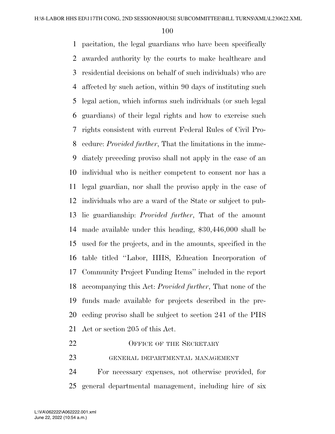pacitation, the legal guardians who have been specifically awarded authority by the courts to make healthcare and residential decisions on behalf of such individuals) who are affected by such action, within 90 days of instituting such legal action, which informs such individuals (or such legal guardians) of their legal rights and how to exercise such rights consistent with current Federal Rules of Civil Pro- cedure: *Provided further*, That the limitations in the imme- diately preceding proviso shall not apply in the case of an individual who is neither competent to consent nor has a legal guardian, nor shall the proviso apply in the case of individuals who are a ward of the State or subject to pub- lic guardianship: *Provided further*, That of the amount made available under this heading, \$30,446,000 shall be used for the projects, and in the amounts, specified in the table titled ''Labor, HHS, Education Incorporation of Community Project Funding Items'' included in the report accompanying this Act: *Provided further*, That none of the funds made available for projects described in the pre- ceding proviso shall be subject to section 241 of the PHS Act or section 205 of this Act.

- 22 OFFICE OF THE SECRETARY
- GENERAL DEPARTMENTAL MANAGEMENT

 For necessary expenses, not otherwise provided, for general departmental management, including hire of six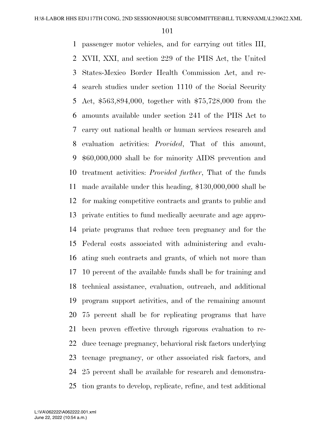passenger motor vehicles, and for carrying out titles III, XVII, XXI, and section 229 of the PHS Act, the United States-Mexico Border Health Commission Act, and re- search studies under section 1110 of the Social Security Act, \$563,894,000, together with \$75,728,000 from the amounts available under section 241 of the PHS Act to carry out national health or human services research and evaluation activities: *Provided*, That of this amount, \$60,000,000 shall be for minority AIDS prevention and treatment activities: *Provided further*, That of the funds made available under this heading, \$130,000,000 shall be for making competitive contracts and grants to public and private entities to fund medically accurate and age appro- priate programs that reduce teen pregnancy and for the Federal costs associated with administering and evalu- ating such contracts and grants, of which not more than 10 percent of the available funds shall be for training and technical assistance, evaluation, outreach, and additional program support activities, and of the remaining amount 75 percent shall be for replicating programs that have been proven effective through rigorous evaluation to re- duce teenage pregnancy, behavioral risk factors underlying teenage pregnancy, or other associated risk factors, and 25 percent shall be available for research and demonstra-tion grants to develop, replicate, refine, and test additional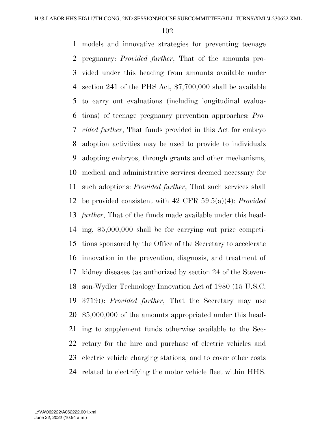models and innovative strategies for preventing teenage pregnancy: *Provided further*, That of the amounts pro- vided under this heading from amounts available under section 241 of the PHS Act, \$7,700,000 shall be available to carry out evaluations (including longitudinal evalua- tions) of teenage pregnancy prevention approaches: *Pro- vided further*, That funds provided in this Act for embryo adoption activities may be used to provide to individuals adopting embryos, through grants and other mechanisms, medical and administrative services deemed necessary for such adoptions: *Provided further*, That such services shall be provided consistent with 42 CFR 59.5(a)(4): *Provided further*, That of the funds made available under this head- ing, \$5,000,000 shall be for carrying out prize competi- tions sponsored by the Office of the Secretary to accelerate innovation in the prevention, diagnosis, and treatment of kidney diseases (as authorized by section 24 of the Steven- son-Wydler Technology Innovation Act of 1980 (15 U.S.C. 3719)): *Provided further*, That the Secretary may use \$5,000,000 of the amounts appropriated under this head- ing to supplement funds otherwise available to the Sec- retary for the hire and purchase of electric vehicles and electric vehicle charging stations, and to cover other costs related to electrifying the motor vehicle fleet within HHS.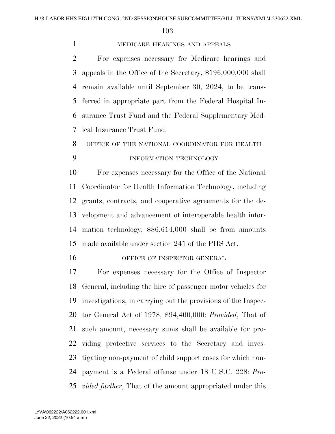## MEDICARE HEARINGS AND APPEALS

 For expenses necessary for Medicare hearings and appeals in the Office of the Secretary, \$196,000,000 shall remain available until September 30, 2024, to be trans- ferred in appropriate part from the Federal Hospital In- surance Trust Fund and the Federal Supplementary Med-ical Insurance Trust Fund.

# OFFICE OF THE NATIONAL COORDINATOR FOR HEALTH 9 INFORMATION TECHNOLOGY

 For expenses necessary for the Office of the National Coordinator for Health Information Technology, including grants, contracts, and cooperative agreements for the de- velopment and advancement of interoperable health infor- mation technology, \$86,614,000 shall be from amounts made available under section 241 of the PHS Act.

16 OFFICE OF INSPECTOR GENERAL

 For expenses necessary for the Office of Inspector General, including the hire of passenger motor vehicles for investigations, in carrying out the provisions of the Inspec- tor General Act of 1978, \$94,400,000: *Provided*, That of such amount, necessary sums shall be available for pro- viding protective services to the Secretary and inves- tigating non-payment of child support cases for which non- payment is a Federal offense under 18 U.S.C. 228: *Pro-vided further*, That of the amount appropriated under this

June 22, 2022 (10:54 a.m.) L:\VA\062222\A062222.001.xml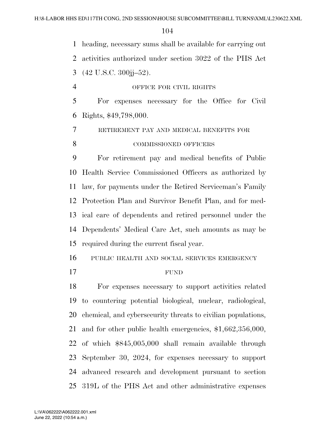heading, necessary sums shall be available for carrying out

activities authorized under section 3022 of the PHS Act

(42 U.S.C. 300jj–52).

 OFFICE FOR CIVIL RIGHTS For expenses necessary for the Office for Civil

Rights, \$49,798,000.

RETIREMENT PAY AND MEDICAL BENEFITS FOR

#### 8 COMMISSIONED OFFICERS

 For retirement pay and medical benefits of Public Health Service Commissioned Officers as authorized by law, for payments under the Retired Serviceman's Family Protection Plan and Survivor Benefit Plan, and for med- ical care of dependents and retired personnel under the Dependents' Medical Care Act, such amounts as may be required during the current fiscal year.

PUBLIC HEALTH AND SOCIAL SERVICES EMERGENCY

## FUND

 For expenses necessary to support activities related to countering potential biological, nuclear, radiological, chemical, and cybersecurity threats to civilian populations, and for other public health emergencies, \$1,662,356,000, of which \$845,005,000 shall remain available through September 30, 2024, for expenses necessary to support advanced research and development pursuant to section 319L of the PHS Act and other administrative expenses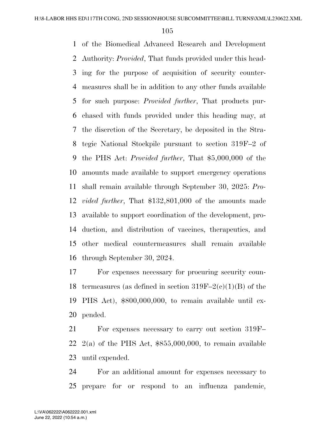of the Biomedical Advanced Research and Development Authority: *Provided*, That funds provided under this head- ing for the purpose of acquisition of security counter- measures shall be in addition to any other funds available for such purpose: *Provided further*, That products pur- chased with funds provided under this heading may, at the discretion of the Secretary, be deposited in the Stra- tegic National Stockpile pursuant to section 319F–2 of the PHS Act: *Provided further*, That \$5,000,000 of the amounts made available to support emergency operations shall remain available through September 30, 2025: *Pro- vided further*, That \$132,801,000 of the amounts made available to support coordination of the development, pro- duction, and distribution of vaccines, therapeutics, and other medical countermeasures shall remain available through September 30, 2024.

 For expenses necessary for procuring security coun-18 termeasures (as defined in section  $319F-2(c)(1)(B)$  of the PHS Act), \$800,000,000, to remain available until ex-pended.

 For expenses necessary to carry out section 319F–  $2(a)$  of the PHS Act,  $$855,000,000$ , to remain available until expended.

 For an additional amount for expenses necessary to prepare for or respond to an influenza pandemic,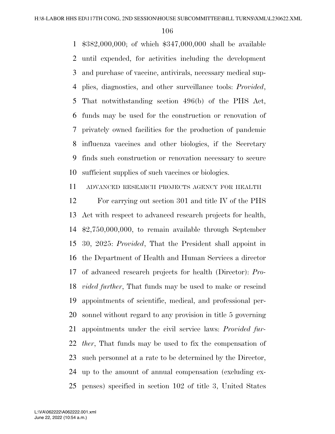\$382,000,000; of which \$347,000,000 shall be available until expended, for activities including the development and purchase of vaccine, antivirals, necessary medical sup- plies, diagnostics, and other surveillance tools: *Provided*, That notwithstanding section 496(b) of the PHS Act, funds may be used for the construction or renovation of privately owned facilities for the production of pandemic influenza vaccines and other biologics, if the Secretary finds such construction or renovation necessary to secure sufficient supplies of such vaccines or biologics.

ADVANCED RESEARCH PROJECTS AGENCY FOR HEALTH

 For carrying out section 301 and title IV of the PHS Act with respect to advanced research projects for health, \$2,750,000,000, to remain available through September 30, 2025: *Provided*, That the President shall appoint in the Department of Health and Human Services a director of advanced research projects for health (Director): *Pro- vided further*, That funds may be used to make or rescind appointments of scientific, medical, and professional per- sonnel without regard to any provision in title 5 governing appointments under the civil service laws: *Provided fur- ther*, That funds may be used to fix the compensation of such personnel at a rate to be determined by the Director, up to the amount of annual compensation (excluding ex-penses) specified in section 102 of title 3, United States

June 22, 2022 (10:54 a.m.) L:\VA\062222\A062222.001.xml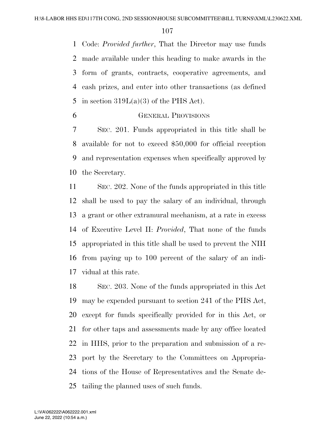Code: *Provided further*, That the Director may use funds made available under this heading to make awards in the form of grants, contracts, cooperative agreements, and cash prizes, and enter into other transactions (as defined 5 in section  $319L(a)(3)$  of the PHS Act).

GENERAL PROVISIONS

 SEC. 201. Funds appropriated in this title shall be available for not to exceed \$50,000 for official reception and representation expenses when specifically approved by the Secretary.

 SEC. 202. None of the funds appropriated in this title shall be used to pay the salary of an individual, through a grant or other extramural mechanism, at a rate in excess of Executive Level II: *Provided*, That none of the funds appropriated in this title shall be used to prevent the NIH from paying up to 100 percent of the salary of an indi-vidual at this rate.

 SEC. 203. None of the funds appropriated in this Act may be expended pursuant to section 241 of the PHS Act, except for funds specifically provided for in this Act, or for other taps and assessments made by any office located in HHS, prior to the preparation and submission of a re- port by the Secretary to the Committees on Appropria- tions of the House of Representatives and the Senate de-tailing the planned uses of such funds.

June 22, 2022 (10:54 a.m.) L:\VA\062222\A062222.001.xml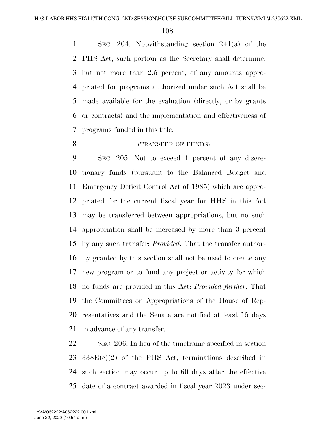SEC. 204. Notwithstanding section 241(a) of the PHS Act, such portion as the Secretary shall determine, but not more than 2.5 percent, of any amounts appro- priated for programs authorized under such Act shall be made available for the evaluation (directly, or by grants or contracts) and the implementation and effectiveness of programs funded in this title.

#### (TRANSFER OF FUNDS)

 SEC. 205. Not to exceed 1 percent of any discre- tionary funds (pursuant to the Balanced Budget and Emergency Deficit Control Act of 1985) which are appro- priated for the current fiscal year for HHS in this Act may be transferred between appropriations, but no such appropriation shall be increased by more than 3 percent by any such transfer: *Provided*, That the transfer author- ity granted by this section shall not be used to create any new program or to fund any project or activity for which no funds are provided in this Act: *Provided further*, That the Committees on Appropriations of the House of Rep- resentatives and the Senate are notified at least 15 days in advance of any transfer.

 SEC. 206. In lieu of the timeframe specified in section 338E(c)(2) of the PHS Act, terminations described in such section may occur up to 60 days after the effective date of a contract awarded in fiscal year 2023 under sec-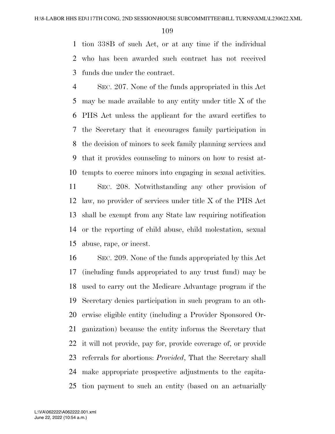tion 338B of such Act, or at any time if the individual who has been awarded such contract has not received funds due under the contract.

 SEC. 207. None of the funds appropriated in this Act may be made available to any entity under title X of the PHS Act unless the applicant for the award certifies to the Secretary that it encourages family participation in the decision of minors to seek family planning services and that it provides counseling to minors on how to resist at-tempts to coerce minors into engaging in sexual activities.

 SEC. 208. Notwithstanding any other provision of law, no provider of services under title X of the PHS Act shall be exempt from any State law requiring notification or the reporting of child abuse, child molestation, sexual abuse, rape, or incest.

 SEC. 209. None of the funds appropriated by this Act (including funds appropriated to any trust fund) may be used to carry out the Medicare Advantage program if the Secretary denies participation in such program to an oth- erwise eligible entity (including a Provider Sponsored Or- ganization) because the entity informs the Secretary that it will not provide, pay for, provide coverage of, or provide referrals for abortions: *Provided*, That the Secretary shall make appropriate prospective adjustments to the capita-tion payment to such an entity (based on an actuarially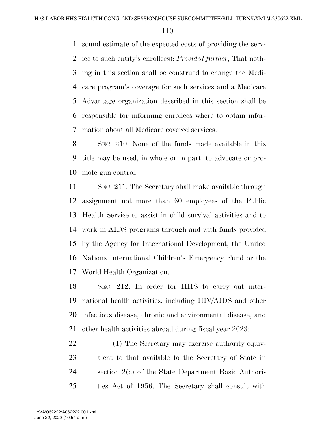sound estimate of the expected costs of providing the serv- ice to such entity's enrollees): *Provided further*, That noth- ing in this section shall be construed to change the Medi- care program's coverage for such services and a Medicare Advantage organization described in this section shall be responsible for informing enrollees where to obtain infor-mation about all Medicare covered services.

 SEC. 210. None of the funds made available in this title may be used, in whole or in part, to advocate or pro-mote gun control.

 SEC. 211. The Secretary shall make available through assignment not more than 60 employees of the Public Health Service to assist in child survival activities and to work in AIDS programs through and with funds provided by the Agency for International Development, the United Nations International Children's Emergency Fund or the World Health Organization.

 SEC. 212. In order for HHS to carry out inter- national health activities, including HIV/AIDS and other infectious disease, chronic and environmental disease, and other health activities abroad during fiscal year 2023:

 (1) The Secretary may exercise authority equiv- alent to that available to the Secretary of State in section 2(c) of the State Department Basic Authori-ties Act of 1956. The Secretary shall consult with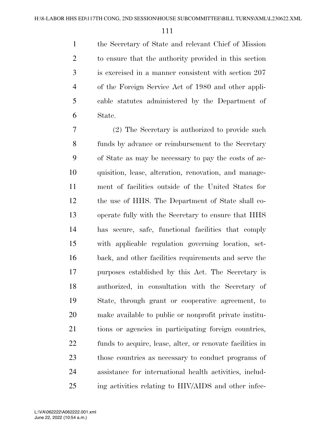the Secretary of State and relevant Chief of Mission to ensure that the authority provided in this section is exercised in a manner consistent with section 207 of the Foreign Service Act of 1980 and other appli- cable statutes administered by the Department of State.

 (2) The Secretary is authorized to provide such funds by advance or reimbursement to the Secretary of State as may be necessary to pay the costs of ac- quisition, lease, alteration, renovation, and manage- ment of facilities outside of the United States for the use of HHS. The Department of State shall co- operate fully with the Secretary to ensure that HHS has secure, safe, functional facilities that comply with applicable regulation governing location, set- back, and other facilities requirements and serve the purposes established by this Act. The Secretary is authorized, in consultation with the Secretary of State, through grant or cooperative agreement, to make available to public or nonprofit private institu- tions or agencies in participating foreign countries, funds to acquire, lease, alter, or renovate facilities in those countries as necessary to conduct programs of assistance for international health activities, includ-ing activities relating to HIV/AIDS and other infec-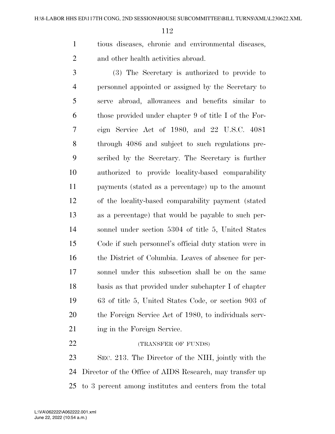tious diseases, chronic and environmental diseases, and other health activities abroad.

 (3) The Secretary is authorized to provide to personnel appointed or assigned by the Secretary to serve abroad, allowances and benefits similar to those provided under chapter 9 of title I of the For- eign Service Act of 1980, and 22 U.S.C. 4081 through 4086 and subject to such regulations pre- scribed by the Secretary. The Secretary is further authorized to provide locality-based comparability payments (stated as a percentage) up to the amount of the locality-based comparability payment (stated as a percentage) that would be payable to such per- sonnel under section 5304 of title 5, United States Code if such personnel's official duty station were in the District of Columbia. Leaves of absence for per- sonnel under this subsection shall be on the same basis as that provided under subchapter I of chapter 63 of title 5, United States Code, or section 903 of the Foreign Service Act of 1980, to individuals serv-21 ing in the Foreign Service.

 SEC. 213. The Director of the NIH, jointly with the Director of the Office of AIDS Research, may transfer up to 3 percent among institutes and centers from the total

22 (TRANSFER OF FUNDS)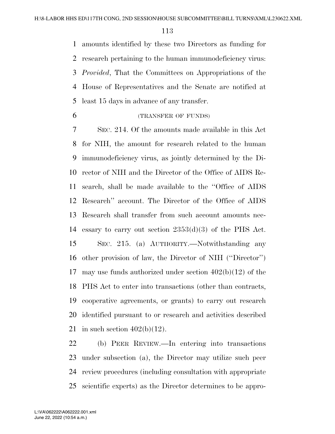amounts identified by these two Directors as funding for research pertaining to the human immunodeficiency virus: *Provided*, That the Committees on Appropriations of the House of Representatives and the Senate are notified at least 15 days in advance of any transfer.

(TRANSFER OF FUNDS)

 SEC. 214. Of the amounts made available in this Act for NIH, the amount for research related to the human immunodeficiency virus, as jointly determined by the Di- rector of NIH and the Director of the Office of AIDS Re- search, shall be made available to the ''Office of AIDS Research'' account. The Director of the Office of AIDS Research shall transfer from such account amounts nec- essary to carry out section 2353(d)(3) of the PHS Act. SEC. 215. (a) AUTHORITY.—Notwithstanding any other provision of law, the Director of NIH (''Director'') may use funds authorized under section 402(b)(12) of the PHS Act to enter into transactions (other than contracts, cooperative agreements, or grants) to carry out research identified pursuant to or research and activities described 21 in such section  $402(b)(12)$ .

 (b) PEER REVIEW.—In entering into transactions under subsection (a), the Director may utilize such peer review procedures (including consultation with appropriate scientific experts) as the Director determines to be appro-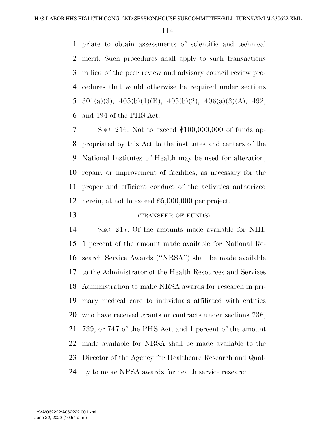priate to obtain assessments of scientific and technical merit. Such procedures shall apply to such transactions in lieu of the peer review and advisory council review pro- cedures that would otherwise be required under sections 5 301(a)(3),  $405(b)(1)(B)$ ,  $405(b)(2)$ ,  $406(a)(3)(A)$ ,  $492$ , and 494 of the PHS Act.

 SEC. 216. Not to exceed \$100,000,000 of funds ap- propriated by this Act to the institutes and centers of the National Institutes of Health may be used for alteration, repair, or improvement of facilities, as necessary for the proper and efficient conduct of the activities authorized herein, at not to exceed \$5,000,000 per project.

# 13 (TRANSFER OF FUNDS)

 SEC. 217. Of the amounts made available for NIH, 1 percent of the amount made available for National Re- search Service Awards (''NRSA'') shall be made available to the Administrator of the Health Resources and Services Administration to make NRSA awards for research in pri- mary medical care to individuals affiliated with entities who have received grants or contracts under sections 736, 739, or 747 of the PHS Act, and 1 percent of the amount made available for NRSA shall be made available to the Director of the Agency for Healthcare Research and Qual-ity to make NRSA awards for health service research.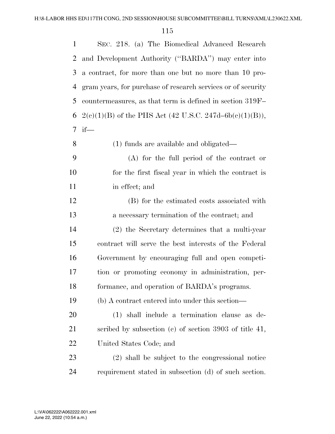| $\mathbf{1}$ | SEC. 218. (a) The Biomedical Advanced Research               |
|--------------|--------------------------------------------------------------|
| 2            | and Development Authority ("BARDA") may enter into           |
| 3            | a contract, for more than one but no more than 10 pro-       |
| 4            | gram years, for purchase of research services or of security |
| 5            | countermeasures, as that term is defined in section 319F–    |
| 6            | $2(c)(1)(B)$ of the PHS Act (42 U.S.C. 247d–6b(c)(1)(B)),    |
| 7            | $if$ —                                                       |
| 8            | $(1)$ funds are available and obligated—                     |
| 9            | $(A)$ for the full period of the contract or                 |
| 10           | for the first fiscal year in which the contract is           |
| 11           | in effect; and                                               |
| 12           | (B) for the estimated costs associated with                  |
| 13           | a necessary termination of the contract; and                 |
| 14           | (2) the Secretary determines that a multi-year               |
| 15           | contract will serve the best interests of the Federal        |
| 16           | Government by encouraging full and open competi-             |
| 17           | tion or promoting economy in administration, per-            |
| 18           | formance, and operation of BARDA's programs.                 |
| 19           | (b) A contract entered into under this section—              |
| 20           | (1) shall include a termination clause as de-                |
| 21           | scribed by subsection $(c)$ of section 3903 of title 41,     |
| 22           | United States Code; and                                      |
| 23           | $(2)$ shall be subject to the congressional notice           |
| 24           | requirement stated in subsection (d) of such section.        |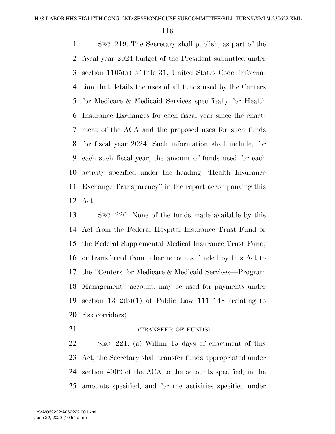SEC. 219. The Secretary shall publish, as part of the fiscal year 2024 budget of the President submitted under section 1105(a) of title 31, United States Code, informa- tion that details the uses of all funds used by the Centers for Medicare & Medicaid Services specifically for Health Insurance Exchanges for each fiscal year since the enact- ment of the ACA and the proposed uses for such funds for fiscal year 2024. Such information shall include, for each such fiscal year, the amount of funds used for each activity specified under the heading ''Health Insurance Exchange Transparency'' in the report accompanying this Act.

 SEC. 220. None of the funds made available by this Act from the Federal Hospital Insurance Trust Fund or the Federal Supplemental Medical Insurance Trust Fund, or transferred from other accounts funded by this Act to the ''Centers for Medicare & Medicaid Services—Program Management'' account, may be used for payments under 19 section  $1342(b)(1)$  of Public Law 111–148 (relating to risk corridors).

21 (TRANSFER OF FUNDS)

 SEC. 221. (a) Within 45 days of enactment of this Act, the Secretary shall transfer funds appropriated under section 4002 of the ACA to the accounts specified, in the amounts specified, and for the activities specified under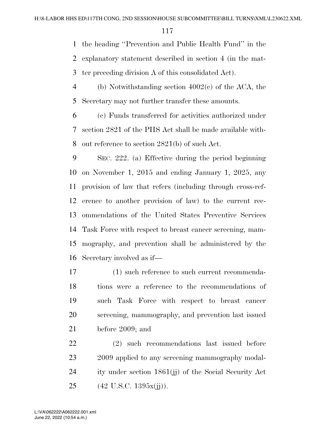the heading ''Prevention and Public Health Fund'' in the

explanatory statement described in section 4 (in the mat-

ter preceding division A of this consolidated Act).

 (b) Notwithstanding section 4002(c) of the ACA, the Secretary may not further transfer these amounts.

 (c) Funds transferred for activities authorized under section 2821 of the PHS Act shall be made available with-out reference to section 2821(b) of such Act.

 SEC. 222. (a) Effective during the period beginning on November 1, 2015 and ending January 1, 2025, any provision of law that refers (including through cross-ref- erence to another provision of law) to the current rec- ommendations of the United States Preventive Services Task Force with respect to breast cancer screening, mam- mography, and prevention shall be administered by the Secretary involved as if—

 (1) such reference to such current recommenda- tions were a reference to the recommendations of such Task Force with respect to breast cancer screening, mammography, and prevention last issued before 2009; and

 (2) such recommendations last issued before 2009 applied to any screening mammography modal- ity under section 1861(jj) of the Social Security Act (42 U.S.C. 1395x(jj)).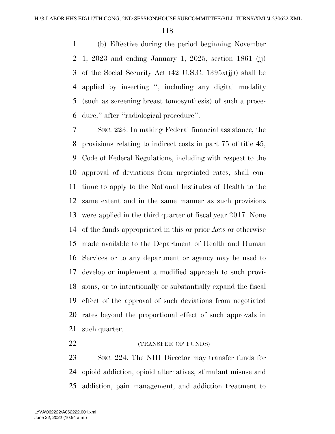(b) Effective during the period beginning November 1, 2023 and ending January 1, 2025, section 1861 (jj) of the Social Security Act (42 U.S.C. 1395x(jj)) shall be applied by inserting '', including any digital modality (such as screening breast tomosynthesis) of such a proce-dure,'' after ''radiological procedure''.

 SEC. 223. In making Federal financial assistance, the provisions relating to indirect costs in part 75 of title 45, Code of Federal Regulations, including with respect to the approval of deviations from negotiated rates, shall con- tinue to apply to the National Institutes of Health to the same extent and in the same manner as such provisions were applied in the third quarter of fiscal year 2017. None of the funds appropriated in this or prior Acts or otherwise made available to the Department of Health and Human Services or to any department or agency may be used to develop or implement a modified approach to such provi- sions, or to intentionally or substantially expand the fiscal effect of the approval of such deviations from negotiated rates beyond the proportional effect of such approvals in such quarter.

## **(TRANSFER OF FUNDS)**

 SEC. 224. The NIH Director may transfer funds for opioid addiction, opioid alternatives, stimulant misuse and addiction, pain management, and addiction treatment to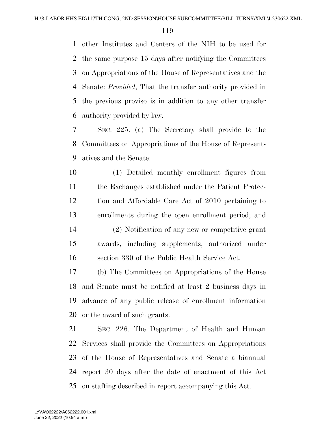other Institutes and Centers of the NIH to be used for the same purpose 15 days after notifying the Committees on Appropriations of the House of Representatives and the Senate: *Provided*, That the transfer authority provided in the previous proviso is in addition to any other transfer authority provided by law.

 SEC. 225. (a) The Secretary shall provide to the Committees on Appropriations of the House of Represent-atives and the Senate:

 (1) Detailed monthly enrollment figures from the Exchanges established under the Patient Protec- tion and Affordable Care Act of 2010 pertaining to enrollments during the open enrollment period; and (2) Notification of any new or competitive grant awards, including supplements, authorized under section 330 of the Public Health Service Act.

 (b) The Committees on Appropriations of the House and Senate must be notified at least 2 business days in advance of any public release of enrollment information or the award of such grants.

 SEC. 226. The Department of Health and Human Services shall provide the Committees on Appropriations of the House of Representatives and Senate a biannual report 30 days after the date of enactment of this Act on staffing described in report accompanying this Act.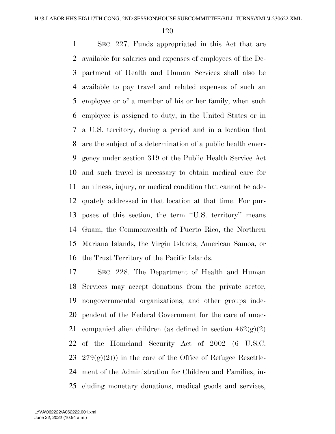SEC. 227. Funds appropriated in this Act that are available for salaries and expenses of employees of the De- partment of Health and Human Services shall also be available to pay travel and related expenses of such an employee or of a member of his or her family, when such employee is assigned to duty, in the United States or in a U.S. territory, during a period and in a location that are the subject of a determination of a public health emer- gency under section 319 of the Public Health Service Act and such travel is necessary to obtain medical care for an illness, injury, or medical condition that cannot be ade- quately addressed in that location at that time. For pur- poses of this section, the term ''U.S. territory'' means Guam, the Commonwealth of Puerto Rico, the Northern Mariana Islands, the Virgin Islands, American Samoa, or the Trust Territory of the Pacific Islands.

 SEC. 228. The Department of Health and Human Services may accept donations from the private sector, nongovernmental organizations, and other groups inde- pendent of the Federal Government for the care of unac-21 companied alien children (as defined in section  $462(g)(2)$ ) of the Homeland Security Act of 2002 (6 U.S.C. 23 279 $(g)(2)$ ) in the care of the Office of Refugee Resettle- ment of the Administration for Children and Families, in-cluding monetary donations, medical goods and services,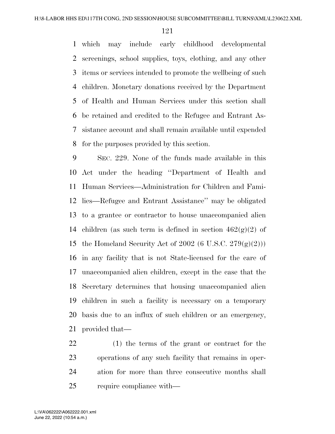which may include early childhood developmental screenings, school supplies, toys, clothing, and any other items or services intended to promote the wellbeing of such children. Monetary donations received by the Department of Health and Human Services under this section shall be retained and credited to the Refugee and Entrant As- sistance account and shall remain available until expended for the purposes provided by this section.

 SEC. 229. None of the funds made available in this Act under the heading ''Department of Health and Human Services—Administration for Children and Fami- lies—Refugee and Entrant Assistance'' may be obligated to a grantee or contractor to house unaccompanied alien 14 children (as such term is defined in section  $462(g)(2)$  of 15 the Homeland Security Act of 2002 (6 U.S.C.  $279(g)(2)$ )) in any facility that is not State-licensed for the care of unaccompanied alien children, except in the case that the Secretary determines that housing unaccompanied alien children in such a facility is necessary on a temporary basis due to an influx of such children or an emergency, provided that—

 (1) the terms of the grant or contract for the operations of any such facility that remains in oper- ation for more than three consecutive months shall require compliance with—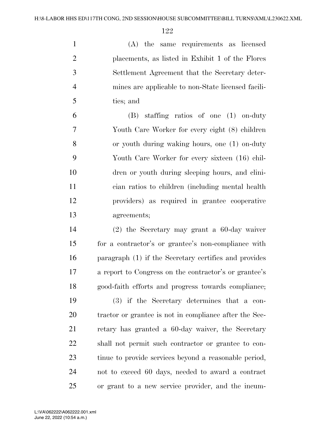(A) the same requirements as licensed placements, as listed in Exhibit 1 of the Flores Settlement Agreement that the Secretary deter- mines are applicable to non-State licensed facili-ties; and

 (B) staffing ratios of one (1) on-duty Youth Care Worker for every eight (8) children or youth during waking hours, one (1) on-duty Youth Care Worker for every sixteen (16) chil- dren or youth during sleeping hours, and clini- cian ratios to children (including mental health providers) as required in grantee cooperative agreements;

 (2) the Secretary may grant a 60-day waiver for a contractor's or grantee's non-compliance with paragraph (1) if the Secretary certifies and provides a report to Congress on the contractor's or grantee's good-faith efforts and progress towards compliance;

 (3) if the Secretary determines that a con- tractor or grantee is not in compliance after the Sec- retary has granted a 60-day waiver, the Secretary shall not permit such contractor or grantee to con- tinue to provide services beyond a reasonable period, not to exceed 60 days, needed to award a contract or grant to a new service provider, and the incum-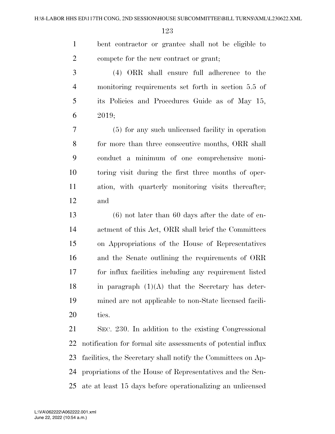bent contractor or grantee shall not be eligible to compete for the new contract or grant;

 (4) ORR shall ensure full adherence to the monitoring requirements set forth in section 5.5 of its Policies and Procedures Guide as of May 15, 2019;

 (5) for any such unlicensed facility in operation for more than three consecutive months, ORR shall conduct a minimum of one comprehensive moni- toring visit during the first three months of oper- ation, with quarterly monitoring visits thereafter; and

 (6) not later than 60 days after the date of en- actment of this Act, ORR shall brief the Committees on Appropriations of the House of Representatives and the Senate outlining the requirements of ORR for influx facilities including any requirement listed 18 in paragraph  $(1)(A)$  that the Secretary has deter- mined are not applicable to non-State licensed facili-ties.

 SEC. 230. In addition to the existing Congressional notification for formal site assessments of potential influx facilities, the Secretary shall notify the Committees on Ap- propriations of the House of Representatives and the Sen-ate at least 15 days before operationalizing an unlicensed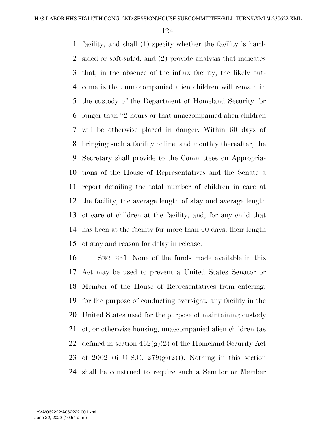facility, and shall (1) specify whether the facility is hard- sided or soft-sided, and (2) provide analysis that indicates that, in the absence of the influx facility, the likely out- come is that unaccompanied alien children will remain in the custody of the Department of Homeland Security for longer than 72 hours or that unaccompanied alien children will be otherwise placed in danger. Within 60 days of bringing such a facility online, and monthly thereafter, the Secretary shall provide to the Committees on Appropria- tions of the House of Representatives and the Senate a report detailing the total number of children in care at the facility, the average length of stay and average length of care of children at the facility, and, for any child that has been at the facility for more than 60 days, their length of stay and reason for delay in release.

 SEC. 231. None of the funds made available in this Act may be used to prevent a United States Senator or Member of the House of Representatives from entering, for the purpose of conducting oversight, any facility in the United States used for the purpose of maintaining custody of, or otherwise housing, unaccompanied alien children (as 22 defined in section  $462(g)(2)$  of the Homeland Security Act 23 of 2002 (6 U.S.C.  $279(g)(2)$ )). Nothing in this section shall be construed to require such a Senator or Member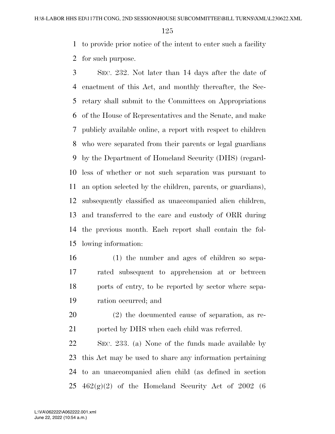to provide prior notice of the intent to enter such a facility

for such purpose.

 SEC. 232. Not later than 14 days after the date of enactment of this Act, and monthly thereafter, the Sec- retary shall submit to the Committees on Appropriations of the House of Representatives and the Senate, and make publicly available online, a report with respect to children who were separated from their parents or legal guardians by the Department of Homeland Security (DHS) (regard- less of whether or not such separation was pursuant to an option selected by the children, parents, or guardians), subsequently classified as unaccompanied alien children, and transferred to the care and custody of ORR during the previous month. Each report shall contain the fol-lowing information:

- (1) the number and ages of children so sepa- rated subsequent to apprehension at or between ports of entry, to be reported by sector where sepa-ration occurred; and
- (2) the documented cause of separation, as re-21 ported by DHS when each child was referred.

 SEC. 233. (a) None of the funds made available by this Act may be used to share any information pertaining to an unaccompanied alien child (as defined in section  $462(g)(2)$  of the Homeland Security Act of 2002 (6)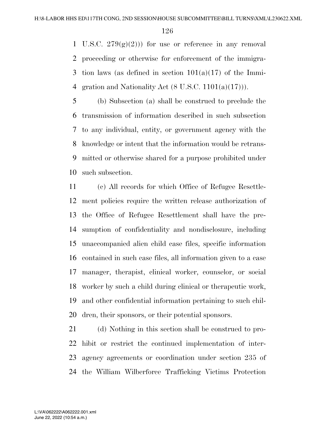1 U.S.C.  $279(g)(2)$ ) for use or reference in any removal proceeding or otherwise for enforcement of the immigra-3 tion laws (as defined in section  $101(a)(17)$  of the Immi-4 gration and Nationality Act  $(8 \text{ U.S.C. } 1101(a)(17)))$ .

 (b) Subsection (a) shall be construed to preclude the transmission of information described in such subsection to any individual, entity, or government agency with the knowledge or intent that the information would be retrans- mitted or otherwise shared for a purpose prohibited under such subsection.

 (c) All records for which Office of Refugee Resettle- ment policies require the written release authorization of the Office of Refugee Resettlement shall have the pre- sumption of confidentiality and nondisclosure, including unaccompanied alien child case files, specific information contained in such case files, all information given to a case manager, therapist, clinical worker, counselor, or social worker by such a child during clinical or therapeutic work, and other confidential information pertaining to such chil-dren, their sponsors, or their potential sponsors.

 (d) Nothing in this section shall be construed to pro- hibit or restrict the continued implementation of inter- agency agreements or coordination under section 235 of the William Wilberforce Trafficking Victims Protection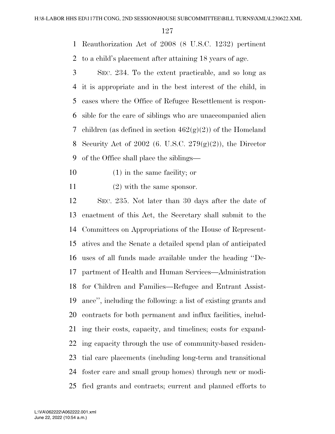Reauthorization Act of 2008 (8 U.S.C. 1232) pertinent

to a child's placement after attaining 18 years of age.

 SEC. 234. To the extent practicable, and so long as it is appropriate and in the best interest of the child, in cases where the Office of Refugee Resettlement is respon- sible for the care of siblings who are unaccompanied alien 7 children (as defined in section  $462(\text{g})(2)$ ) of the Homeland 8 Security Act of 2002 (6. U.S.C.  $279(g)(2)$ ), the Director of the Office shall place the siblings—

(1) in the same facility; or

11 (2) with the same sponsor.

 SEC. 235. Not later than 30 days after the date of enactment of this Act, the Secretary shall submit to the Committees on Appropriations of the House of Represent- atives and the Senate a detailed spend plan of anticipated uses of all funds made available under the heading ''De- partment of Health and Human Services—Administration for Children and Families—Refugee and Entrant Assist- ance'', including the following: a list of existing grants and contracts for both permanent and influx facilities, includ- ing their costs, capacity, and timelines; costs for expand- ing capacity through the use of community-based residen- tial care placements (including long-term and transitional foster care and small group homes) through new or modi-fied grants and contracts; current and planned efforts to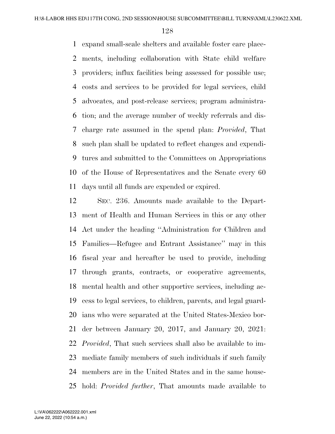expand small-scale shelters and available foster care place- ments, including collaboration with State child welfare providers; influx facilities being assessed for possible use; costs and services to be provided for legal services, child advocates, and post-release services; program administra- tion; and the average number of weekly referrals and dis- charge rate assumed in the spend plan: *Provided*, That such plan shall be updated to reflect changes and expendi- tures and submitted to the Committees on Appropriations of the House of Representatives and the Senate every 60 days until all funds are expended or expired.

 SEC. 236. Amounts made available to the Depart- ment of Health and Human Services in this or any other Act under the heading ''Administration for Children and Families—Refugee and Entrant Assistance'' may in this fiscal year and hereafter be used to provide, including through grants, contracts, or cooperative agreements, mental health and other supportive services, including ac- cess to legal services, to children, parents, and legal guard- ians who were separated at the United States-Mexico bor- der between January 20, 2017, and January 20, 2021: *Provided*, That such services shall also be available to im- mediate family members of such individuals if such family members are in the United States and in the same house-hold: *Provided further*, That amounts made available to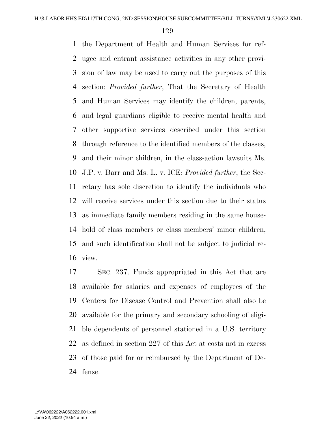the Department of Health and Human Services for ref- ugee and entrant assistance activities in any other provi- sion of law may be used to carry out the purposes of this section: *Provided further*, That the Secretary of Health and Human Services may identify the children, parents, and legal guardians eligible to receive mental health and other supportive services described under this section through reference to the identified members of the classes, and their minor children, in the class-action lawsuits Ms. J.P. v. Barr and Ms. L. v. ICE: *Provided further*, the Sec- retary has sole discretion to identify the individuals who will receive services under this section due to their status as immediate family members residing in the same house- hold of class members or class members' minor children, and such identification shall not be subject to judicial re-view.

 SEC. 237. Funds appropriated in this Act that are available for salaries and expenses of employees of the Centers for Disease Control and Prevention shall also be available for the primary and secondary schooling of eligi- ble dependents of personnel stationed in a U.S. territory as defined in section 227 of this Act at costs not in excess of those paid for or reimbursed by the Department of De-fense.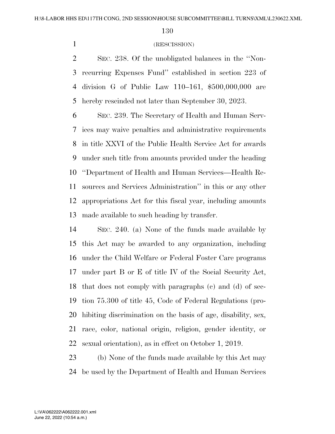## (RESCISSION)

 SEC. 238. Of the unobligated balances in the ''Non- recurring Expenses Fund'' established in section 223 of division G of Public Law 110–161, \$500,000,000 are hereby rescinded not later than September 30, 2023.

 SEC. 239. The Secretary of Health and Human Serv- ices may waive penalties and administrative requirements in title XXVI of the Public Health Service Act for awards under such title from amounts provided under the heading ''Department of Health and Human Services—Health Re- sources and Services Administration'' in this or any other appropriations Act for this fiscal year, including amounts made available to such heading by transfer.

 SEC. 240. (a) None of the funds made available by this Act may be awarded to any organization, including under the Child Welfare or Federal Foster Care programs under part B or E of title IV of the Social Security Act, that does not comply with paragraphs (c) and (d) of sec- tion 75.300 of title 45, Code of Federal Regulations (pro- hibiting discrimination on the basis of age, disability, sex, race, color, national origin, religion, gender identity, or sexual orientation), as in effect on October 1, 2019.

 (b) None of the funds made available by this Act may be used by the Department of Health and Human Services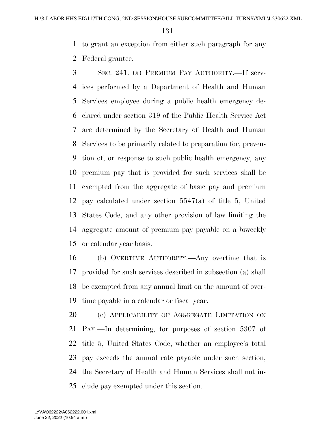to grant an exception from either such paragraph for any

Federal grantee.

 SEC. 241. (a) PREMIUM PAY AUTHORITY.—If serv- ices performed by a Department of Health and Human Services employee during a public health emergency de- clared under section 319 of the Public Health Service Act are determined by the Secretary of Health and Human Services to be primarily related to preparation for, preven- tion of, or response to such public health emergency, any premium pay that is provided for such services shall be exempted from the aggregate of basic pay and premium pay calculated under section 5547(a) of title 5, United States Code, and any other provision of law limiting the aggregate amount of premium pay payable on a biweekly or calendar year basis.

 (b) OVERTIME AUTHORITY.—Any overtime that is provided for such services described in subsection (a) shall be exempted from any annual limit on the amount of over-time payable in a calendar or fiscal year.

20 (c) APPLICABILITY OF AGGREGATE LIMITATION ON PAY.—In determining, for purposes of section 5307 of title 5, United States Code, whether an employee's total pay exceeds the annual rate payable under such section, the Secretary of Health and Human Services shall not in-clude pay exempted under this section.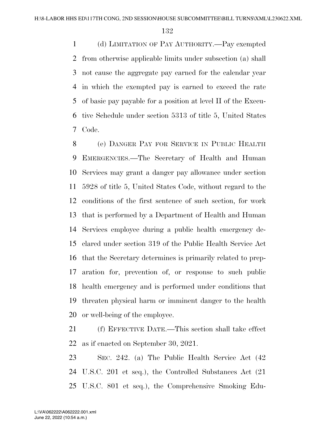(d) LIMITATION OF PAY AUTHORITY.—Pay exempted from otherwise applicable limits under subsection (a) shall not cause the aggregate pay earned for the calendar year in which the exempted pay is earned to exceed the rate of basic pay payable for a position at level II of the Execu- tive Schedule under section 5313 of title 5, United States Code.

 (e) DANGER PAY FOR SERVICE IN PUBLIC HEALTH EMERGENCIES.—The Secretary of Health and Human Services may grant a danger pay allowance under section 5928 of title 5, United States Code, without regard to the conditions of the first sentence of such section, for work that is performed by a Department of Health and Human Services employee during a public health emergency de- clared under section 319 of the Public Health Service Act that the Secretary determines is primarily related to prep- aration for, prevention of, or response to such public health emergency and is performed under conditions that threaten physical harm or imminent danger to the health or well-being of the employee.

 (f) EFFECTIVE DATE.—This section shall take effect as if enacted on September 30, 2021.

 SEC. 242. (a) The Public Health Service Act (42 U.S.C. 201 et seq.), the Controlled Substances Act (21 U.S.C. 801 et seq.), the Comprehensive Smoking Edu-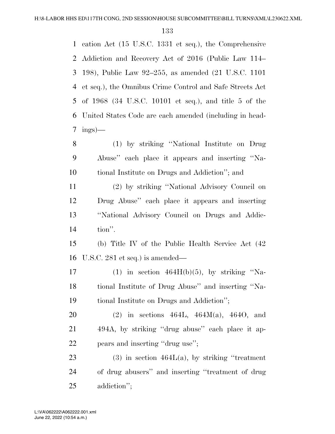cation Act (15 U.S.C. 1331 et seq.), the Comprehensive Addiction and Recovery Act of 2016 (Public Law 114– 198), Public Law 92–255, as amended (21 U.S.C. 1101 et seq.), the Omnibus Crime Control and Safe Streets Act of 1968 (34 U.S.C. 10101 et seq.), and title 5 of the United States Code are each amended (including in head- ings)— (1) by striking ''National Institute on Drug Abuse'' each place it appears and inserting ''Na- tional Institute on Drugs and Addiction''; and (2) by striking ''National Advisory Council on Drug Abuse'' each place it appears and inserting ''National Advisory Council on Drugs and Addic- tion''. (b) Title IV of the Public Health Service Act (42 U.S.C. 281 et seq.) is amended— 17 (1) in section  $464H(b)(5)$ , by striking "Na- tional Institute of Drug Abuse'' and inserting ''Na- tional Institute on Drugs and Addiction''; (2) in sections 464L, 464M(a), 464O, and 494A, by striking ''drug abuse'' each place it ap- pears and inserting ''drug use''; 23 (3) in section  $464L(a)$ , by striking "treatment" of drug abusers'' and inserting ''treatment of drug

addiction'';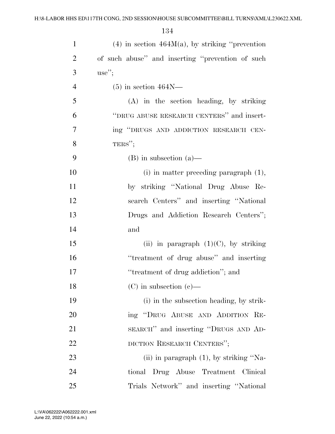| $\mathbf{1}$   | $(4)$ in section $464M(a)$ , by striking "prevention" |
|----------------|-------------------------------------------------------|
| $\overline{2}$ | of such abuse" and inserting "prevention of such      |
| 3              | $use''$ ;                                             |
| $\overline{4}$ | $(5)$ in section 464N—                                |
| 5              | $(A)$ in the section heading, by striking             |
| 6              | "DRUG ABUSE RESEARCH CENTERS" and insert-             |
| 7              | ing "DRUGS AND ADDICTION RESEARCH CEN-                |
| 8              | TERS";                                                |
| 9              | $(B)$ in subsection $(a)$ —                           |
| 10             | $(i)$ in matter preceding paragraph $(1)$ ,           |
| 11             | by striking "National Drug Abuse Re-                  |
| 12             | search Centers" and inserting "National               |
| 13             | Drugs and Addiction Research Centers";                |
| 14             | and                                                   |
| 15             | (ii) in paragraph $(1)(C)$ , by striking              |
| 16             | "treatment of drug abuse" and inserting               |
| 17             | "treatment of drug addiction"; and                    |
| 18             | $(C)$ in subsection $(e)$ —                           |
| 19             | (i) in the subsection heading, by strik-              |
| 20             | ing "DRUG ABUSE AND ADDITION RE-                      |
| 21             | SEARCH" and inserting "DRUGS AND AD-                  |
| 22             | DICTION RESEARCH CENTERS";                            |
| 23             | (ii) in paragraph $(1)$ , by striking "Na-            |
| 24             | Drug Abuse Treatment Clinical<br>tional               |
| 25             | Trials Network" and inserting "National               |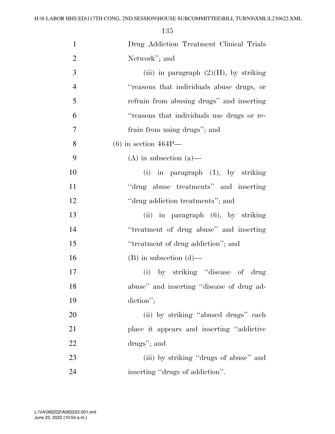| $\mathbf{1}$   | Drug Addiction Treatment Clinical Trials   |
|----------------|--------------------------------------------|
| $\overline{2}$ | Network"; and                              |
| 3              | (iii) in paragraph $(2)(H)$ , by striking  |
| $\overline{4}$ | "reasons that individuals abuse drugs, or  |
| 5              | refrain from abusing drugs" and inserting  |
| 6              | "reasons that individuals use drugs or re- |
| 7              | frain from using drugs"; and               |
| 8              | $(6)$ in section $464P$ —                  |
| 9              | $(A)$ in subsection $(a)$ —                |
| 10             | $(i)$ in paragraph $(1)$ , by striking     |
| 11             | "drug abuse treatments" and inserting      |
| 12             | "drug addiction treatments"; and           |
| 13             | (ii) in paragraph (6), by striking         |
| 14             | "treatment of drug abuse" and inserting    |
| 15             | "treatment of drug addiction"; and         |
| 16             | $(B)$ in subsection $(d)$ —                |
| 17             | (i) by striking "disease of drug           |
| 18             | abuse" and inserting "disease of drug ad-  |
| 19             | diction";                                  |
| 20             | (ii) by striking "abused drugs" each       |
| 21             | place it appears and inserting "addictive" |
| 22             | drugs"; and                                |
| 23             | (iii) by striking "drugs of abuse" and     |
| 24             | inserting "drugs of addiction".            |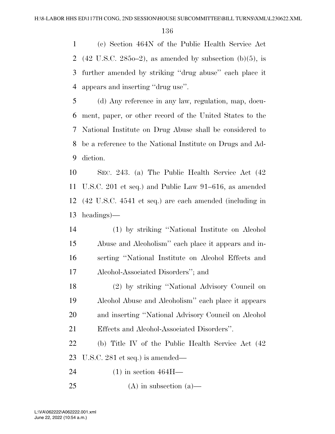(c) Section 464N of the Public Health Service Act 2 (42 U.S.C. 2850–2), as amended by subsection (b)(5), is further amended by striking ''drug abuse'' each place it appears and inserting ''drug use''.

 (d) Any reference in any law, regulation, map, docu- ment, paper, or other record of the United States to the National Institute on Drug Abuse shall be considered to be a reference to the National Institute on Drugs and Ad-diction.

 SEC. 243. (a) The Public Health Service Act (42 U.S.C. 201 et seq.) and Public Law 91–616, as amended (42 U.S.C. 4541 et seq.) are each amended (including in headings)—

 (1) by striking ''National Institute on Alcohol Abuse and Alcoholism'' each place it appears and in- serting ''National Institute on Alcohol Effects and Alcohol-Associated Disorders''; and

 (2) by striking ''National Advisory Council on Alcohol Abuse and Alcoholism'' each place it appears and inserting ''National Advisory Council on Alcohol Effects and Alcohol-Associated Disorders''.

 (b) Title IV of the Public Health Service Act (42 U.S.C. 281 et seq.) is amended—

(1) in section 464H—

25 (A) in subsection  $(a)$ —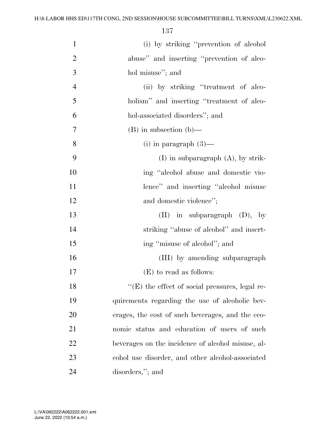| $\mathbf{1}$   | (i) by striking "prevention of alcohol                 |
|----------------|--------------------------------------------------------|
| $\overline{2}$ | abuse" and inserting "prevention of alco-              |
| 3              | hol misuse"; and                                       |
| $\overline{4}$ | (ii) by striking "treatment of alco-                   |
| 5              | holism" and inserting "treatment of alco-              |
| 6              | hol-associated disorders"; and                         |
| 7              | $(B)$ in subsection $(b)$ —                            |
| 8              | $(i)$ in paragraph $(3)$ —                             |
| 9              | $(I)$ in subparagraph $(A)$ , by strik-                |
| 10             | ing "alcohol abuse and domestic vio-                   |
| 11             | lence" and inserting "alcohol misuse                   |
| 12             | and domestic violence";                                |
| 13             | $(II)$ in subparagraph $(D)$ , by                      |
| 14             | striking "abuse of alcohol" and insert-                |
| 15             | ing "misuse of alcohol"; and                           |
| 16             | (III) by amending subparagraph                         |
| 17             | (E) to read as follows:                                |
| 18             | $\lq\lq$ (E) the effect of social pressures, legal re- |
| 19             | quirements regarding the use of alcoholic bev-         |
| 20             | erages, the cost of such beverages, and the eco-       |
| 21             | nomic status and education of users of such            |
| 22             | beverages on the incidence of alcohol misuse, al-      |
| 23             | cohol use disorder, and other alcohol-associated       |
| 24             | disorders,"; and                                       |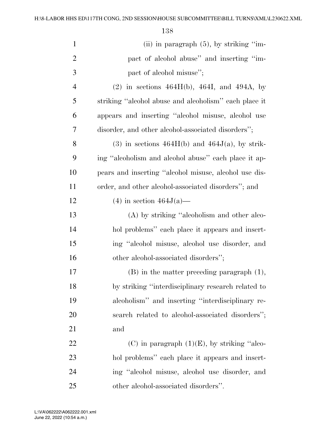| $\mathbf{1}$   | (ii) in paragraph $(5)$ , by striking "im-            |
|----------------|-------------------------------------------------------|
| $\overline{2}$ | pact of alcohol abuse" and inserting "im-             |
| 3              | pact of alcohol misuse";                              |
| $\overline{4}$ | (2) in sections $464H(b)$ , $464I$ , and $494A$ , by  |
| 5              | striking "alcohol abuse and alcoholism" each place it |
| 6              | appears and inserting "alcohol misuse, alcohol use    |
| 7              | disorder, and other alcohol-associated disorders";    |
| 8              | $(3)$ in sections $464H(b)$ and $464J(a)$ , by strik- |
| 9              | ing "alcoholism and alcohol abuse" each place it ap-  |
| 10             | pears and inserting "alcohol misuse, alcohol use dis- |
| 11             | order, and other alcohol-associated disorders"; and   |
| 12             | $(4)$ in section $464J(a)$ —                          |
| 13             | (A) by striking "alcoholism and other alco-           |
| 14             | hol problems" each place it appears and insert-       |
| 15             | ing "alcohol misuse, alcohol use disorder, and        |
| 16             | other alcohol-associated disorders";                  |
| 17             | $(B)$ in the matter preceding paragraph $(1)$ ,       |
| 18             | by striking "interdisciplinary research related to    |
| 19             | alcoholism" and inserting "interdisciplinary re-      |
| 20             | search related to alcohol-associated disorders";      |
| 21             | and                                                   |
| 22             | (C) in paragraph $(1)(E)$ , by striking "alco-        |
| 23             | hol problems" each place it appears and insert-       |
| 24             | ing "alcohol misuse, alcohol use disorder, and        |
| 25             | other alcohol-associated disorders".                  |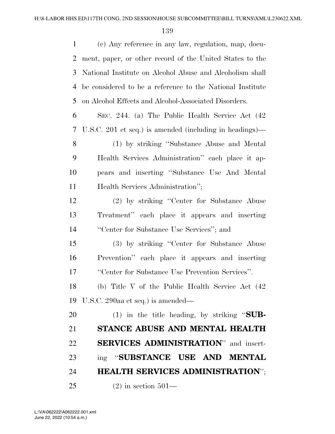(c) Any reference in any law, regulation, map, docu- ment, paper, or other record of the United States to the National Institute on Alcohol Abuse and Alcoholism shall be considered to be a reference to the National Institute on Alcohol Effects and Alcohol-Associated Disorders.

 SEC. 244. (a) The Public Health Service Act (42 U.S.C. 201 et seq.) is amended (including in headings)—

 (1) by striking ''Substance Abuse and Mental Health Services Administration'' each place it ap- pears and inserting ''Substance Use And Mental 11 Health Services Administration";

 (2) by striking ''Center for Substance Abuse Treatment'' each place it appears and inserting ''Center for Substance Use Services''; and

 (3) by striking ''Center for Substance Abuse Prevention'' each place it appears and inserting ''Center for Substance Use Prevention Services''.

 (b) Title V of the Public Health Service Act (42 U.S.C. 290aa et seq.) is amended—

 (1) in the title heading, by striking ''**SUB- STANCE ABUSE AND MENTAL HEALTH SERVICES ADMINISTRATION**'' and insert- ing ''**SUBSTANCE USE AND MENTAL HEALTH SERVICES ADMINISTRATION**'';

(2) in section 501—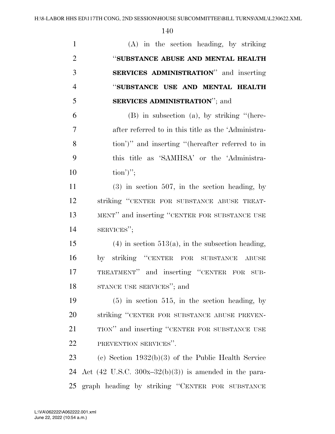| $\mathbf{1}$   | (A) in the section heading, by striking                          |
|----------------|------------------------------------------------------------------|
| $\overline{2}$ | "SUBSTANCE ABUSE AND MENTAL HEALTH                               |
| 3              | <b>SERVICES ADMINISTRATION</b> " and inserting                   |
| $\overline{4}$ | "SUBSTANCE USE AND MENTAL HEALTH                                 |
| 5              | <b>SERVICES ADMINISTRATION"; and</b>                             |
| 6              | $(B)$ in subsection (a), by striking "(here-                     |
| 7              | after referred to in this title as the 'Administra-              |
| 8              | tion')" and inserting "(hereafter referred to in                 |
| 9              | this title as 'SAMHSA' or the 'Administra-                       |
| 10             | $\text{tion'}$ ";                                                |
| 11             | $(3)$ in section 507, in the section heading, by                 |
| 12             | striking "CENTER FOR SUBSTANCE ABUSE TREAT-                      |
| 13             | MENT" and inserting "CENTER FOR SUBSTANCE USE                    |
| 14             | SERVICES";                                                       |
| 15             | $(4)$ in section 513(a), in the subsection heading,              |
| 16             | by striking "CENTER FOR SUBSTANCE ABUSE                          |
| 17             | TREATMENT" and inserting "CENTER FOR SUB-                        |
| 18             | STANCE USE SERVICES"; and                                        |
| 19             | $(5)$ in section 515, in the section heading, by                 |
| 20             | striking "CENTER FOR SUBSTANCE ABUSE PREVEN-                     |
| 21             | TION" and inserting "CENTER FOR SUBSTANCE USE                    |
| 22             | PREVENTION SERVICES".                                            |
| 23             | (c) Section $1932(b)(3)$ of the Public Health Service            |
| 24             | Act $(42 \text{ U.S.C. } 300x-32(b)(3))$ is amended in the para- |
| 25             | graph heading by striking "CENTER FOR SUBSTANCE                  |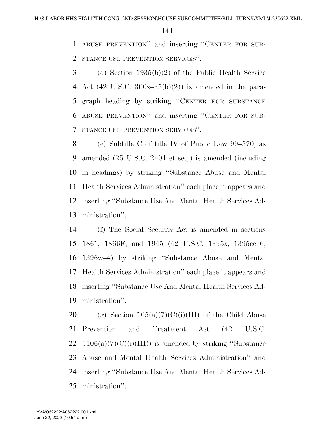ABUSE PREVENTION'' and inserting ''CENTER FOR SUB-STANCE USE PREVENTION SERVICES''.

 (d) Section 1935(b)(2) of the Public Health Service 4 Act (42 U.S.C.  $300x-35(b)(2)$ ) is amended in the para- graph heading by striking ''CENTER FOR SUBSTANCE ABUSE PREVENTION'' and inserting ''CENTER FOR SUB-STANCE USE PREVENTION SERVICES''.

 (e) Subtitle C of title IV of Public Law 99–570, as amended (25 U.S.C. 2401 et seq.) is amended (including in headings) by striking ''Substance Abuse and Mental Health Services Administration'' each place it appears and inserting ''Substance Use And Mental Health Services Ad-ministration''.

 (f) The Social Security Act is amended in sections 1861, 1866F, and 1945 (42 U.S.C. 1395x, 1395cc–6, 1396w–4) by striking ''Substance Abuse and Mental Health Services Administration'' each place it appears and inserting ''Substance Use And Mental Health Services Ad-ministration''.

20 (g) Section  $105(a)(7)(C)(i)(III)$  of the Child Abuse Prevention and Treatment Act (42 U.S.C.  $5106(a)(7)(C)(i)(III)$  is amended by striking "Substance" Abuse and Mental Health Services Administration'' and inserting ''Substance Use And Mental Health Services Ad-ministration''.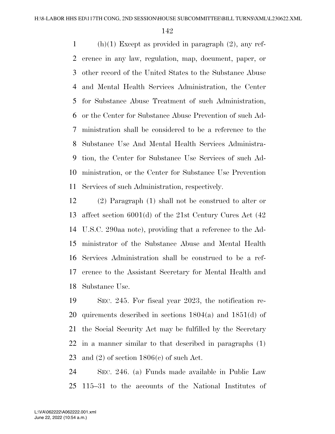1 (h)(1) Except as provided in paragraph  $(2)$ , any ref- erence in any law, regulation, map, document, paper, or other record of the United States to the Substance Abuse and Mental Health Services Administration, the Center for Substance Abuse Treatment of such Administration, or the Center for Substance Abuse Prevention of such Ad- ministration shall be considered to be a reference to the Substance Use And Mental Health Services Administra- tion, the Center for Substance Use Services of such Ad- ministration, or the Center for Substance Use Prevention Services of such Administration, respectively.

 (2) Paragraph (1) shall not be construed to alter or affect section 6001(d) of the 21st Century Cures Act (42 U.S.C. 290aa note), providing that a reference to the Ad- ministrator of the Substance Abuse and Mental Health Services Administration shall be construed to be a ref- erence to the Assistant Secretary for Mental Health and Substance Use.

 SEC. 245. For fiscal year 2023, the notification re- quirements described in sections 1804(a) and 1851(d) of the Social Security Act may be fulfilled by the Secretary in a manner similar to that described in paragraphs (1) 23 and (2) of section  $1806(c)$  of such Act.

 SEC. 246. (a) Funds made available in Public Law 115–31 to the accounts of the National Institutes of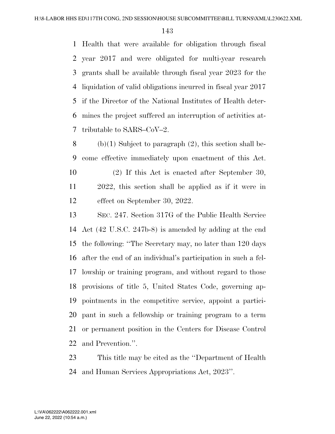Health that were available for obligation through fiscal year 2017 and were obligated for multi-year research grants shall be available through fiscal year 2023 for the liquidation of valid obligations incurred in fiscal year 2017 if the Director of the National Institutes of Health deter- mines the project suffered an interruption of activities at-tributable to SARS–CoV–2.

8 (b)(1) Subject to paragraph  $(2)$ , this section shall be- come effective immediately upon enactment of this Act. (2) If this Act is enacted after September 30, 2022, this section shall be applied as if it were in

effect on September 30, 2022.

 SEC. 247. Section 317G of the Public Health Service Act (42 U.S.C. 247b-8) is amended by adding at the end the following: ''The Secretary may, no later than 120 days after the end of an individual's participation in such a fel- lowship or training program, and without regard to those provisions of title 5, United States Code, governing ap- pointments in the competitive service, appoint a partici- pant in such a fellowship or training program to a term or permanent position in the Centers for Disease Control and Prevention.''.

 This title may be cited as the ''Department of Health and Human Services Appropriations Act, 2023''.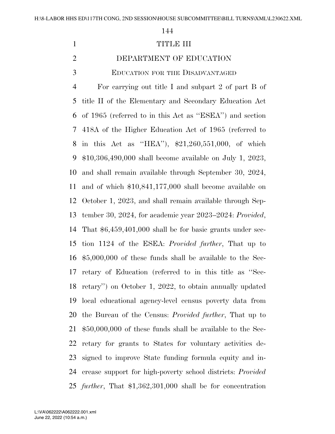### 1 TITLE III

# DEPARTMENT OF EDUCATION

EDUCATION FOR THE DISADVANTAGED

 For carrying out title I and subpart 2 of part B of title II of the Elementary and Secondary Education Act of 1965 (referred to in this Act as ''ESEA'') and section 418A of the Higher Education Act of 1965 (referred to in this Act as ''HEA''), \$21,260,551,000, of which \$10,306,490,000 shall become available on July 1, 2023, and shall remain available through September 30, 2024, and of which \$10,841,177,000 shall become available on October 1, 2023, and shall remain available through Sep- tember 30, 2024, for academic year 2023–2024: *Provided*, That \$6,459,401,000 shall be for basic grants under sec- tion 1124 of the ESEA: *Provided further*, That up to \$5,000,000 of these funds shall be available to the Sec- retary of Education (referred to in this title as ''Sec- retary'') on October 1, 2022, to obtain annually updated local educational agency-level census poverty data from the Bureau of the Census: *Provided further*, That up to \$50,000,000 of these funds shall be available to the Sec- retary for grants to States for voluntary activities de- signed to improve State funding formula equity and in- crease support for high-poverty school districts: *Provided further*, That \$1,362,301,000 shall be for concentration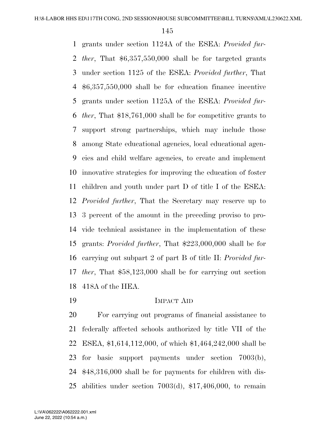grants under section 1124A of the ESEA: *Provided fur- ther*, That \$6,357,550,000 shall be for targeted grants under section 1125 of the ESEA: *Provided further*, That \$6,357,550,000 shall be for education finance incentive grants under section 1125A of the ESEA: *Provided fur- ther*, That \$18,761,000 shall be for competitive grants to support strong partnerships, which may include those among State educational agencies, local educational agen- cies and child welfare agencies, to create and implement innovative strategies for improving the education of foster children and youth under part D of title I of the ESEA: *Provided further*, That the Secretary may reserve up to 3 percent of the amount in the preceding proviso to pro- vide technical assistance in the implementation of these grants: *Provided further*, That \$223,000,000 shall be for carrying out subpart 2 of part B of title II: *Provided fur- ther*, That \$58,123,000 shall be for carrying out section 418A of the HEA.

IMPACT AID

 For carrying out programs of financial assistance to federally affected schools authorized by title VII of the ESEA, \$1,614,112,000, of which \$1,464,242,000 shall be for basic support payments under section 7003(b), \$48,316,000 shall be for payments for children with dis-abilities under section 7003(d), \$17,406,000, to remain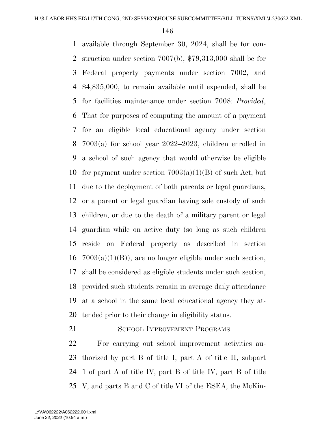available through September 30, 2024, shall be for con- struction under section 7007(b), \$79,313,000 shall be for Federal property payments under section 7002, and \$4,835,000, to remain available until expended, shall be for facilities maintenance under section 7008: *Provided*, That for purposes of computing the amount of a payment for an eligible local educational agency under section 7003(a) for school year 2022–2023, children enrolled in a school of such agency that would otherwise be eligible 10 for payment under section  $7003(a)(1)(B)$  of such Act, but due to the deployment of both parents or legal guardians, or a parent or legal guardian having sole custody of such children, or due to the death of a military parent or legal guardian while on active duty (so long as such children reside on Federal property as described in section  $16 \text{ } 7003(a)(1)(B)$ , are no longer eligible under such section, shall be considered as eligible students under such section, provided such students remain in average daily attendance at a school in the same local educational agency they at-tended prior to their change in eligibility status.

21 SCHOOL IMPROVEMENT PROGRAMS

 For carrying out school improvement activities au- thorized by part B of title I, part A of title II, subpart 1 of part A of title IV, part B of title IV, part B of title V, and parts B and C of title VI of the ESEA; the McKin-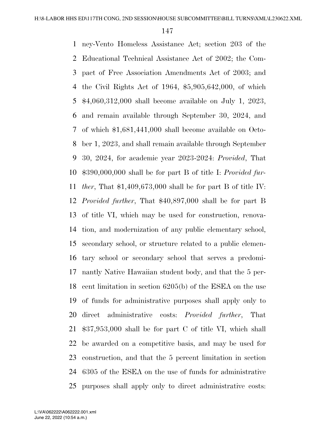ney-Vento Homeless Assistance Act; section 203 of the Educational Technical Assistance Act of 2002; the Com- pact of Free Association Amendments Act of 2003; and the Civil Rights Act of 1964, \$5,905,642,000, of which \$4,060,312,000 shall become available on July 1, 2023, and remain available through September 30, 2024, and of which \$1,681,441,000 shall become available on Octo- ber 1, 2023, and shall remain available through September 30, 2024, for academic year 2023-2024: *Provided*, That \$390,000,000 shall be for part B of title I: *Provided fur- ther*, That \$1,409,673,000 shall be for part B of title IV: *Provided further*, That \$40,897,000 shall be for part B of title VI, which may be used for construction, renova- tion, and modernization of any public elementary school, secondary school, or structure related to a public elemen- tary school or secondary school that serves a predomi- nantly Native Hawaiian student body, and that the 5 per- cent limitation in section 6205(b) of the ESEA on the use of funds for administrative purposes shall apply only to direct administrative costs: *Provided further*, That \$37,953,000 shall be for part C of title VI, which shall be awarded on a competitive basis, and may be used for construction, and that the 5 percent limitation in section 6305 of the ESEA on the use of funds for administrative purposes shall apply only to direct administrative costs:

June 22, 2022 (10:54 a.m.) L:\VA\062222\A062222.001.xml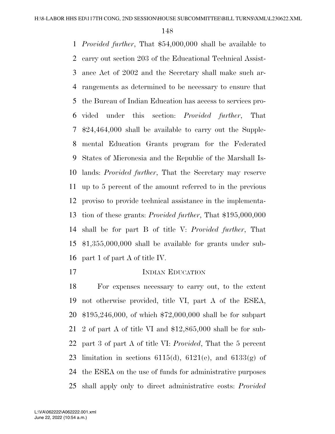*Provided further*, That \$54,000,000 shall be available to carry out section 203 of the Educational Technical Assist- ance Act of 2002 and the Secretary shall make such ar- rangements as determined to be necessary to ensure that the Bureau of Indian Education has access to services pro- vided under this section: *Provided further*, That \$24,464,000 shall be available to carry out the Supple- mental Education Grants program for the Federated States of Micronesia and the Republic of the Marshall Is- lands: *Provided further*, That the Secretary may reserve up to 5 percent of the amount referred to in the previous proviso to provide technical assistance in the implementa- tion of these grants: *Provided further*, That \$195,000,000 shall be for part B of title V: *Provided further*, That \$1,355,000,000 shall be available for grants under sub-part 1 of part A of title IV.

### 17 INDIAN EDUCATION

 For expenses necessary to carry out, to the extent not otherwise provided, title VI, part A of the ESEA, \$195,246,000, of which \$72,000,000 shall be for subpart 2 of part A of title VI and \$12,865,000 shall be for sub- part 3 of part A of title VI: *Provided*, That the 5 percent 23 limitation in sections 6115(d), 6121(e), and 6133(g) of the ESEA on the use of funds for administrative purposes shall apply only to direct administrative costs: *Provided*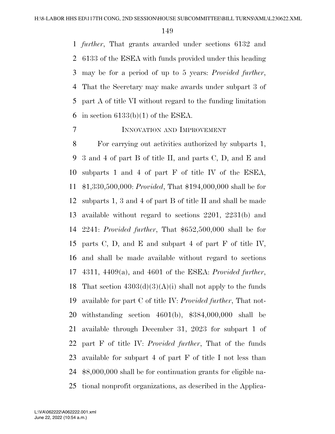*further*, That grants awarded under sections 6132 and 6133 of the ESEA with funds provided under this heading may be for a period of up to 5 years: *Provided further*, That the Secretary may make awards under subpart 3 of part A of title VI without regard to the funding limitation 6 in section  $6133(b)(1)$  of the ESEA.

# INNOVATION AND IMPROVEMENT

 For carrying out activities authorized by subparts 1, 3 and 4 of part B of title II, and parts C, D, and E and subparts 1 and 4 of part F of title IV of the ESEA, \$1,330,500,000: *Provided*, That \$194,000,000 shall be for subparts 1, 3 and 4 of part B of title II and shall be made available without regard to sections 2201, 2231(b) and 2241: *Provided further*, That \$652,500,000 shall be for parts C, D, and E and subpart 4 of part F of title IV, and shall be made available without regard to sections 4311, 4409(a), and 4601 of the ESEA: *Provided further*, 18 That section  $4303(d)(3)(A)(i)$  shall not apply to the funds available for part C of title IV: *Provided further*, That not- withstanding section 4601(b), \$384,000,000 shall be available through December 31, 2023 for subpart 1 of part F of title IV: *Provided further*, That of the funds available for subpart 4 of part F of title I not less than \$8,000,000 shall be for continuation grants for eligible na-tional nonprofit organizations, as described in the Applica-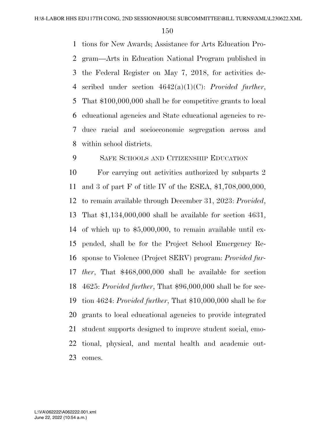tions for New Awards; Assistance for Arts Education Pro- gram—Arts in Education National Program published in the Federal Register on May 7, 2018, for activities de- scribed under section 4642(a)(1)(C): *Provided further*, That \$100,000,000 shall be for competitive grants to local educational agencies and State educational agencies to re- duce racial and socioeconomic segregation across and within school districts.

SAFE SCHOOLS AND CITIZENSHIP EDUCATION

 For carrying out activities authorized by subparts 2 and 3 of part F of title IV of the ESEA, \$1,708,000,000, to remain available through December 31, 2023: *Provided*, That \$1,134,000,000 shall be available for section 4631, of which up to \$5,000,000, to remain available until ex- pended, shall be for the Project School Emergency Re- sponse to Violence (Project SERV) program: *Provided fur- ther*, That \$468,000,000 shall be available for section 4625: *Provided further*, That \$96,000,000 shall be for sec- tion 4624: *Provided further*, That \$10,000,000 shall be for grants to local educational agencies to provide integrated student supports designed to improve student social, emo- tional, physical, and mental health and academic out-comes.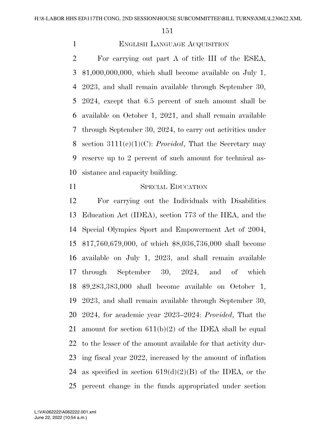# ENGLISH LANGUAGE ACQUISITION

 For carrying out part A of title III of the ESEA, \$1,000,000,000, which shall become available on July 1, 2023, and shall remain available through September 30, 2024, except that 6.5 percent of such amount shall be available on October 1, 2021, and shall remain available through September 30, 2024, to carry out activities under section 3111(c)(1)(C): *Provided*, That the Secretary may reserve up to 2 percent of such amount for technical as-sistance and capacity building.

# 11 SPECIAL EDUCATION

 For carrying out the Individuals with Disabilities Education Act (IDEA), section 773 of the HEA, and the Special Olympics Sport and Empowerment Act of 2004, \$17,760,679,000, of which \$8,036,736,000 shall become available on July 1, 2023, and shall remain available through September 30, 2024, and of which \$9,283,383,000 shall become available on October 1, 2023, and shall remain available through September 30, 2024, for academic year 2023–2024: *Provided*, That the 21 amount for section  $611(b)(2)$  of the IDEA shall be equal to the lesser of the amount available for that activity dur- ing fiscal year 2022, increased by the amount of inflation 24 as specified in section  $619(d)(2)(B)$  of the IDEA, or the percent change in the funds appropriated under section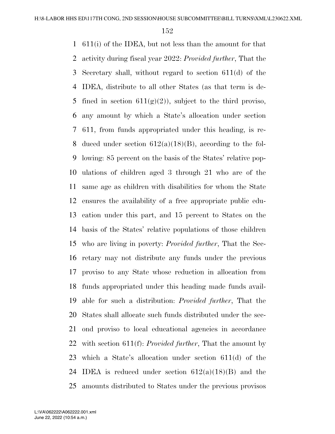611(i) of the IDEA, but not less than the amount for that activity during fiscal year 2022: *Provided further*, That the Secretary shall, without regard to section 611(d) of the IDEA, distribute to all other States (as that term is de-5 fined in section  $611(g)(2)$ , subject to the third proviso, any amount by which a State's allocation under section 611, from funds appropriated under this heading, is re-8 duced under section  $612(a)(18)(B)$ , according to the fol- lowing: 85 percent on the basis of the States' relative pop- ulations of children aged 3 through 21 who are of the same age as children with disabilities for whom the State ensures the availability of a free appropriate public edu- cation under this part, and 15 percent to States on the basis of the States' relative populations of those children who are living in poverty: *Provided further*, That the Sec- retary may not distribute any funds under the previous proviso to any State whose reduction in allocation from funds appropriated under this heading made funds avail- able for such a distribution: *Provided further*, That the States shall allocate such funds distributed under the sec- ond proviso to local educational agencies in accordance with section 611(f): *Provided further*, That the amount by which a State's allocation under section 611(d) of the 24 IDEA is reduced under section  $612(a)(18)(B)$  and the amounts distributed to States under the previous provisos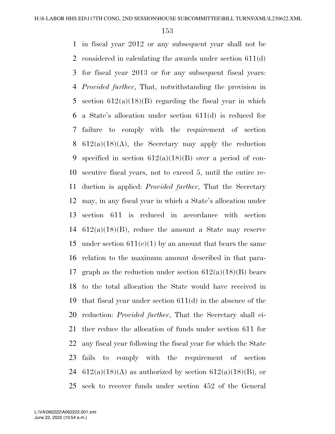in fiscal year 2012 or any subsequent year shall not be considered in calculating the awards under section 611(d) for fiscal year 2013 or for any subsequent fiscal years: *Provided further*, That, notwithstanding the provision in 5 section  $612(a)(18)(B)$  regarding the fiscal year in which a State's allocation under section 611(d) is reduced for failure to comply with the requirement of section 8 612(a)(18)(A), the Secretary may apply the reduction 9 specified in section  $612(a)(18)(B)$  over a period of con- secutive fiscal years, not to exceed 5, until the entire re- duction is applied: *Provided further*, That the Secretary may, in any fiscal year in which a State's allocation under section 611 is reduced in accordance with section 14 612(a)(18)(B), reduce the amount a State may reserve 15 under section  $611(e)(1)$  by an amount that bears the same relation to the maximum amount described in that para-17 graph as the reduction under section  $612(a)(18)(B)$  bears to the total allocation the State would have received in that fiscal year under section 611(d) in the absence of the reduction: *Provided further*, That the Secretary shall ei- ther reduce the allocation of funds under section 611 for any fiscal year following the fiscal year for which the State fails to comply with the requirement of section 24 612(a)(18)(A) as authorized by section  $612(a)(18)$ (B), or seek to recover funds under section 452 of the General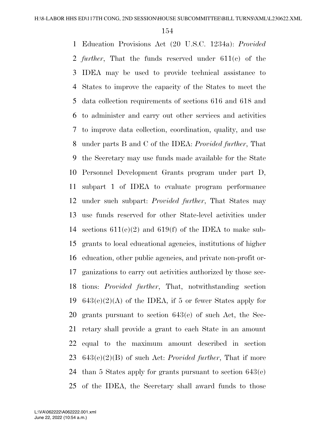Education Provisions Act (20 U.S.C. 1234a): *Provided further*, That the funds reserved under 611(c) of the IDEA may be used to provide technical assistance to States to improve the capacity of the States to meet the data collection requirements of sections 616 and 618 and to administer and carry out other services and activities to improve data collection, coordination, quality, and use under parts B and C of the IDEA: *Provided further*, That the Secretary may use funds made available for the State Personnel Development Grants program under part D, subpart 1 of IDEA to evaluate program performance under such subpart: *Provided further*, That States may use funds reserved for other State-level activities under sections 611(e)(2) and 619(f) of the IDEA to make sub- grants to local educational agencies, institutions of higher education, other public agencies, and private non-profit or- ganizations to carry out activities authorized by those sec- tions: *Provided further*, That, notwithstanding section  $643(e)(2)(A)$  of the IDEA, if 5 or fewer States apply for grants pursuant to section 643(e) of such Act, the Sec- retary shall provide a grant to each State in an amount equal to the maximum amount described in section 643(e)(2)(B) of such Act: *Provided further*, That if more than 5 States apply for grants pursuant to section 643(e) of the IDEA, the Secretary shall award funds to those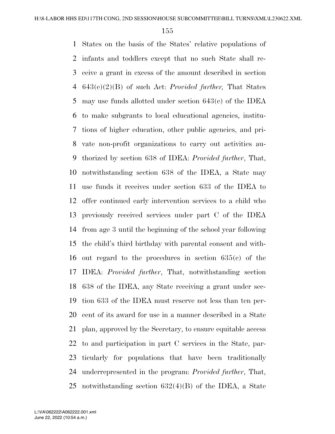States on the basis of the States' relative populations of infants and toddlers except that no such State shall re- ceive a grant in excess of the amount described in section 643(e)(2)(B) of such Act: *Provided further,* That States may use funds allotted under section 643(c) of the IDEA to make subgrants to local educational agencies, institu- tions of higher education, other public agencies, and pri- vate non-profit organizations to carry out activities au- thorized by section 638 of IDEA: *Provided further*, That, notwithstanding section 638 of the IDEA, a State may use funds it receives under section 633 of the IDEA to offer continued early intervention services to a child who previously received services under part C of the IDEA from age 3 until the beginning of the school year following the child's third birthday with parental consent and with- out regard to the procedures in section 635(c) of the IDEA: *Provided further*, That, notwithstanding section 638 of the IDEA, any State receiving a grant under sec- tion 633 of the IDEA must reserve not less than ten per- cent of its award for use in a manner described in a State plan, approved by the Secretary, to ensure equitable access to and participation in part C services in the State, par- ticularly for populations that have been traditionally underrepresented in the program: *Provided further*, That, notwithstanding section 632(4)(B) of the IDEA, a State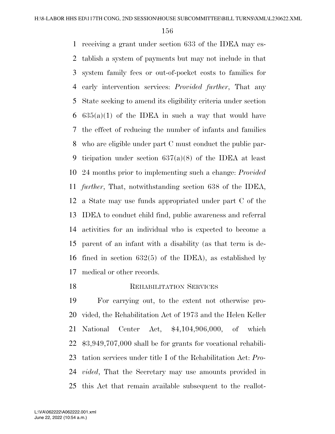receiving a grant under section 633 of the IDEA may es- tablish a system of payments but may not include in that system family fees or out-of-pocket costs to families for early intervention services: *Provided further*, That any State seeking to amend its eligibility criteria under section  $635(a)(1)$  of the IDEA in such a way that would have the effect of reducing the number of infants and families who are eligible under part C must conduct the public par- ticipation under section 637(a)(8) of the IDEA at least 24 months prior to implementing such a change: *Provided further*, That, notwithstanding section 638 of the IDEA, a State may use funds appropriated under part C of the IDEA to conduct child find, public awareness and referral activities for an individual who is expected to become a parent of an infant with a disability (as that term is de- fined in section 632(5) of the IDEA), as established by medical or other records.

# **REHABILITATION SERVICES**

 For carrying out, to the extent not otherwise pro- vided, the Rehabilitation Act of 1973 and the Helen Keller National Center Act, \$4,104,906,000, of which \$3,949,707,000 shall be for grants for vocational rehabili- tation services under title I of the Rehabilitation Act: *Pro- vided*, That the Secretary may use amounts provided in this Act that remain available subsequent to the reallot-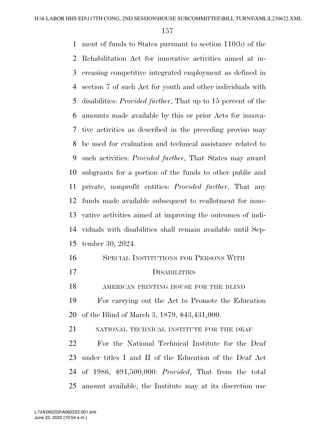ment of funds to States pursuant to section 110(b) of the Rehabilitation Act for innovative activities aimed at in- creasing competitive integrated employment as defined in section 7 of such Act for youth and other individuals with disabilities: *Provided further*, That up to 15 percent of the amounts made available by this or prior Acts for innova- tive activities as described in the preceding proviso may be used for evaluation and technical assistance related to such activities: *Provided further*, That States may award subgrants for a portion of the funds to other public and private, nonprofit entities: *Provided further*, That any funds made available subsequent to reallotment for inno- vative activities aimed at improving the outcomes of indi- viduals with disabilities shall remain available until Sep-tember 30, 2024.

 SPECIAL INSTITUTIONS FOR PERSONS WITH DISABILITIES AMERICAN PRINTING HOUSE FOR THE BLIND For carrying out the Act to Promote the Education of the Blind of March 3, 1879, \$43,431,000. 21 NATIONAL TECHNICAL INSTITUTE FOR THE DEAF

 For the National Technical Institute for the Deaf under titles I and II of the Education of the Deaf Act of 1986, \$91,500,000: *Provided*, That from the total amount available, the Institute may at its discretion use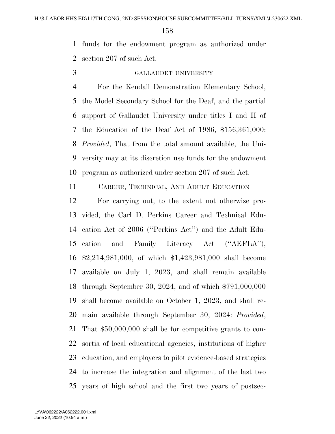funds for the endowment program as authorized under section 207 of such Act.

# GALLAUDET UNIVERSITY

 For the Kendall Demonstration Elementary School, the Model Secondary School for the Deaf, and the partial support of Gallaudet University under titles I and II of the Education of the Deaf Act of 1986, \$156,361,000: *Provided*, That from the total amount available, the Uni- versity may at its discretion use funds for the endowment program as authorized under section 207 of such Act.

CAREER, TECHNICAL, AND ADULT EDUCATION

 For carrying out, to the extent not otherwise pro- vided, the Carl D. Perkins Career and Technical Edu- cation Act of 2006 (''Perkins Act'') and the Adult Edu- cation and Family Literacy Act (''AEFLA''), \$2,214,981,000, of which \$1,423,981,000 shall become available on July 1, 2023, and shall remain available through September 30, 2024, and of which \$791,000,000 shall become available on October 1, 2023, and shall re- main available through September 30, 2024: *Provided*, That \$50,000,000 shall be for competitive grants to con- sortia of local educational agencies, institutions of higher education, and employers to pilot evidence-based strategies to increase the integration and alignment of the last two years of high school and the first two years of postsec-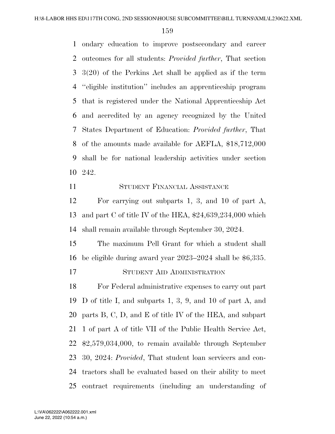ondary education to improve postsecondary and career outcomes for all students: *Provided further*, That section 3(20) of the Perkins Act shall be applied as if the term ''eligible institution'' includes an apprenticeship program that is registered under the National Apprenticeship Act and accredited by an agency recognized by the United States Department of Education: *Provided further*, That of the amounts made available for AEFLA, \$18,712,000 shall be for national leadership activities under section 242.

# STUDENT FINANCIAL ASSISTANCE

 For carrying out subparts 1, 3, and 10 of part A, and part C of title IV of the HEA, \$24,639,234,000 which shall remain available through September 30, 2024.

 The maximum Pell Grant for which a student shall be eligible during award year 2023–2024 shall be \$6,335.

# STUDENT AID ADMINISTRATION

 For Federal administrative expenses to carry out part D of title I, and subparts 1, 3, 9, and 10 of part A, and parts B, C, D, and E of title IV of the HEA, and subpart 1 of part A of title VII of the Public Health Service Act, \$2,579,034,000, to remain available through September 30, 2024: *Provided*, That student loan servicers and con- tractors shall be evaluated based on their ability to meet contract requirements (including an understanding of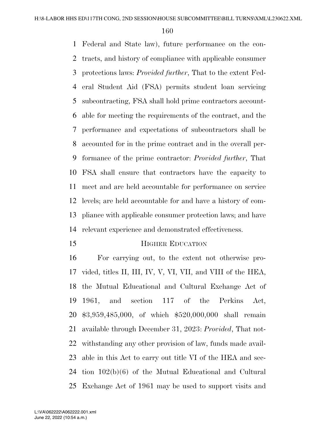Federal and State law), future performance on the con- tracts, and history of compliance with applicable consumer protections laws: *Provided further*, That to the extent Fed- eral Student Aid (FSA) permits student loan servicing subcontracting, FSA shall hold prime contractors account- able for meeting the requirements of the contract, and the performance and expectations of subcontractors shall be accounted for in the prime contract and in the overall per- formance of the prime contractor: *Provided further*, That FSA shall ensure that contractors have the capacity to meet and are held accountable for performance on service levels; are held accountable for and have a history of com- pliance with applicable consumer protection laws; and have relevant experience and demonstrated effectiveness.

#### **HIGHER EDUCATION**

 For carrying out, to the extent not otherwise pro- vided, titles II, III, IV, V, VI, VII, and VIII of the HEA, the Mutual Educational and Cultural Exchange Act of 1961, and section 117 of the Perkins Act, \$3,959,485,000, of which \$520,000,000 shall remain available through December 31, 2023: *Provided*, That not- withstanding any other provision of law, funds made avail- able in this Act to carry out title VI of the HEA and sec- tion 102(b)(6) of the Mutual Educational and Cultural Exchange Act of 1961 may be used to support visits and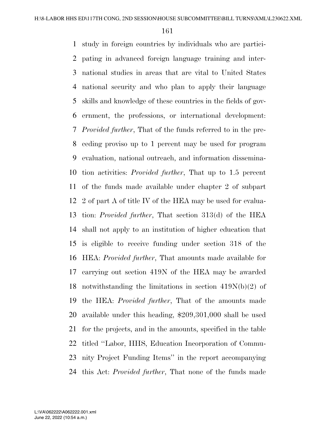study in foreign countries by individuals who are partici- pating in advanced foreign language training and inter- national studies in areas that are vital to United States national security and who plan to apply their language skills and knowledge of these countries in the fields of gov- ernment, the professions, or international development: *Provided further*, That of the funds referred to in the pre- ceding proviso up to 1 percent may be used for program evaluation, national outreach, and information dissemina- tion activities: *Provided further*, That up to 1.5 percent of the funds made available under chapter 2 of subpart 2 of part A of title IV of the HEA may be used for evalua- tion: *Provided further*, That section 313(d) of the HEA shall not apply to an institution of higher education that is eligible to receive funding under section 318 of the HEA: *Provided further*, That amounts made available for carrying out section 419N of the HEA may be awarded notwithstanding the limitations in section 419N(b)(2) of the HEA: *Provided further*, That of the amounts made available under this heading, \$209,301,000 shall be used for the projects, and in the amounts, specified in the table titled ''Labor, HHS, Education Incorporation of Commu- nity Project Funding Items'' in the report accompanying this Act: *Provided further*, That none of the funds made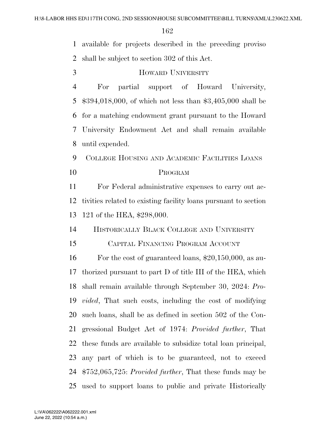available for projects described in the preceding proviso

shall be subject to section 302 of this Act.

HOWARD UNIVERSITY

 For partial support of Howard University, \$394,018,000, of which not less than \$3,405,000 shall be for a matching endowment grant pursuant to the Howard University Endowment Act and shall remain available until expended.

 COLLEGE HOUSING AND ACADEMIC FACILITIES LOANS PROGRAM

 For Federal administrative expenses to carry out ac- tivities related to existing facility loans pursuant to section 121 of the HEA, \$298,000.

HISTORICALLY BLACK COLLEGE AND UNIVERSITY

CAPITAL FINANCING PROGRAM ACCOUNT

 For the cost of guaranteed loans, \$20,150,000, as au- thorized pursuant to part D of title III of the HEA, which shall remain available through September 30, 2024: *Pro- vided*, That such costs, including the cost of modifying such loans, shall be as defined in section 502 of the Con- gressional Budget Act of 1974: *Provided further*, That these funds are available to subsidize total loan principal, any part of which is to be guaranteed, not to exceed \$752,065,725: *Provided further*, That these funds may be used to support loans to public and private Historically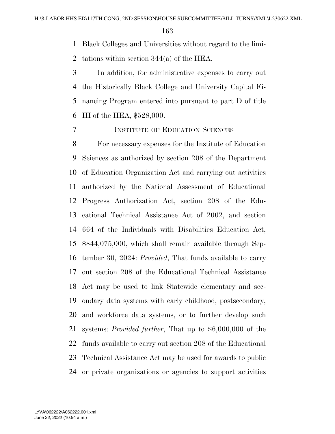Black Colleges and Universities without regard to the limi-

tations within section 344(a) of the HEA.

 In addition, for administrative expenses to carry out the Historically Black College and University Capital Fi- nancing Program entered into pursuant to part D of title III of the HEA, \$528,000.

#### INSTITUTE OF EDUCATION SCIENCES

 For necessary expenses for the Institute of Education Sciences as authorized by section 208 of the Department of Education Organization Act and carrying out activities authorized by the National Assessment of Educational Progress Authorization Act, section 208 of the Edu- cational Technical Assistance Act of 2002, and section 664 of the Individuals with Disabilities Education Act, \$844,075,000, which shall remain available through Sep- tember 30, 2024: *Provided*, That funds available to carry out section 208 of the Educational Technical Assistance Act may be used to link Statewide elementary and sec- ondary data systems with early childhood, postsecondary, and workforce data systems, or to further develop such systems: *Provided further*, That up to \$6,000,000 of the funds available to carry out section 208 of the Educational Technical Assistance Act may be used for awards to public or private organizations or agencies to support activities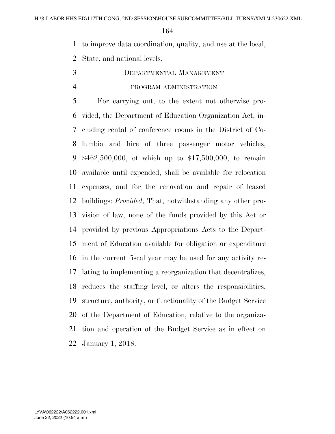to improve data coordination, quality, and use at the local,

State, and national levels.

 DEPARTMENTAL MANAGEMENT PROGRAM ADMINISTRATION

 For carrying out, to the extent not otherwise pro- vided, the Department of Education Organization Act, in- cluding rental of conference rooms in the District of Co- lumbia and hire of three passenger motor vehicles, \$462,500,000, of which up to \$17,500,000, to remain available until expended, shall be available for relocation expenses, and for the renovation and repair of leased buildings: *Provided*, That, notwithstanding any other pro- vision of law, none of the funds provided by this Act or provided by previous Appropriations Acts to the Depart- ment of Education available for obligation or expenditure in the current fiscal year may be used for any activity re- lating to implementing a reorganization that decentralizes, reduces the staffing level, or alters the responsibilities, structure, authority, or functionality of the Budget Service of the Department of Education, relative to the organiza- tion and operation of the Budget Service as in effect on January 1, 2018.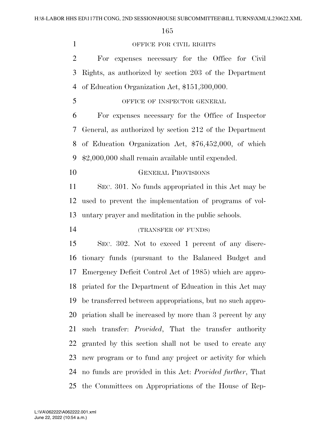| $\mathbf{1}$   | OFFICE FOR CIVIL RIGHTS                                           |
|----------------|-------------------------------------------------------------------|
| $\overline{2}$ | For expenses necessary for the Office for Civil                   |
| 3              | Rights, as authorized by section 203 of the Department            |
| 4              | of Education Organization Act, \$151,300,000.                     |
| 5              | OFFICE OF INSPECTOR GENERAL                                       |
| 6              | For expenses necessary for the Office of Inspector                |
| 7              | General, as authorized by section 212 of the Department           |
| 8              | of Education Organization Act, \$76,452,000, of which             |
| 9              | \$2,000,000 shall remain available until expended.                |
| 10             | <b>GENERAL PROVISIONS</b>                                         |
| 11             | SEC. 301. No funds appropriated in this Act may be                |
| 12             | used to prevent the implementation of programs of vol-            |
| 13             | untary prayer and meditation in the public schools.               |
| 14             | (TRANSFER OF FUNDS)                                               |
| 15             | SEC. 302. Not to exceed 1 percent of any discre-                  |
| 16             | tionary funds (pursuant to the Balanced Budget and                |
| 17             | Emergency Deficit Control Act of 1985) which are appro-           |
|                | 18 priated for the Department of Education in this Act may        |
| 19             | be transferred between appropriations, but no such appro-         |
| 20             | priation shall be increased by more than 3 percent by any         |
| 21             | such transfer: <i>Provided</i> , That the transfer authority      |
| 22             | granted by this section shall not be used to create any           |
| 23             | new program or to fund any project or activity for which          |
| 24             | no funds are provided in this Act: <i>Provided further</i> , That |
| 25             | the Committees on Appropriations of the House of Rep-             |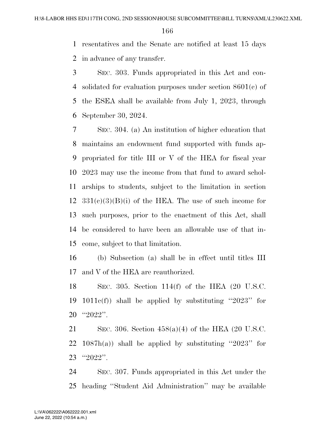resentatives and the Senate are notified at least 15 days in advance of any transfer.

 SEC. 303. Funds appropriated in this Act and con- solidated for evaluation purposes under section 8601(c) of the ESEA shall be available from July 1, 2023, through September 30, 2024.

 SEC. 304. (a) An institution of higher education that maintains an endowment fund supported with funds ap- propriated for title III or V of the HEA for fiscal year 2023 may use the income from that fund to award schol- arships to students, subject to the limitation in section  $331(e)(3)(B)(i)$  of the HEA. The use of such income for such purposes, prior to the enactment of this Act, shall be considered to have been an allowable use of that in-come, subject to that limitation.

 (b) Subsection (a) shall be in effect until titles III and V of the HEA are reauthorized.

 SEC. 305. Section 114(f) of the HEA (20 U.S.C. 1011c(f)) shall be applied by substituting ''2023'' for ''2022''.

 SEC. 306. Section 458(a)(4) of the HEA (20 U.S.C. 22 1087h(a)) shall be applied by substituting "2023" for ''2022''.

 SEC. 307. Funds appropriated in this Act under the heading ''Student Aid Administration'' may be available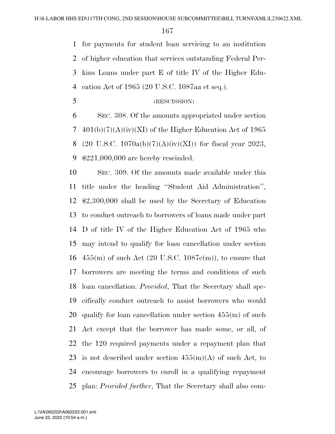for payments for student loan servicing to an institution of higher education that services outstanding Federal Per- kins Loans under part E of title IV of the Higher Edu-cation Act of 1965 (20 U.S.C. 1087aa et seq.).

(RESCISSION)

 SEC. 308. Of the amounts appropriated under section 7 401(b)(7)(A)(iv)(XI) of the Higher Education Act of 1965 8 (20 U.S.C. 1070a(b)(7)(A)(iv)(XI)) for fiscal year 2023, \$221,000,000 are hereby rescinded.

 SEC. 309. Of the amounts made available under this title under the heading ''Student Aid Administration'', \$2,300,000 shall be used by the Secretary of Education to conduct outreach to borrowers of loans made under part D of title IV of the Higher Education Act of 1965 who may intend to qualify for loan cancellation under section  $455(m)$  of such Act (20 U.S.C. 1087e(m)), to ensure that borrowers are meeting the terms and conditions of such loan cancellation: *Provided*, That the Secretary shall spe- cifically conduct outreach to assist borrowers who would qualify for loan cancellation under section 455(m) of such Act except that the borrower has made some, or all, of the 120 required payments under a repayment plan that 23 is not described under section  $455(m)(A)$  of such Act, to encourage borrowers to enroll in a qualifying repayment plan: *Provided further*, That the Secretary shall also com-

June 22, 2022 (10:54 a.m.) L:\VA\062222\A062222.001.xml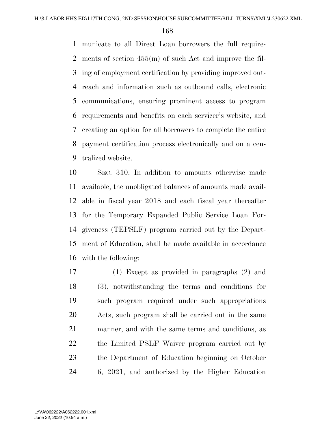municate to all Direct Loan borrowers the full require- ments of section 455(m) of such Act and improve the fil- ing of employment certification by providing improved out- reach and information such as outbound calls, electronic communications, ensuring prominent access to program requirements and benefits on each servicer's website, and creating an option for all borrowers to complete the entire payment certification process electronically and on a cen-tralized website.

 SEC. 310. In addition to amounts otherwise made available, the unobligated balances of amounts made avail- able in fiscal year 2018 and each fiscal year thereafter for the Temporary Expanded Public Service Loan For- giveness (TEPSLF) program carried out by the Depart- ment of Education, shall be made available in accordance with the following:

 (1) Except as provided in paragraphs (2) and (3), notwithstanding the terms and conditions for such program required under such appropriations Acts, such program shall be carried out in the same manner, and with the same terms and conditions, as the Limited PSLF Waiver program carried out by the Department of Education beginning on October 6, 2021, and authorized by the Higher Education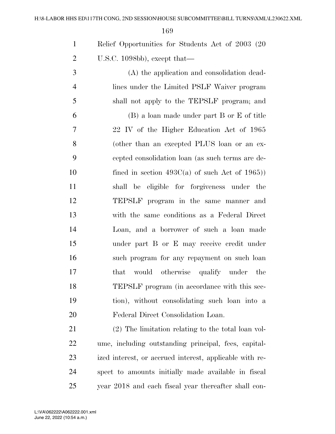| $\mathbf{1}$   | Relief Opportunities for Students Act of 2003 (20)   |
|----------------|------------------------------------------------------|
| $\overline{2}$ | U.S.C. 1098bb), except that—                         |
| 3              | (A) the application and consolidation dead-          |
| $\overline{4}$ | lines under the Limited PSLF Waiver program          |
| 5              | shall not apply to the TEPSLF program; and           |
| 6              | (B) a loan made under part B or E of title           |
| 7              | 22 IV of the Higher Education Act of 1965            |
| 8              | (other than an excepted PLUS loan or an ex-          |
| 9              | cepted consolidation loan (as such terms are de-     |
| 10             | fined in section $493C(a)$ of such Act of 1965)      |
| 11             | shall be eligible for forgiveness under the          |
| 12             | TEPSLF program in the same manner and                |
| 13             | with the same conditions as a Federal Direct         |
| 14             | Loan, and a borrower of such a loan made             |
| 15             | under part B or E may receive credit under           |
| 16             | such program for any repayment on such loan          |
| 17             | would otherwise qualify under the<br>that            |
| 18             | TEPSLF program (in accordance with this sec-         |
| 19             | tion), without consolidating such loan into a        |
| 20             | Federal Direct Consolidation Loan.                   |
| 21             | (2) The limitation relating to the total loan vol-   |
| 22             | ume, including outstanding principal, fees, capital- |

 ized interest, or accrued interest, applicable with re- spect to amounts initially made available in fiscal year 2018 and each fiscal year thereafter shall con-

June 22, 2022 (10:54 a.m.) L:\VA\062222\A062222.001.xml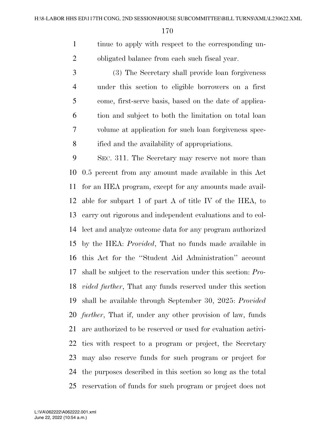tinue to apply with respect to the corresponding un-obligated balance from each such fiscal year.

 (3) The Secretary shall provide loan forgiveness under this section to eligible borrowers on a first come, first-serve basis, based on the date of applica- tion and subject to both the limitation on total loan volume at application for such loan forgiveness spec-ified and the availability of appropriations.

 SEC. 311. The Secretary may reserve not more than 0.5 percent from any amount made available in this Act for an HEA program, except for any amounts made avail- able for subpart 1 of part A of title IV of the HEA, to carry out rigorous and independent evaluations and to col- lect and analyze outcome data for any program authorized by the HEA: *Provided*, That no funds made available in this Act for the ''Student Aid Administration'' account shall be subject to the reservation under this section: *Pro- vided further*, That any funds reserved under this section shall be available through September 30, 2025: *Provided further*, That if, under any other provision of law, funds are authorized to be reserved or used for evaluation activi- ties with respect to a program or project, the Secretary may also reserve funds for such program or project for the purposes described in this section so long as the total reservation of funds for such program or project does not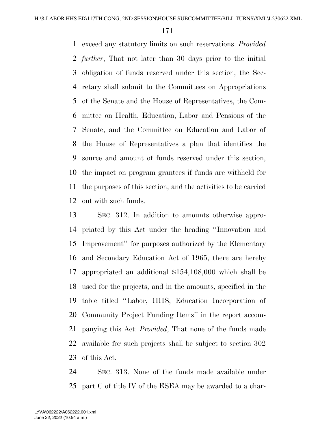exceed any statutory limits on such reservations: *Provided further*, That not later than 30 days prior to the initial obligation of funds reserved under this section, the Sec- retary shall submit to the Committees on Appropriations of the Senate and the House of Representatives, the Com- mittee on Health, Education, Labor and Pensions of the Senate, and the Committee on Education and Labor of the House of Representatives a plan that identifies the source and amount of funds reserved under this section, the impact on program grantees if funds are withheld for the purposes of this section, and the activities to be carried out with such funds.

 SEC. 312. In addition to amounts otherwise appro- priated by this Act under the heading ''Innovation and Improvement'' for purposes authorized by the Elementary and Secondary Education Act of 1965, there are hereby appropriated an additional \$154,108,000 which shall be used for the projects, and in the amounts, specified in the table titled ''Labor, HHS, Education Incorporation of Community Project Funding Items'' in the report accom- panying this Act: *Provided*, That none of the funds made available for such projects shall be subject to section 302 of this Act.

 SEC. 313. None of the funds made available under part C of title IV of the ESEA may be awarded to a char-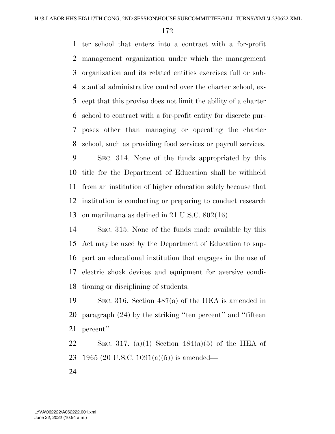ter school that enters into a contract with a for-profit management organization under which the management organization and its related entities exercises full or sub- stantial administrative control over the charter school, ex- cept that this proviso does not limit the ability of a charter school to contract with a for-profit entity for discrete pur- poses other than managing or operating the charter school, such as providing food services or payroll services.

 SEC. 314. None of the funds appropriated by this title for the Department of Education shall be withheld from an institution of higher education solely because that institution is conducting or preparing to conduct research on marihuana as defined in 21 U.S.C. 802(16).

 SEC. 315. None of the funds made available by this Act may be used by the Department of Education to sup- port an educational institution that engages in the use of electric shock devices and equipment for aversive condi-tioning or disciplining of students.

 SEC. 316. Section 487(a) of the HEA is amended in paragraph (24) by the striking ''ten percent'' and ''fifteen percent''.

22 SEC. 317. (a)(1) Section  $484(a)(5)$  of the HEA of 1965 (20 U.S.C. 1091(a)(5)) is amended—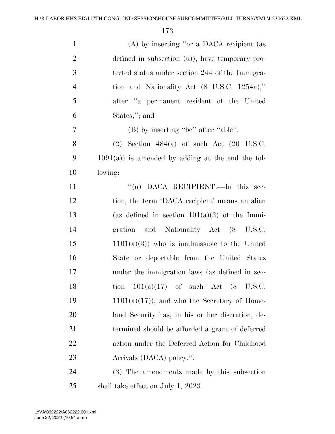| $\mathbf{1}$   | (A) by inserting "or a DACA recipient (as               |
|----------------|---------------------------------------------------------|
| $\overline{2}$ | defined in subsection $(u)$ , have temporary pro-       |
| 3              | tected status under section 244 of the Immigra-         |
| $\overline{4}$ | tion and Nationality Act $(8 \text{ U.S.C. } 1254a)$ ," |
| 5              | after "a permanent resident of the United               |
| 6              | States,"; and                                           |
| $\tau$         | (B) by inserting "be" after "able".                     |
| 8              | $(2)$ Section 484(a) of such Act $(20 \text{ U.S.C.})$  |
| 9              | $1091(a)$ ) is amended by adding at the end the fol-    |
| 10             | lowing:                                                 |
| 11             | "(u) DACA RECIPIENT.—In this sec-                       |
| 12             | tion, the term 'DACA recipient' means an alien          |
| 13             | (as defined in section $101(a)(3)$ of the Immi-         |
| 14             | gration and Nationality Act (8 U.S.C.                   |
| 15             | $1101(a)(3)$ ) who is inadmissible to the United        |
| 16             | State or deportable from the United States              |
| 17             | under the immigration laws (as defined in sec-          |
| 18             | tion $101(a)(17)$ of such Act $(8$ U.S.C.               |
| 19             | $1101(a)(17)$ , and who the Secretary of Home-          |
| 20             | land Security has, in his or her discretion, de-        |
| 21             | termined should be afforded a grant of deferred         |
| 22             | action under the Deferred Action for Childhood          |
| 23             | Arrivals (DACA) policy.".                               |
| 24             | (3) The amendments made by this subsection              |
| 25             | shall take effect on July 1, 2023.                      |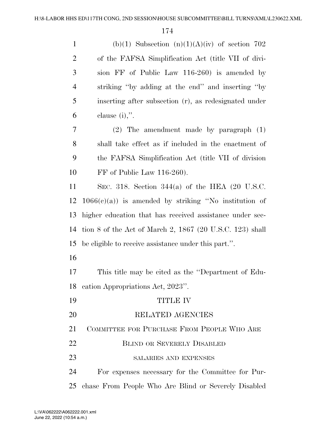| $\mathbf{1}$   | (b)(1) Subsection (n)(1)(A)(iv) of section 702             |
|----------------|------------------------------------------------------------|
| $\overline{2}$ | of the FAFSA Simplification Act (title VII of divi-        |
| 3              | sion FF of Public Law 116-260) is amended by               |
| $\overline{4}$ | striking "by adding at the end" and inserting "by          |
| 5              | inserting after subsection (r), as redesignated under      |
| 6              | clause $(i)$ ,".                                           |
| 7              | $(2)$ The amendment made by paragraph $(1)$                |
| 8              | shall take effect as if included in the enactment of       |
| 9              | the FAFSA Simplification Act (title VII of division        |
| 10             | $FF$ of Public Law 116-260).                               |
| 11             | SEC. 318. Section 344(a) of the HEA $(20 \text{ U.S.C.})$  |
| 12             | $1066(c)(a)$ is amended by striking "No institution of     |
| 13             | higher education that has received assistance under sec-   |
| 14             | tion 8 of the Act of March 2, $1867$ (20 U.S.C. 123) shall |
| 15             | be eligible to receive assistance under this part.".       |
| 16             |                                                            |
| 17             | This title may be cited as the "Department of Edu-         |
| 18             | eation Appropriations Act, 2023".                          |
| 19             | <b>TITLE IV</b>                                            |
| 20             | RELATED AGENCIES                                           |
| 21             | COMMITTEE FOR PURCHASE FROM PEOPLE WHO ARE                 |
| 22             | <b>BLIND OR SEVERELY DISABLED</b>                          |
| 23             | SALARIES AND EXPENSES                                      |
| 24             | For expenses necessary for the Committee for Pur-          |
| 25             | chase From People Who Are Blind or Severely Disabled       |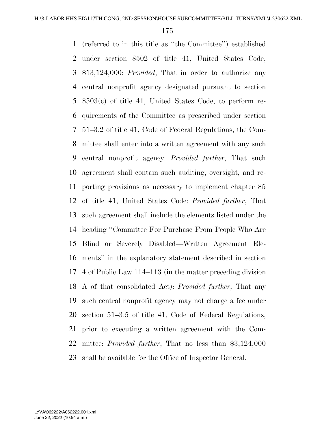(referred to in this title as ''the Committee'') established under section 8502 of title 41, United States Code, \$13,124,000: *Provided*, That in order to authorize any central nonprofit agency designated pursuant to section 8503(c) of title 41, United States Code, to perform re- quirements of the Committee as prescribed under section 51–3.2 of title 41, Code of Federal Regulations, the Com- mittee shall enter into a written agreement with any such central nonprofit agency: *Provided further*, That such agreement shall contain such auditing, oversight, and re- porting provisions as necessary to implement chapter 85 of title 41, United States Code: *Provided further*, That such agreement shall include the elements listed under the heading ''Committee For Purchase From People Who Are Blind or Severely Disabled—Written Agreement Ele- ments'' in the explanatory statement described in section 4 of Public Law 114–113 (in the matter preceding division A of that consolidated Act): *Provided further*, That any such central nonprofit agency may not charge a fee under section 51–3.5 of title 41, Code of Federal Regulations, prior to executing a written agreement with the Com- mittee: *Provided further*, That no less than \$3,124,000 shall be available for the Office of Inspector General.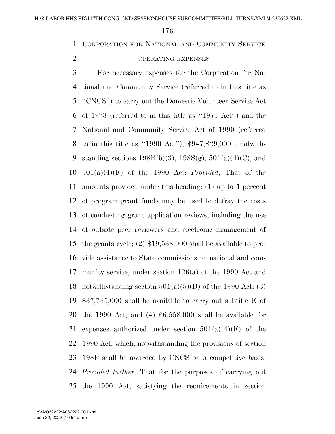CORPORATION FOR NATIONAL AND COMMUNITY SERVICE

# OPERATING EXPENSES

 For necessary expenses for the Corporation for Na- tional and Community Service (referred to in this title as ''CNCS'') to carry out the Domestic Volunteer Service Act of 1973 (referred to in this title as ''1973 Act'') and the National and Community Service Act of 1990 (referred to in this title as ''1990 Act''), \$947,829,000 , notwith-9 standing sections  $198B(b)(3)$ ,  $198S(g)$ ,  $501(a)(4)(C)$ , and 501(a)(4)(F) of the 1990 Act: *Provided*, That of the amounts provided under this heading: (1) up to 1 percent of program grant funds may be used to defray the costs of conducting grant application reviews, including the use of outside peer reviewers and electronic management of the grants cycle; (2) \$19,538,000 shall be available to pro- vide assistance to State commissions on national and com- munity service, under section 126(a) of the 1990 Act and 18 notwithstanding section  $501(a)(5)(B)$  of the 1990 Act; (3) \$37,735,000 shall be available to carry out subtitle E of the 1990 Act; and (4) \$6,558,000 shall be available for 21 expenses authorized under section  $501(a)(4)(F)$  of the 1990 Act, which, notwithstanding the provisions of section 198P shall be awarded by CNCS on a competitive basis: *Provided further*, That for the purposes of carrying out the 1990 Act, satisfying the requirements in section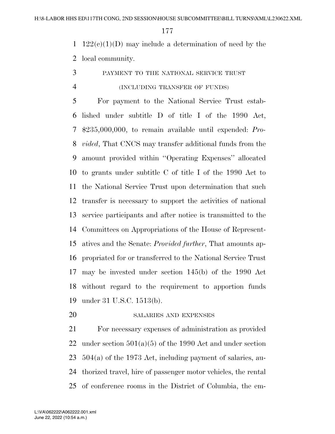1  $122(c)(1)(D)$  may include a determination of need by the local community.

PAYMENT TO THE NATIONAL SERVICE TRUST

# (INCLUDING TRANSFER OF FUNDS)

 For payment to the National Service Trust estab- lished under subtitle D of title I of the 1990 Act, \$235,000,000, to remain available until expended: *Pro- vided*, That CNCS may transfer additional funds from the amount provided within ''Operating Expenses'' allocated to grants under subtitle C of title I of the 1990 Act to the National Service Trust upon determination that such transfer is necessary to support the activities of national service participants and after notice is transmitted to the Committees on Appropriations of the House of Represent- atives and the Senate: *Provided further*, That amounts ap- propriated for or transferred to the National Service Trust may be invested under section 145(b) of the 1990 Act without regard to the requirement to apportion funds under 31 U.S.C. 1513(b).

20 SALARIES AND EXPENSES

 For necessary expenses of administration as provided under section 501(a)(5) of the 1990 Act and under section 504(a) of the 1973 Act, including payment of salaries, au- thorized travel, hire of passenger motor vehicles, the rental of conference rooms in the District of Columbia, the em-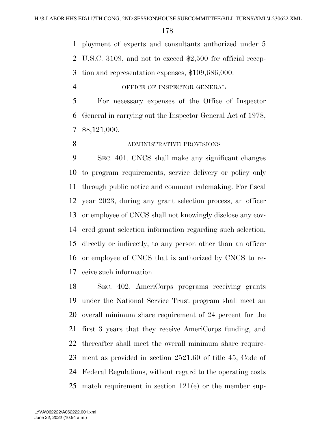ployment of experts and consultants authorized under 5

U.S.C. 3109, and not to exceed \$2,500 for official recep-

tion and representation expenses, \$109,686,000.

# OFFICE OF INSPECTOR GENERAL

 For necessary expenses of the Office of Inspector General in carrying out the Inspector General Act of 1978, \$8,121,000.

# 8 ADMINISTRATIVE PROVISIONS

 SEC. 401. CNCS shall make any significant changes to program requirements, service delivery or policy only through public notice and comment rulemaking. For fiscal year 2023, during any grant selection process, an officer or employee of CNCS shall not knowingly disclose any cov- ered grant selection information regarding such selection, directly or indirectly, to any person other than an officer or employee of CNCS that is authorized by CNCS to re-ceive such information.

 SEC. 402. AmeriCorps programs receiving grants under the National Service Trust program shall meet an overall minimum share requirement of 24 percent for the first 3 years that they receive AmeriCorps funding, and thereafter shall meet the overall minimum share require- ment as provided in section 2521.60 of title 45, Code of Federal Regulations, without regard to the operating costs match requirement in section 121(e) or the member sup-

June 22, 2022 (10:54 a.m.) L:\VA\062222\A062222.001.xml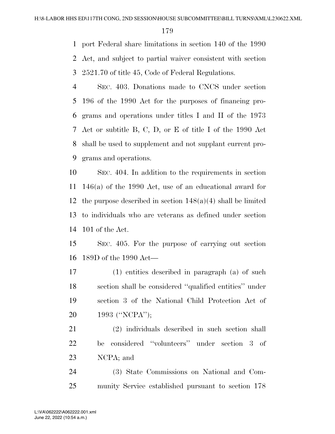port Federal share limitations in section 140 of the 1990 Act, and subject to partial waiver consistent with section 2521.70 of title 45, Code of Federal Regulations.

 SEC. 403. Donations made to CNCS under section 196 of the 1990 Act for the purposes of financing pro- grams and operations under titles I and II of the 1973 Act or subtitle B, C, D, or E of title I of the 1990 Act shall be used to supplement and not supplant current pro-grams and operations.

 SEC. 404. In addition to the requirements in section 146(a) of the 1990 Act, use of an educational award for 12 the purpose described in section  $148(a)(4)$  shall be limited to individuals who are veterans as defined under section 101 of the Act.

 SEC. 405. For the purpose of carrying out section 189D of the 1990 Act—

 (1) entities described in paragraph (a) of such section shall be considered ''qualified entities'' under section 3 of the National Child Protection Act of 1993 (''NCPA'');

 (2) individuals described in such section shall be considered ''volunteers'' under section 3 of NCPA; and

 (3) State Commissions on National and Com-munity Service established pursuant to section 178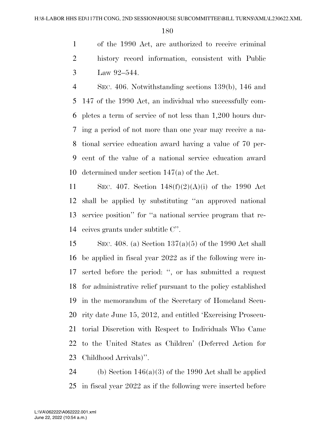of the 1990 Act, are authorized to receive criminal history record information, consistent with Public Law 92–544.

 SEC. 406. Notwithstanding sections 139(b), 146 and 147 of the 1990 Act, an individual who successfully com- pletes a term of service of not less than 1,200 hours dur- ing a period of not more than one year may receive a na- tional service education award having a value of 70 per- cent of the value of a national service education award determined under section 147(a) of the Act.

11 SEC. 407. Section  $148(f)(2)(A)(i)$  of the 1990 Act shall be applied by substituting ''an approved national service position'' for ''a national service program that re-ceives grants under subtitle C''.

15 SEC. 408. (a) Section  $137(a)(5)$  of the 1990 Act shall be applied in fiscal year 2022 as if the following were in- serted before the period: '', or has submitted a request for administrative relief pursuant to the policy established in the memorandum of the Secretary of Homeland Secu- rity date June 15, 2012, and entitled 'Exercising Prosecu- torial Discretion with Respect to Individuals Who Came to the United States as Children' (Deferred Action for Childhood Arrivals)''.

24 (b) Section  $146(a)(3)$  of the 1990 Act shall be applied in fiscal year 2022 as if the following were inserted before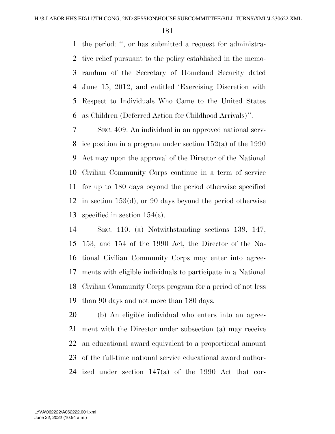the period: '', or has submitted a request for administra- tive relief pursuant to the policy established in the memo- randum of the Secretary of Homeland Security dated June 15, 2012, and entitled 'Exercising Discretion with Respect to Individuals Who Came to the United States as Children (Deferred Action for Childhood Arrivals)''.

 SEC. 409. An individual in an approved national serv- ice position in a program under section 152(a) of the 1990 Act may upon the approval of the Director of the National Civilian Community Corps continue in a term of service for up to 180 days beyond the period otherwise specified in section 153(d), or 90 days beyond the period otherwise specified in section 154(c).

 SEC. 410. (a) Notwithstanding sections 139, 147, 153, and 154 of the 1990 Act, the Director of the Na- tional Civilian Community Corps may enter into agree- ments with eligible individuals to participate in a National Civilian Community Corps program for a period of not less than 90 days and not more than 180 days.

 (b) An eligible individual who enters into an agree- ment with the Director under subsection (a) may receive an educational award equivalent to a proportional amount of the full-time national service educational award author-ized under section 147(a) of the 1990 Act that cor-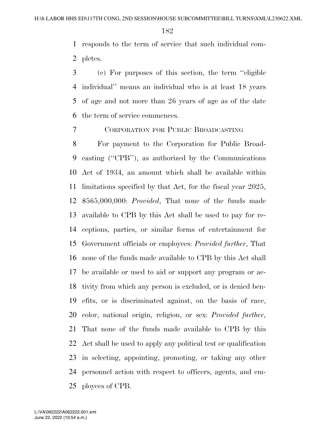responds to the term of service that such individual com-pletes.

 (c) For purposes of this section, the term ''eligible individual'' means an individual who is at least 18 years of age and not more than 26 years of age as of the date the term of service commences.

CORPORATION FOR PUBLIC BROADCASTING

 For payment to the Corporation for Public Broad- casting (''CPB''), as authorized by the Communications Act of 1934, an amount which shall be available within limitations specified by that Act, for the fiscal year 2025, \$565,000,000: *Provided*, That none of the funds made available to CPB by this Act shall be used to pay for re- ceptions, parties, or similar forms of entertainment for Government officials or employees: *Provided further*, That none of the funds made available to CPB by this Act shall be available or used to aid or support any program or ac- tivity from which any person is excluded, or is denied ben- efits, or is discriminated against, on the basis of race, color, national origin, religion, or sex: *Provided further*, That none of the funds made available to CPB by this Act shall be used to apply any political test or qualification in selecting, appointing, promoting, or taking any other personnel action with respect to officers, agents, and em-ployees of CPB.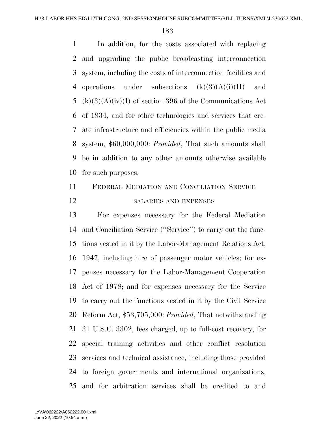In addition, for the costs associated with replacing and upgrading the public broadcasting interconnection system, including the costs of interconnection facilities and 4 operations under subsections  $(k)(3)(A)(i)(II)$  and 5 (k)(3)(A)(iv)(I) of section 396 of the Communications Act of 1934, and for other technologies and services that cre- ate infrastructure and efficiencies within the public media system, \$60,000,000: *Provided*, That such amounts shall be in addition to any other amounts otherwise available for such purposes.

## FEDERAL MEDIATION AND CONCILIATION SERVICE 12 SALARIES AND EXPENSES

 For expenses necessary for the Federal Mediation and Conciliation Service (''Service'') to carry out the func- tions vested in it by the Labor-Management Relations Act, 1947, including hire of passenger motor vehicles; for ex- penses necessary for the Labor-Management Cooperation Act of 1978; and for expenses necessary for the Service to carry out the functions vested in it by the Civil Service Reform Act, \$53,705,000: *Provided*, That notwithstanding 31 U.S.C. 3302, fees charged, up to full-cost recovery, for special training activities and other conflict resolution services and technical assistance, including those provided to foreign governments and international organizations, and for arbitration services shall be credited to and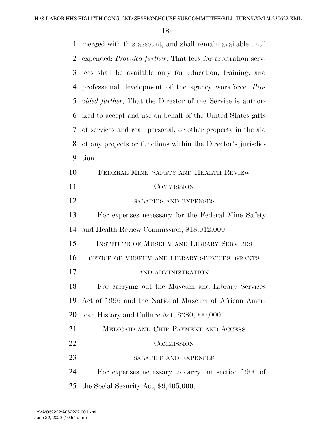| 1  | merged with this account, and shall remain available until         |
|----|--------------------------------------------------------------------|
| 2  | expended: Provided further, That fees for arbitration serv-        |
| 3  | ices shall be available only for education, training, and          |
| 4  | professional development of the agency workforce: Pro-             |
| 5  | <i>vided further</i> , That the Director of the Service is author- |
| 6  | ized to accept and use on behalf of the United States gifts        |
| 7  | of services and real, personal, or other property in the aid       |
| 8  | of any projects or functions within the Director's jurisdic-       |
| 9  | tion.                                                              |
| 10 | FEDERAL MINE SAFETY AND HEALTH REVIEW                              |
| 11 | COMMISSION                                                         |
| 12 | SALARIES AND EXPENSES                                              |
| 13 | For expenses necessary for the Federal Mine Safety                 |
| 14 | and Health Review Commission, \$18,012,000.                        |
| 15 | <b>INSTITUTE OF MUSEUM AND LIBRARY SERVICES</b>                    |
| 16 | OFFICE OF MUSEUM AND LIBRARY SERVICES: GRANTS                      |
| 17 | AND ADMINISTRATION                                                 |
| 18 | For carrying out the Museum and Library Services                   |
| 19 | Act of 1996 and the National Museum of African Amer-               |
| 20 | ican History and Culture Act, \$280,000,000.                       |
| 21 | MEDICAID AND CHIP PAYMENT AND ACCESS                               |
| 22 | COMMISSION                                                         |
| 23 | SALARIES AND EXPENSES                                              |
| 24 | For expenses necessary to carry out section 1900 of                |
| 25 | the Social Security Act, $$9,405,000$ .                            |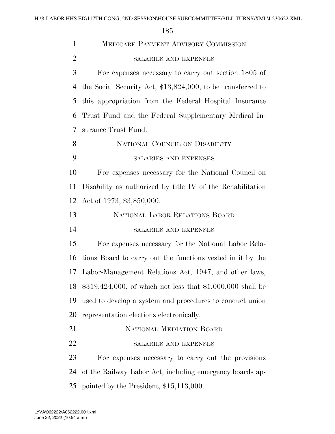|                | 185                                                           |
|----------------|---------------------------------------------------------------|
| 1              | <b>MEDICARE PAYMENT ADVISORY COMMISSION</b>                   |
| $\overline{2}$ | SALARIES AND EXPENSES                                         |
| 3              | For expenses necessary to carry out section 1805 of           |
| 4              | the Social Security Act, $$13,824,000$ , to be transferred to |
| 5              | this appropriation from the Federal Hospital Insurance        |
| 6              | Trust Fund and the Federal Supplementary Medical In-          |
| 7              | surance Trust Fund.                                           |
| 8              | NATIONAL COUNCIL ON DISABILITY                                |
| 9              | SALARIES AND EXPENSES                                         |
| 10             | For expenses necessary for the National Council on            |
| 11             | Disability as authorized by title IV of the Rehabilitation    |
| 12             | Act of 1973, \$3,850,000.                                     |
| 13             | NATIONAL LABOR RELATIONS BOARD                                |
| 14             | SALARIES AND EXPENSES                                         |
| 15             | For expenses necessary for the National Labor Rela-           |
| 16             | tions Board to carry out the functions vested in it by the    |
|                | 17 Labor-Management Relations Act, 1947, and other laws,      |
| 18             | $$319,424,000$ , of which not less that $$1,000,000$ shall be |
| 19             | used to develop a system and procedures to conduct union      |
| 20             | representation elections electronically.                      |
| 21             | <b>NATIONAL MEDIATION BOARD</b>                               |
| 22             | SALARIES AND EXPENSES                                         |
| 23             | For expenses necessary to carry out the provisions            |

 of the Railway Labor Act, including emergency boards ap-pointed by the President, \$15,113,000.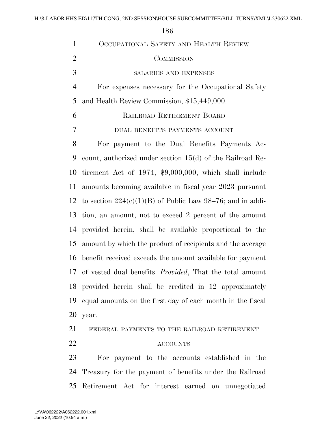| $\mathbf{1}$   | OCCUPATIONAL SAFETY AND HEALTH REVIEW                            |
|----------------|------------------------------------------------------------------|
| $\overline{2}$ | COMMISSION                                                       |
| 3              | SALARIES AND EXPENSES                                            |
| $\overline{4}$ | For expenses necessary for the Occupational Safety               |
| 5              | and Health Review Commission, \$15,449,000.                      |
| 6              | RAILROAD RETIREMENT BOARD                                        |
| 7              | DUAL BENEFITS PAYMENTS ACCOUNT                                   |
| 8              | For payment to the Dual Benefits Payments Ac-                    |
| 9              | count, authorized under section $15(d)$ of the Railroad Re-      |
| 10             | tirement Act of 1974, \$9,000,000, which shall include           |
| 11             | amounts becoming available in fiscal year 2023 pursuant          |
|                | 12 to section $224(c)(1)(B)$ of Public Law 98–76; and in addi-   |
| 13             | tion, an amount, not to exceed 2 percent of the amount           |
| 14             | provided herein, shall be available proportional to the          |
| 15             | amount by which the product of recipients and the average        |
| 16             | benefit received exceeds the amount available for payment        |
| 17             | of vested dual benefits: <i>Provided</i> , That the total amount |
|                | 18 provided herein shall be credited in 12 approximately         |
| 19             | equal amounts on the first day of each month in the fiscal       |
| <b>20</b>      | year.                                                            |
| 21             | FEDERAL PAYMENTS TO THE RAILROAD RETIREMENT                      |
| 22             | <b>ACCOUNTS</b>                                                  |
| $\cap$         |                                                                  |

 For payment to the accounts established in the Treasury for the payment of benefits under the Railroad Retirement Act for interest earned on unnegotiated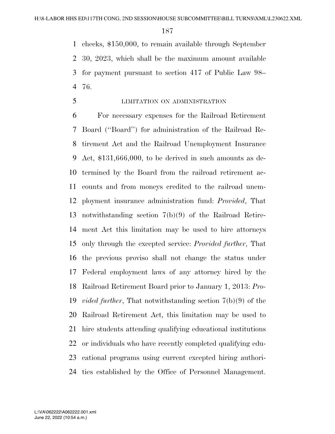checks, \$150,000, to remain available through September 30, 2023, which shall be the maximum amount available for payment pursuant to section 417 of Public Law 98– 76.

LIMITATION ON ADMINISTRATION

 For necessary expenses for the Railroad Retirement Board (''Board'') for administration of the Railroad Re- tirement Act and the Railroad Unemployment Insurance Act, \$131,666,000, to be derived in such amounts as de- termined by the Board from the railroad retirement ac- counts and from moneys credited to the railroad unem- ployment insurance administration fund: *Provided*, That notwithstanding section 7(b)(9) of the Railroad Retire- ment Act this limitation may be used to hire attorneys only through the excepted service: *Provided further*, That the previous proviso shall not change the status under Federal employment laws of any attorney hired by the Railroad Retirement Board prior to January 1, 2013: *Pro- vided further*, That notwithstanding section 7(b)(9) of the Railroad Retirement Act, this limitation may be used to hire students attending qualifying educational institutions or individuals who have recently completed qualifying edu- cational programs using current excepted hiring authori-ties established by the Office of Personnel Management.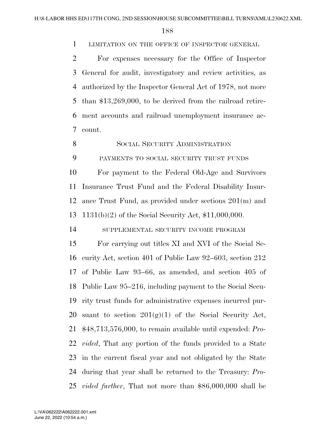LIMITATION ON THE OFFICE OF INSPECTOR GENERAL

 For expenses necessary for the Office of Inspector General for audit, investigatory and review activities, as authorized by the Inspector General Act of 1978, not more than \$13,269,000, to be derived from the railroad retire- ment accounts and railroad unemployment insurance ac-count.

8 SOCIAL SECURITY ADMINISTRATION

PAYMENTS TO SOCIAL SECURITY TRUST FUNDS

 For payment to the Federal Old-Age and Survivors Insurance Trust Fund and the Federal Disability Insur- ance Trust Fund, as provided under sections 201(m) and 1131(b)(2) of the Social Security Act, \$11,000,000.

SUPPLEMENTAL SECURITY INCOME PROGRAM

 For carrying out titles XI and XVI of the Social Se- curity Act, section 401 of Public Law 92–603, section 212 of Public Law 93–66, as amended, and section 405 of Public Law 95–216, including payment to the Social Secu- rity trust funds for administrative expenses incurred pur-20 suant to section  $201(g)(1)$  of the Social Security Act, \$48,713,576,000, to remain available until expended: *Pro- vided*, That any portion of the funds provided to a State in the current fiscal year and not obligated by the State during that year shall be returned to the Treasury: *Pro-vided further*, That not more than \$86,000,000 shall be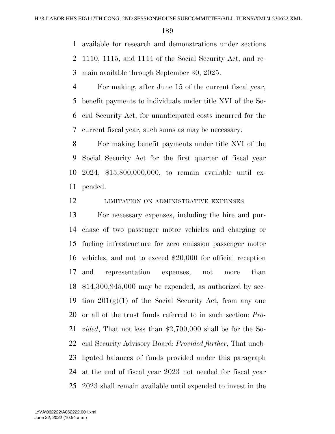available for research and demonstrations under sections 1110, 1115, and 1144 of the Social Security Act, and re-main available through September 30, 2025.

 For making, after June 15 of the current fiscal year, benefit payments to individuals under title XVI of the So- cial Security Act, for unanticipated costs incurred for the current fiscal year, such sums as may be necessary.

 For making benefit payments under title XVI of the Social Security Act for the first quarter of fiscal year 2024, \$15,800,000,000, to remain available until ex-pended.

**LIMITATION ON ADMINISTRATIVE EXPENSES** 

 For necessary expenses, including the hire and pur- chase of two passenger motor vehicles and charging or fueling infrastructure for zero emission passenger motor vehicles, and not to exceed \$20,000 for official reception and representation expenses, not more than \$14,300,945,000 may be expended, as authorized by sec-19 tion  $201(g)(1)$  of the Social Security Act, from any one or all of the trust funds referred to in such section: *Pro- vided*, That not less than \$2,700,000 shall be for the So- cial Security Advisory Board: *Provided further*, That unob- ligated balances of funds provided under this paragraph at the end of fiscal year 2023 not needed for fiscal year 2023 shall remain available until expended to invest in the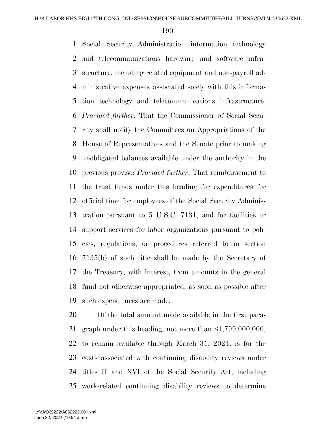Social Security Administration information technology and telecommunications hardware and software infra- structure, including related equipment and non-payroll ad- ministrative expenses associated solely with this informa- tion technology and telecommunications infrastructure: *Provided further*, That the Commissioner of Social Secu- rity shall notify the Committees on Appropriations of the House of Representatives and the Senate prior to making unobligated balances available under the authority in the previous proviso: *Provided further*, That reimbursement to the trust funds under this heading for expenditures for official time for employees of the Social Security Adminis- tration pursuant to 5 U.S.C. 7131, and for facilities or support services for labor organizations pursuant to poli- cies, regulations, or procedures referred to in section 7135(b) of such title shall be made by the Secretary of the Treasury, with interest, from amounts in the general fund not otherwise appropriated, as soon as possible after such expenditures are made.

 Of the total amount made available in the first para- graph under this heading, not more than \$1,799,000,000, to remain available through March 31, 2024, is for the costs associated with continuing disability reviews under titles II and XVI of the Social Security Act, including work-related continuing disability reviews to determine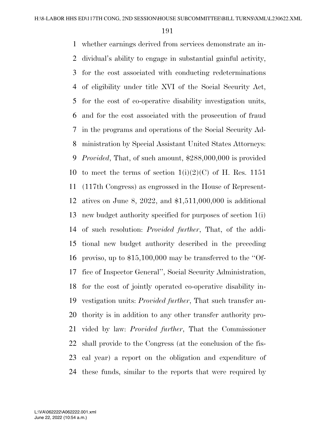whether earnings derived from services demonstrate an in- dividual's ability to engage in substantial gainful activity, for the cost associated with conducting redeterminations of eligibility under title XVI of the Social Security Act, for the cost of co-operative disability investigation units, and for the cost associated with the prosecution of fraud in the programs and operations of the Social Security Ad- ministration by Special Assistant United States Attorneys: *Provided*, That, of such amount, \$288,000,000 is provided 10 to meet the terms of section  $1(i)(2)(C)$  of H. Res. 1151 (117th Congress) as engrossed in the House of Represent- atives on June 8, 2022, and \$1,511,000,000 is additional new budget authority specified for purposes of section 1(i) of such resolution: *Provided further*, That, of the addi- tional new budget authority described in the preceding proviso, up to \$15,100,000 may be transferred to the ''Of- fice of Inspector General'', Social Security Administration, for the cost of jointly operated co-operative disability in- vestigation units: *Provided further*, That such transfer au- thority is in addition to any other transfer authority pro- vided by law: *Provided further*, That the Commissioner shall provide to the Congress (at the conclusion of the fis- cal year) a report on the obligation and expenditure of these funds, similar to the reports that were required by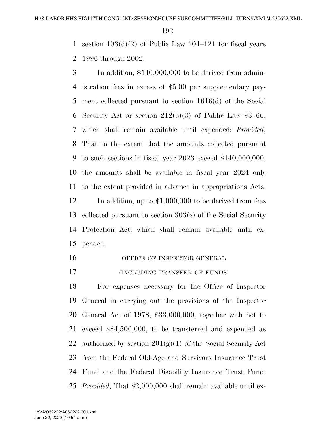1 section  $103(d)(2)$  of Public Law  $104-121$  for fiscal years

1996 through 2002.

 In addition, \$140,000,000 to be derived from admin- istration fees in excess of \$5.00 per supplementary pay- ment collected pursuant to section 1616(d) of the Social Security Act or section 212(b)(3) of Public Law 93–66, which shall remain available until expended: *Provided*, That to the extent that the amounts collected pursuant to such sections in fiscal year 2023 exceed \$140,000,000, the amounts shall be available in fiscal year 2024 only to the extent provided in advance in appropriations Acts. 12 In addition, up to \$1,000,000 to be derived from fees collected pursuant to section 303(c) of the Social Security Protection Act, which shall remain available until ex-pended.

16 OFFICE OF INSPECTOR GENERAL

**(INCLUDING TRANSFER OF FUNDS)** 

 For expenses necessary for the Office of Inspector General in carrying out the provisions of the Inspector General Act of 1978, \$33,000,000, together with not to exceed \$84,500,000, to be transferred and expended as 22 authorized by section  $201(g)(1)$  of the Social Security Act from the Federal Old-Age and Survivors Insurance Trust Fund and the Federal Disability Insurance Trust Fund: *Provided*, That \$2,000,000 shall remain available until ex-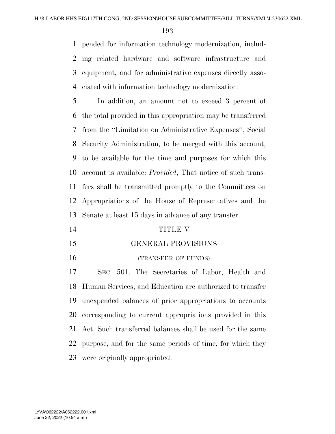pended for information technology modernization, includ- ing related hardware and software infrastructure and equipment, and for administrative expenses directly asso-ciated with information technology modernization.

 In addition, an amount not to exceed 3 percent of the total provided in this appropriation may be transferred from the ''Limitation on Administrative Expenses'', Social Security Administration, to be merged with this account, to be available for the time and purposes for which this account is available: *Provided*, That notice of such trans- fers shall be transmitted promptly to the Committees on Appropriations of the House of Representatives and the Senate at least 15 days in advance of any transfer.

- TITLE V
- GENERAL PROVISIONS
- 16 (TRANSFER OF FUNDS)

 SEC. 501. The Secretaries of Labor, Health and Human Services, and Education are authorized to transfer unexpended balances of prior appropriations to accounts corresponding to current appropriations provided in this Act. Such transferred balances shall be used for the same purpose, and for the same periods of time, for which they were originally appropriated.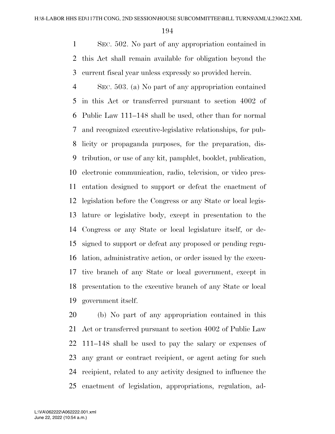SEC. 502. No part of any appropriation contained in this Act shall remain available for obligation beyond the current fiscal year unless expressly so provided herein.

 SEC. 503. (a) No part of any appropriation contained in this Act or transferred pursuant to section 4002 of Public Law 111–148 shall be used, other than for normal and recognized executive-legislative relationships, for pub- licity or propaganda purposes, for the preparation, dis- tribution, or use of any kit, pamphlet, booklet, publication, electronic communication, radio, television, or video pres- entation designed to support or defeat the enactment of legislation before the Congress or any State or local legis- lature or legislative body, except in presentation to the Congress or any State or local legislature itself, or de- signed to support or defeat any proposed or pending regu- lation, administrative action, or order issued by the execu- tive branch of any State or local government, except in presentation to the executive branch of any State or local government itself.

 (b) No part of any appropriation contained in this Act or transferred pursuant to section 4002 of Public Law 111–148 shall be used to pay the salary or expenses of any grant or contract recipient, or agent acting for such recipient, related to any activity designed to influence the enactment of legislation, appropriations, regulation, ad-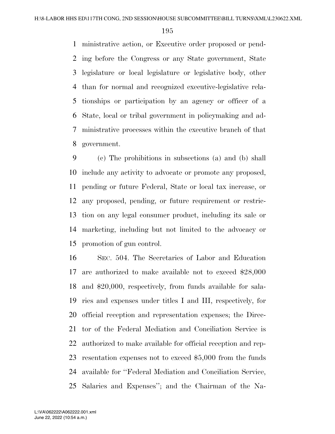ministrative action, or Executive order proposed or pend- ing before the Congress or any State government, State legislature or local legislature or legislative body, other than for normal and recognized executive-legislative rela- tionships or participation by an agency or officer of a State, local or tribal government in policymaking and ad- ministrative processes within the executive branch of that government.

 (c) The prohibitions in subsections (a) and (b) shall include any activity to advocate or promote any proposed, pending or future Federal, State or local tax increase, or any proposed, pending, or future requirement or restric- tion on any legal consumer product, including its sale or marketing, including but not limited to the advocacy or promotion of gun control.

 SEC. 504. The Secretaries of Labor and Education are authorized to make available not to exceed \$28,000 and \$20,000, respectively, from funds available for sala- ries and expenses under titles I and III, respectively, for official reception and representation expenses; the Direc- tor of the Federal Mediation and Conciliation Service is authorized to make available for official reception and rep- resentation expenses not to exceed \$5,000 from the funds available for ''Federal Mediation and Conciliation Service, Salaries and Expenses''; and the Chairman of the Na-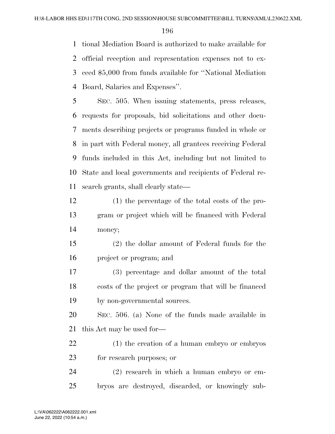tional Mediation Board is authorized to make available for official reception and representation expenses not to ex- ceed \$5,000 from funds available for ''National Mediation Board, Salaries and Expenses''.

 SEC. 505. When issuing statements, press releases, requests for proposals, bid solicitations and other docu- ments describing projects or programs funded in whole or in part with Federal money, all grantees receiving Federal funds included in this Act, including but not limited to State and local governments and recipients of Federal re-search grants, shall clearly state—

- (1) the percentage of the total costs of the pro- gram or project which will be financed with Federal money;
- (2) the dollar amount of Federal funds for the project or program; and
- (3) percentage and dollar amount of the total costs of the project or program that will be financed by non-governmental sources.

 SEC. 506. (a) None of the funds made available in this Act may be used for—

 (1) the creation of a human embryo or embryos for research purposes; or

 (2) research in which a human embryo or em-bryos are destroyed, discarded, or knowingly sub-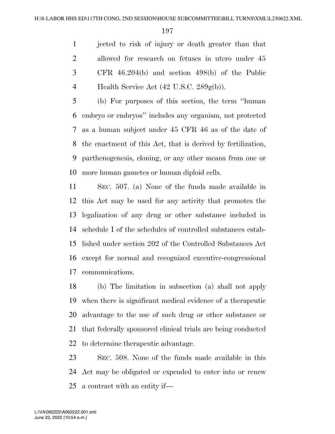jected to risk of injury or death greater than that allowed for research on fetuses in utero under 45 CFR 46.204(b) and section 498(b) of the Public 4 Health Service Act  $(42 \text{ U.S.C. } 289 \text{g(b)})$ .

 (b) For purposes of this section, the term ''human embryo or embryos'' includes any organism, not protected as a human subject under 45 CFR 46 as of the date of the enactment of this Act, that is derived by fertilization, parthenogenesis, cloning, or any other means from one or more human gametes or human diploid cells.

 SEC. 507. (a) None of the funds made available in this Act may be used for any activity that promotes the legalization of any drug or other substance included in schedule I of the schedules of controlled substances estab- lished under section 202 of the Controlled Substances Act except for normal and recognized executive-congressional communications.

 (b) The limitation in subsection (a) shall not apply when there is significant medical evidence of a therapeutic advantage to the use of such drug or other substance or that federally sponsored clinical trials are being conducted to determine therapeutic advantage.

 SEC. 508. None of the funds made available in this Act may be obligated or expended to enter into or renew a contract with an entity if—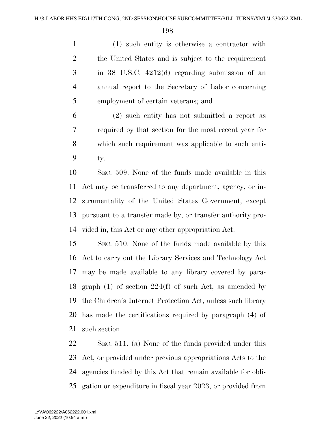(1) such entity is otherwise a contractor with the United States and is subject to the requirement in 38 U.S.C. 4212(d) regarding submission of an annual report to the Secretary of Labor concerning employment of certain veterans; and

 (2) such entity has not submitted a report as required by that section for the most recent year for which such requirement was applicable to such enti-ty.

 SEC. 509. None of the funds made available in this Act may be transferred to any department, agency, or in- strumentality of the United States Government, except pursuant to a transfer made by, or transfer authority pro-vided in, this Act or any other appropriation Act.

 SEC. 510. None of the funds made available by this Act to carry out the Library Services and Technology Act may be made available to any library covered by para-18 graph (1) of section  $224(f)$  of such Act, as amended by the Children's Internet Protection Act, unless such library has made the certifications required by paragraph (4) of such section.

 SEC. 511. (a) None of the funds provided under this Act, or provided under previous appropriations Acts to the agencies funded by this Act that remain available for obli-gation or expenditure in fiscal year 2023, or provided from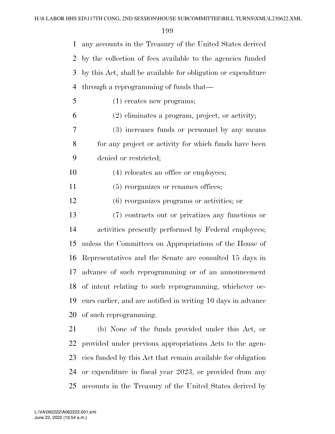|   | 1 any accounts in the Treasury of the United States derived     |
|---|-----------------------------------------------------------------|
|   | 2 by the collection of fees available to the agencies funded    |
|   | 3 by this Act, shall be available for obligation or expenditure |
|   | 4 through a reprogramming of funds that—                        |
| 5 | $(1)$ creates new programs;                                     |
| 6 | $(2)$ eliminates a program, project, or activity;               |
| 7 | (3) increases funds or personnel by any means                   |
| 8 | for any project or activity for which funds have been           |
| 9 | denied or restricted;                                           |

- 10 (4) relocates an office or employees;
- 11 (5) reorganizes or renames offices;
- (6) reorganizes programs or activities; or
- (7) contracts out or privatizes any functions or activities presently performed by Federal employees; unless the Committees on Appropriations of the House of Representatives and the Senate are consulted 15 days in advance of such reprogramming or of an announcement of intent relating to such reprogramming, whichever oc- curs earlier, and are notified in writing 10 days in advance of such reprogramming.

 (b) None of the funds provided under this Act, or provided under previous appropriations Acts to the agen- cies funded by this Act that remain available for obligation or expenditure in fiscal year 2023, or provided from any accounts in the Treasury of the United States derived by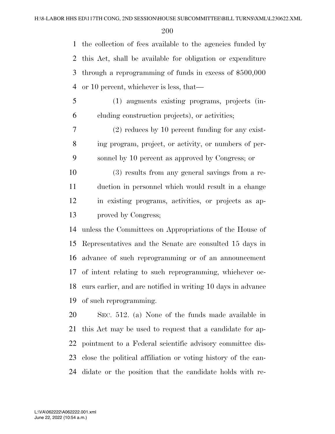the collection of fees available to the agencies funded by this Act, shall be available for obligation or expenditure through a reprogramming of funds in excess of \$500,000 or 10 percent, whichever is less, that—

 (1) augments existing programs, projects (in-cluding construction projects), or activities;

 (2) reduces by 10 percent funding for any exist- ing program, project, or activity, or numbers of per-sonnel by 10 percent as approved by Congress; or

 (3) results from any general savings from a re- duction in personnel which would result in a change in existing programs, activities, or projects as ap-proved by Congress;

 unless the Committees on Appropriations of the House of Representatives and the Senate are consulted 15 days in advance of such reprogramming or of an announcement of intent relating to such reprogramming, whichever oc- curs earlier, and are notified in writing 10 days in advance of such reprogramming.

 SEC. 512. (a) None of the funds made available in this Act may be used to request that a candidate for ap- pointment to a Federal scientific advisory committee dis- close the political affiliation or voting history of the can-didate or the position that the candidate holds with re-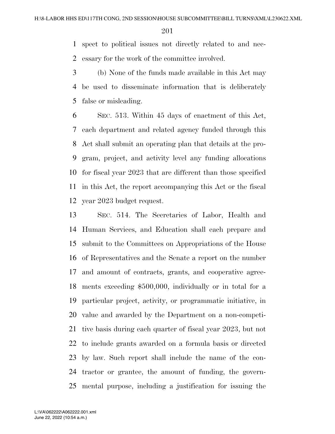spect to political issues not directly related to and nec-essary for the work of the committee involved.

 (b) None of the funds made available in this Act may be used to disseminate information that is deliberately false or misleading.

 SEC. 513. Within 45 days of enactment of this Act, each department and related agency funded through this Act shall submit an operating plan that details at the pro- gram, project, and activity level any funding allocations for fiscal year 2023 that are different than those specified in this Act, the report accompanying this Act or the fiscal year 2023 budget request.

 SEC. 514. The Secretaries of Labor, Health and Human Services, and Education shall each prepare and submit to the Committees on Appropriations of the House of Representatives and the Senate a report on the number and amount of contracts, grants, and cooperative agree- ments exceeding \$500,000, individually or in total for a particular project, activity, or programmatic initiative, in value and awarded by the Department on a non-competi- tive basis during each quarter of fiscal year 2023, but not to include grants awarded on a formula basis or directed by law. Such report shall include the name of the con- tractor or grantee, the amount of funding, the govern-mental purpose, including a justification for issuing the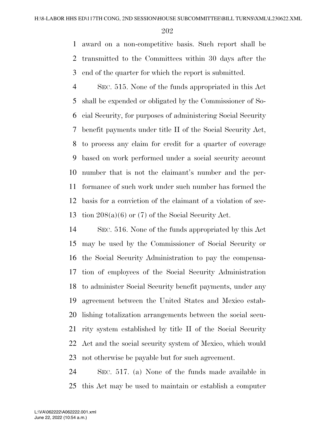award on a non-competitive basis. Such report shall be transmitted to the Committees within 30 days after the end of the quarter for which the report is submitted.

 SEC. 515. None of the funds appropriated in this Act shall be expended or obligated by the Commissioner of So- cial Security, for purposes of administering Social Security benefit payments under title II of the Social Security Act, to process any claim for credit for a quarter of coverage based on work performed under a social security account number that is not the claimant's number and the per- formance of such work under such number has formed the basis for a conviction of the claimant of a violation of sec-tion 208(a)(6) or (7) of the Social Security Act.

 SEC. 516. None of the funds appropriated by this Act may be used by the Commissioner of Social Security or the Social Security Administration to pay the compensa- tion of employees of the Social Security Administration to administer Social Security benefit payments, under any agreement between the United States and Mexico estab- lishing totalization arrangements between the social secu- rity system established by title II of the Social Security Act and the social security system of Mexico, which would not otherwise be payable but for such agreement.

 SEC. 517. (a) None of the funds made available in this Act may be used to maintain or establish a computer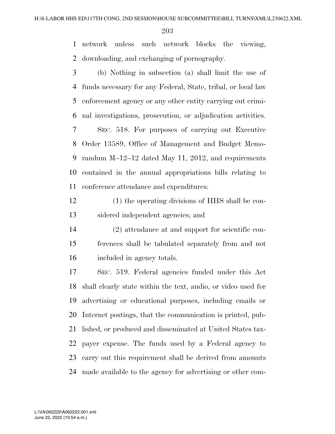network unless such network blocks the viewing, downloading, and exchanging of pornography.

 (b) Nothing in subsection (a) shall limit the use of funds necessary for any Federal, State, tribal, or local law enforcement agency or any other entity carrying out crimi- nal investigations, prosecution, or adjudication activities. SEC. 518. For purposes of carrying out Executive Order 13589, Office of Management and Budget Memo-

 randum M–12–12 dated May 11, 2012, and requirements contained in the annual appropriations bills relating to conference attendance and expenditures:

 (1) the operating divisions of HHS shall be con-sidered independent agencies; and

 (2) attendance at and support for scientific con- ferences shall be tabulated separately from and not included in agency totals.

 SEC. 519. Federal agencies funded under this Act shall clearly state within the text, audio, or video used for advertising or educational purposes, including emails or Internet postings, that the communication is printed, pub- lished, or produced and disseminated at United States tax- payer expense. The funds used by a Federal agency to carry out this requirement shall be derived from amounts made available to the agency for advertising or other com-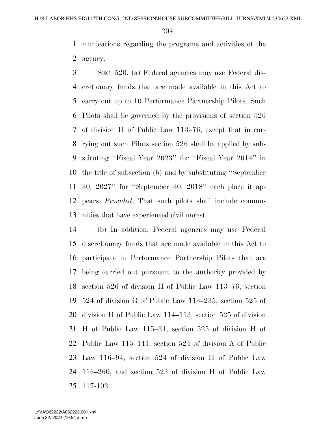munications regarding the programs and activities of the agency.

 SEC. 520. (a) Federal agencies may use Federal dis- cretionary funds that are made available in this Act to carry out up to 10 Performance Partnership Pilots. Such Pilots shall be governed by the provisions of section 526 of division H of Public Law 113–76, except that in car- rying out such Pilots section 526 shall be applied by sub- stituting ''Fiscal Year 2023'' for ''Fiscal Year 2014'' in the title of subsection (b) and by substituting ''September 30, 2027'' for ''September 30, 2018'' each place it ap- pears: *Provided*, That such pilots shall include commu-nities that have experienced civil unrest.

 (b) In addition, Federal agencies may use Federal discretionary funds that are made available in this Act to participate in Performance Partnership Pilots that are being carried out pursuant to the authority provided by section 526 of division H of Public Law 113–76, section 524 of division G of Public Law 113–235, section 525 of division H of Public Law 114–113, section 525 of division H of Public Law 115–31, section 525 of division H of Public Law 115–141, section 524 of division A of Public Law 116–94, section 524 of division H of Public Law 116–260, and section 523 of division H of Public Law 117-103.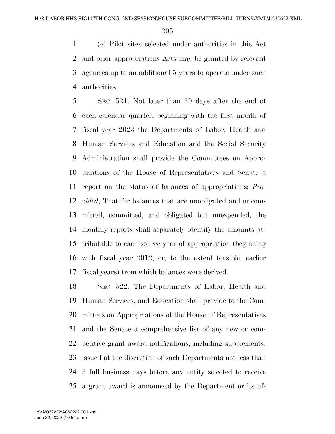(c) Pilot sites selected under authorities in this Act and prior appropriations Acts may be granted by relevant agencies up to an additional 5 years to operate under such authorities.

 SEC. 521. Not later than 30 days after the end of each calendar quarter, beginning with the first month of fiscal year 2023 the Departments of Labor, Health and Human Services and Education and the Social Security Administration shall provide the Committees on Appro- priations of the House of Representatives and Senate a report on the status of balances of appropriations: *Pro- vided*, That for balances that are unobligated and uncom- mitted, committed, and obligated but unexpended, the monthly reports shall separately identify the amounts at- tributable to each source year of appropriation (beginning with fiscal year 2012, or, to the extent feasible, earlier fiscal years) from which balances were derived.

 SEC. 522. The Departments of Labor, Health and Human Services, and Education shall provide to the Com- mittees on Appropriations of the House of Representatives and the Senate a comprehensive list of any new or com- petitive grant award notifications, including supplements, issued at the discretion of such Departments not less than 3 full business days before any entity selected to receive a grant award is announced by the Department or its of-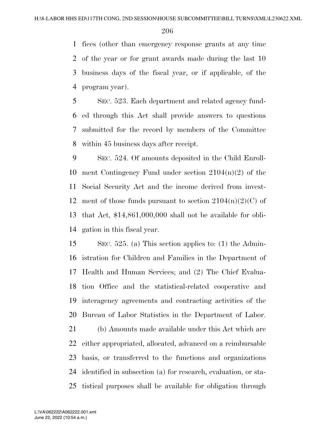fices (other than emergency response grants at any time of the year or for grant awards made during the last 10 business days of the fiscal year, or if applicable, of the program year).

 SEC. 523. Each department and related agency fund- ed through this Act shall provide answers to questions submitted for the record by members of the Committee within 45 business days after receipt.

 SEC. 524. Of amounts deposited in the Child Enroll- ment Contingency Fund under section 2104(n)(2) of the Social Security Act and the income derived from invest-12 ment of those funds pursuant to section  $2104(n)(2)(C)$  of that Act, \$14,861,000,000 shall not be available for obli-gation in this fiscal year.

 SEC. 525. (a) This section applies to: (1) the Admin- istration for Children and Families in the Department of Health and Human Services; and (2) The Chief Evalua- tion Office and the statistical-related cooperative and interagency agreements and contracting activities of the Bureau of Labor Statistics in the Department of Labor.

 (b) Amounts made available under this Act which are either appropriated, allocated, advanced on a reimbursable basis, or transferred to the functions and organizations identified in subsection (a) for research, evaluation, or sta-tistical purposes shall be available for obligation through